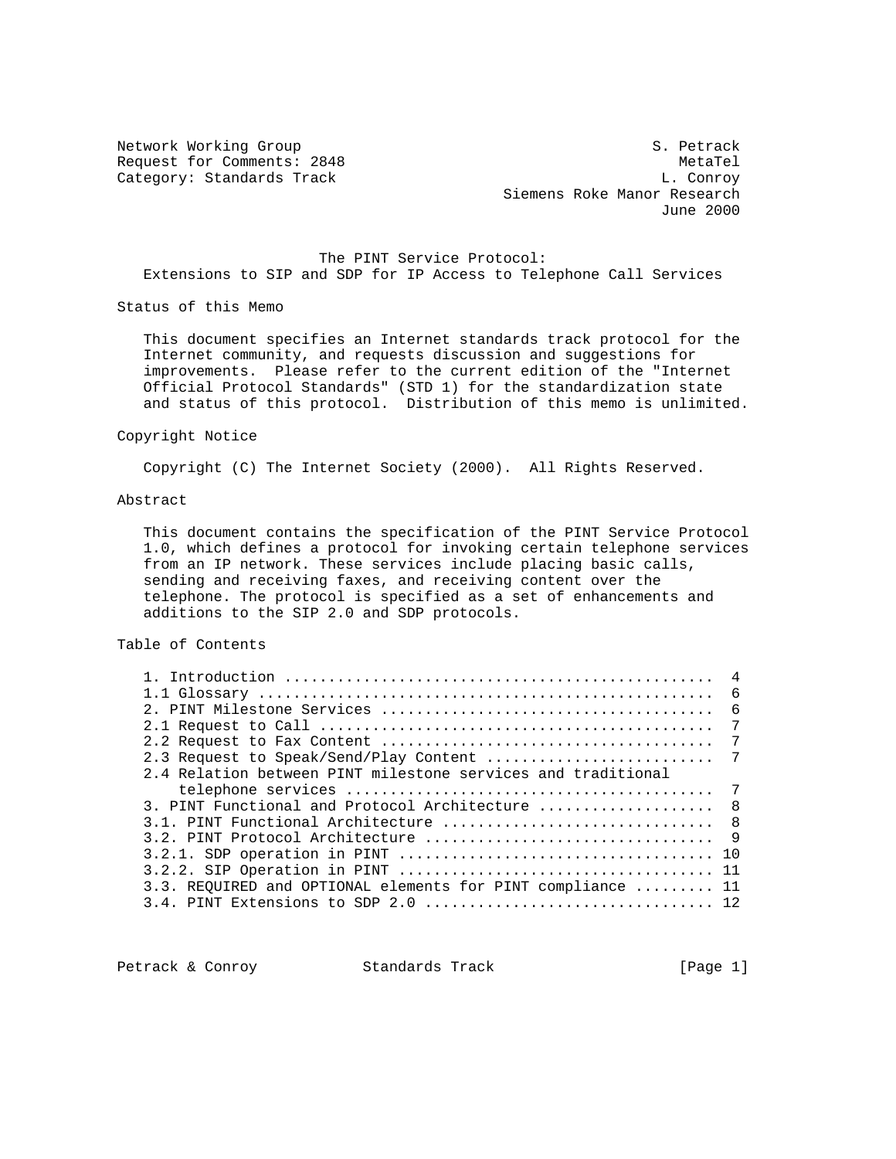Network Working Group S. Petrack Request for Comments: 2848 MetaTel Category: Standards Track L. Conroy Siemens Roke Manor Research June 2000

 The PINT Service Protocol: Extensions to SIP and SDP for IP Access to Telephone Call Services

Status of this Memo

 This document specifies an Internet standards track protocol for the Internet community, and requests discussion and suggestions for improvements. Please refer to the current edition of the "Internet Official Protocol Standards" (STD 1) for the standardization state and status of this protocol. Distribution of this memo is unlimited.

#### Copyright Notice

Copyright (C) The Internet Society (2000). All Rights Reserved.

# Abstract

 This document contains the specification of the PINT Service Protocol 1.0, which defines a protocol for invoking certain telephone services from an IP network. These services include placing basic calls, sending and receiving faxes, and receiving content over the telephone. The protocol is specified as a set of enhancements and additions to the SIP 2.0 and SDP protocols.

# Table of Contents

|                                                              | $\overline{4}$ |
|--------------------------------------------------------------|----------------|
|                                                              |                |
|                                                              | - 6            |
|                                                              | 7              |
|                                                              | 7              |
|                                                              |                |
| 2.4 Relation between PINT milestone services and traditional |                |
|                                                              |                |
| 3. PINT Functional and Protocol Architecture                 | - 8            |
|                                                              |                |
|                                                              |                |
|                                                              |                |
|                                                              |                |
| 3.3. REQUIRED and OPTIONAL elements for PINT compliance  11  |                |
|                                                              |                |
|                                                              |                |

Petrack & Conroy Standards Track [Page 1]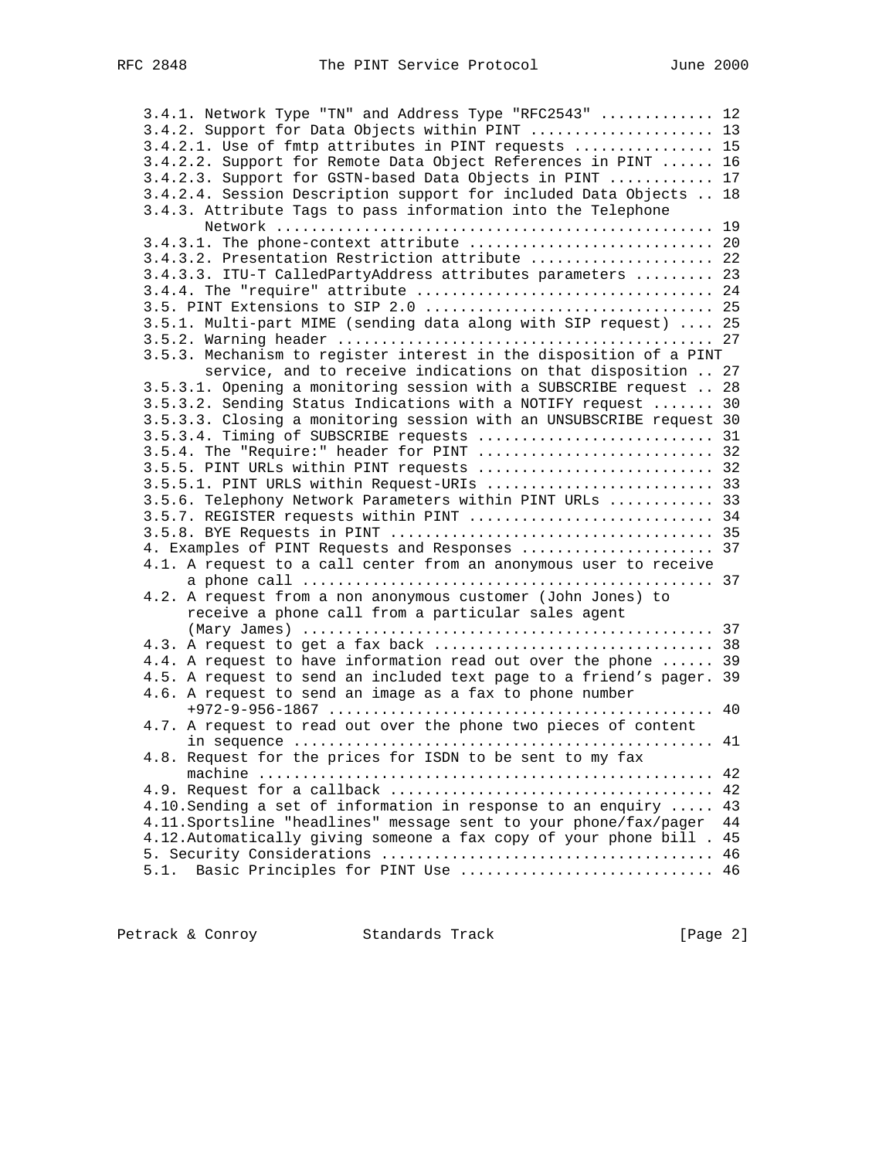3.4.1. Network Type "TN" and Address Type "RFC2543" ............. 12 3.4.2. Support for Data Objects within PINT ..................... 13 3.4.2.1. Use of fmtp attributes in PINT requests ................ 15 3.4.2.2. Support for Remote Data Object References in PINT ...... 16 3.4.2.3. Support for GSTN-based Data Objects in PINT ............ 17 3.4.2.4. Session Description support for included Data Objects .. 18 3.4.3. Attribute Tags to pass information into the Telephone Network .................................................. 19 3.4.3.1. The phone-context attribute ............................ 20 3.4.3.2. Presentation Restriction attribute ..................... 22 3.4.3.3. ITU-T CalledPartyAddress attributes parameters ......... 23 3.4.4. The "require" attribute .................................. 24 3.5. PINT Extensions to SIP 2.0 ................................. 25 3.5.1. Multi-part MIME (sending data along with SIP request) .... 25 3.5.2. Warning header ........................................... 27 3.5.3. Mechanism to register interest in the disposition of a PINT service, and to receive indications on that disposition .. 27 3.5.3.1. Opening a monitoring session with a SUBSCRIBE request .. 28 3.5.3.2. Sending Status Indications with a NOTIFY request ....... 30 3.5.3.3. Closing a monitoring session with an UNSUBSCRIBE request 30 3.5.3.4. Timing of SUBSCRIBE requests ........................... 31 3.5.4. The "Require:" header for PINT ........................... 32 3.5.5. PINT URLs within PINT requests ........................... 32 3.5.5.1. PINT URLS within Request-URIs .......................... 33 3.5.6. Telephony Network Parameters within PINT URLs ............ 33 3.5.7. REGISTER requests within PINT ............................ 34 3.5.8. BYE Requests in PINT ..................................... 35 4. Examples of PINT Requests and Responses ...................... 37 4.1. A request to a call center from an anonymous user to receive a phone call ............................................... 37 4.2. A request from a non anonymous customer (John Jones) to receive a phone call from a particular sales agent (Mary James) ............................................... 37 4.3. A request to get a fax back ................................ 38 4.4. A request to have information read out over the phone ...... 39 4.5. A request to send an included text page to a friend's pager. 39 4.6. A request to send an image as a fax to phone number +972-9-956-1867 ............................................ 40 4.7. A request to read out over the phone two pieces of content in sequence ................................................ 41 4.8. Request for the prices for ISDN to be sent to my fax machine .................................................... 42 4.9. Request for a callback ..................................... 42 4.10.Sending a set of information in response to an enquiry ..... 43 4.11.Sportsline "headlines" message sent to your phone/fax/pager 44 4.12.Automatically giving someone a fax copy of your phone bill . 45 5. Security Considerations ...................................... 46 5.1. Basic Principles for PINT Use .............................. 46

Petrack & Conroy Standards Track [Page 2]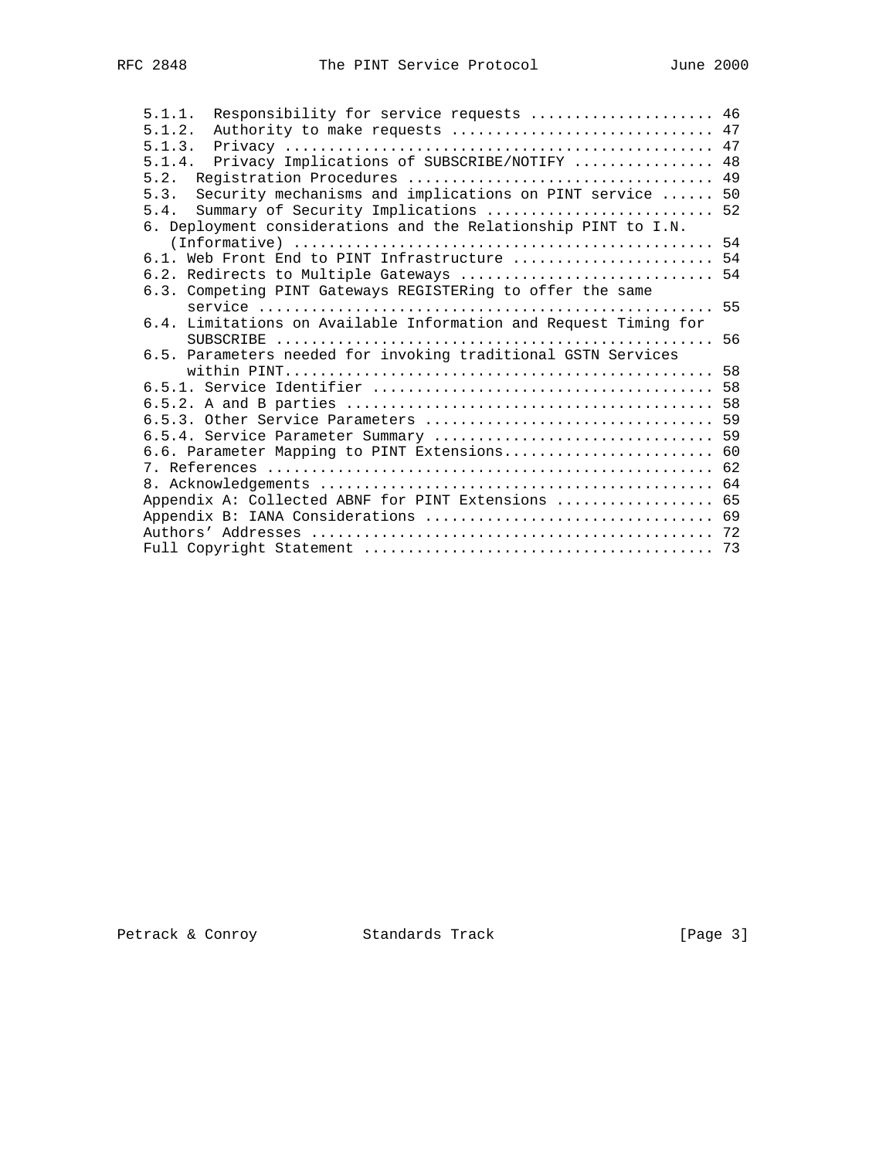| 5.1.1.<br>Responsibility for service requests  46                |  |
|------------------------------------------------------------------|--|
| Authority to make requests  47<br>5.1.2.                         |  |
|                                                                  |  |
| 5.1.4. Privacy Implications of SUBSCRIBE/NOTIFY  48              |  |
|                                                                  |  |
| Security mechanisms and implications on PINT service  50<br>5.3. |  |
| Summary of Security Implications  52<br>5.4.                     |  |
| 6. Deployment considerations and the Relationship PINT to I.N.   |  |
|                                                                  |  |
| 6.1. Web Front End to PINT Infrastructure  54                    |  |
|                                                                  |  |
| 6.3. Competing PINT Gateways REGISTERing to offer the same       |  |
|                                                                  |  |
| 6.4. Limitations on Available Information and Request Timing for |  |
|                                                                  |  |
| 6.5. Parameters needed for invoking traditional GSTN Services    |  |
|                                                                  |  |
|                                                                  |  |
|                                                                  |  |
|                                                                  |  |
|                                                                  |  |
|                                                                  |  |
|                                                                  |  |
|                                                                  |  |
| Appendix A: Collected ABNF for PINT Extensions  65               |  |
|                                                                  |  |
|                                                                  |  |
|                                                                  |  |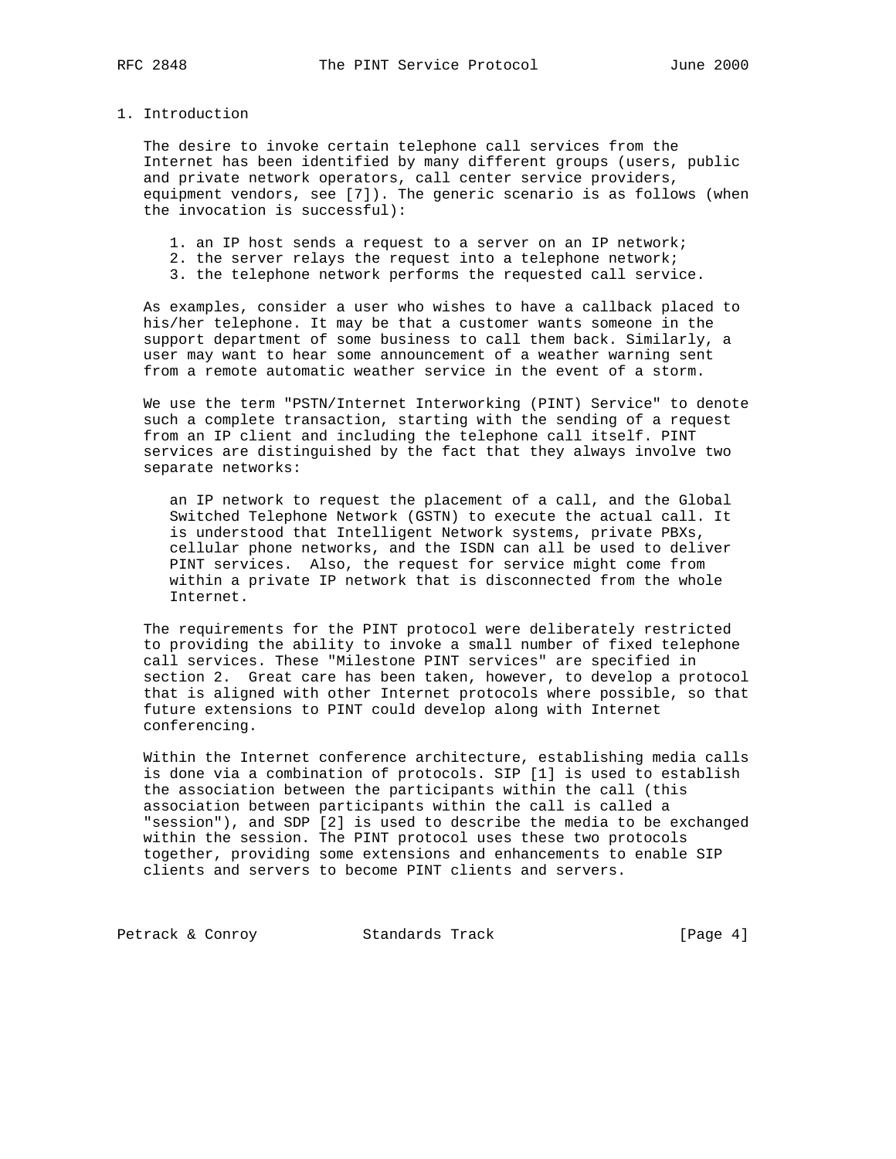#### 1. Introduction

 The desire to invoke certain telephone call services from the Internet has been identified by many different groups (users, public and private network operators, call center service providers, equipment vendors, see [7]). The generic scenario is as follows (when the invocation is successful):

- 1. an IP host sends a request to a server on an IP network;
- 2. the server relays the request into a telephone network;
- 3. the telephone network performs the requested call service.

 As examples, consider a user who wishes to have a callback placed to his/her telephone. It may be that a customer wants someone in the support department of some business to call them back. Similarly, a user may want to hear some announcement of a weather warning sent from a remote automatic weather service in the event of a storm.

 We use the term "PSTN/Internet Interworking (PINT) Service" to denote such a complete transaction, starting with the sending of a request from an IP client and including the telephone call itself. PINT services are distinguished by the fact that they always involve two separate networks:

 an IP network to request the placement of a call, and the Global Switched Telephone Network (GSTN) to execute the actual call. It is understood that Intelligent Network systems, private PBXs, cellular phone networks, and the ISDN can all be used to deliver PINT services. Also, the request for service might come from within a private IP network that is disconnected from the whole Internet.

 The requirements for the PINT protocol were deliberately restricted to providing the ability to invoke a small number of fixed telephone call services. These "Milestone PINT services" are specified in section 2. Great care has been taken, however, to develop a protocol that is aligned with other Internet protocols where possible, so that future extensions to PINT could develop along with Internet conferencing.

 Within the Internet conference architecture, establishing media calls is done via a combination of protocols. SIP [1] is used to establish the association between the participants within the call (this association between participants within the call is called a "session"), and SDP [2] is used to describe the media to be exchanged within the session. The PINT protocol uses these two protocols together, providing some extensions and enhancements to enable SIP clients and servers to become PINT clients and servers.

Petrack & Conroy Standards Track [Page 4]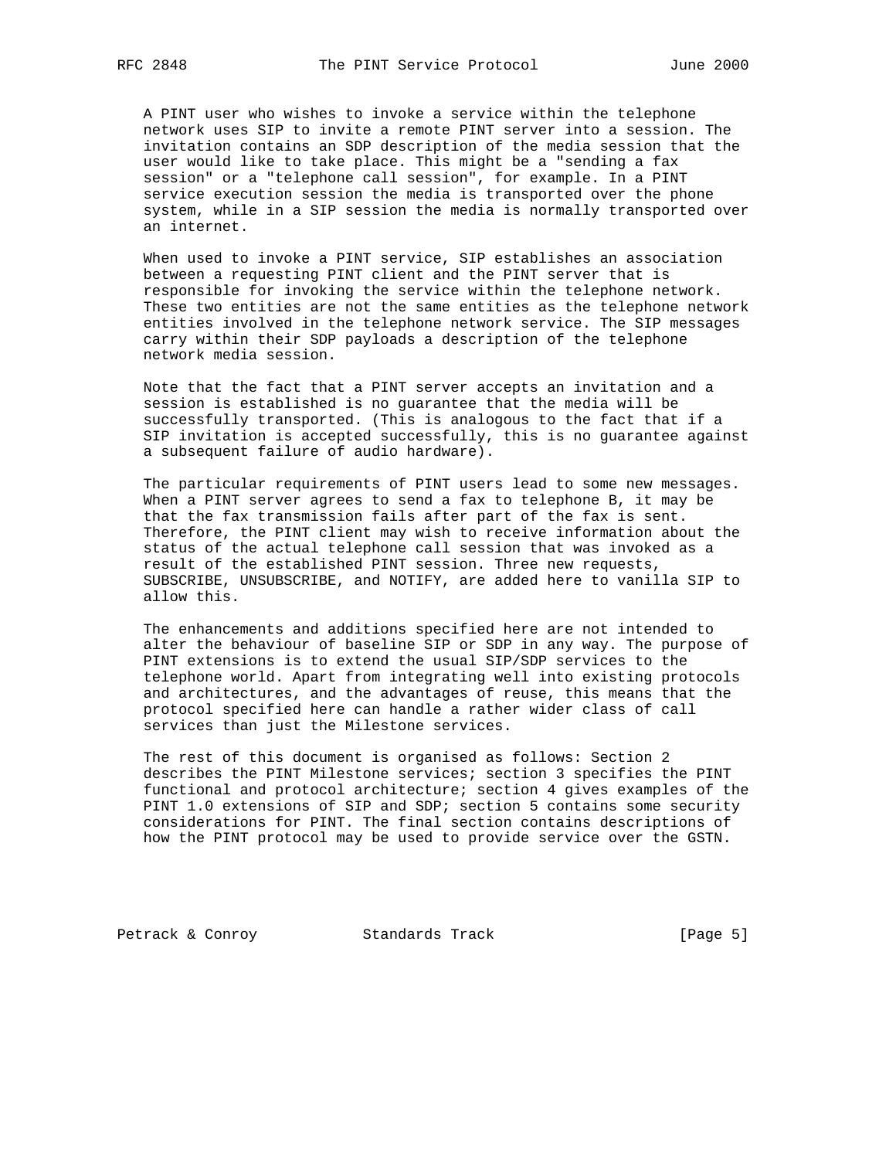A PINT user who wishes to invoke a service within the telephone network uses SIP to invite a remote PINT server into a session. The invitation contains an SDP description of the media session that the user would like to take place. This might be a "sending a fax session" or a "telephone call session", for example. In a PINT service execution session the media is transported over the phone system, while in a SIP session the media is normally transported over an internet.

 When used to invoke a PINT service, SIP establishes an association between a requesting PINT client and the PINT server that is responsible for invoking the service within the telephone network. These two entities are not the same entities as the telephone network entities involved in the telephone network service. The SIP messages carry within their SDP payloads a description of the telephone network media session.

 Note that the fact that a PINT server accepts an invitation and a session is established is no guarantee that the media will be successfully transported. (This is analogous to the fact that if a SIP invitation is accepted successfully, this is no guarantee against a subsequent failure of audio hardware).

 The particular requirements of PINT users lead to some new messages. When a PINT server agrees to send a fax to telephone B, it may be that the fax transmission fails after part of the fax is sent. Therefore, the PINT client may wish to receive information about the status of the actual telephone call session that was invoked as a result of the established PINT session. Three new requests, SUBSCRIBE, UNSUBSCRIBE, and NOTIFY, are added here to vanilla SIP to allow this.

 The enhancements and additions specified here are not intended to alter the behaviour of baseline SIP or SDP in any way. The purpose of PINT extensions is to extend the usual SIP/SDP services to the telephone world. Apart from integrating well into existing protocols and architectures, and the advantages of reuse, this means that the protocol specified here can handle a rather wider class of call services than just the Milestone services.

 The rest of this document is organised as follows: Section 2 describes the PINT Milestone services; section 3 specifies the PINT functional and protocol architecture; section 4 gives examples of the PINT 1.0 extensions of SIP and SDP; section 5 contains some security considerations for PINT. The final section contains descriptions of how the PINT protocol may be used to provide service over the GSTN.

Petrack & Conroy Standards Track [Page 5]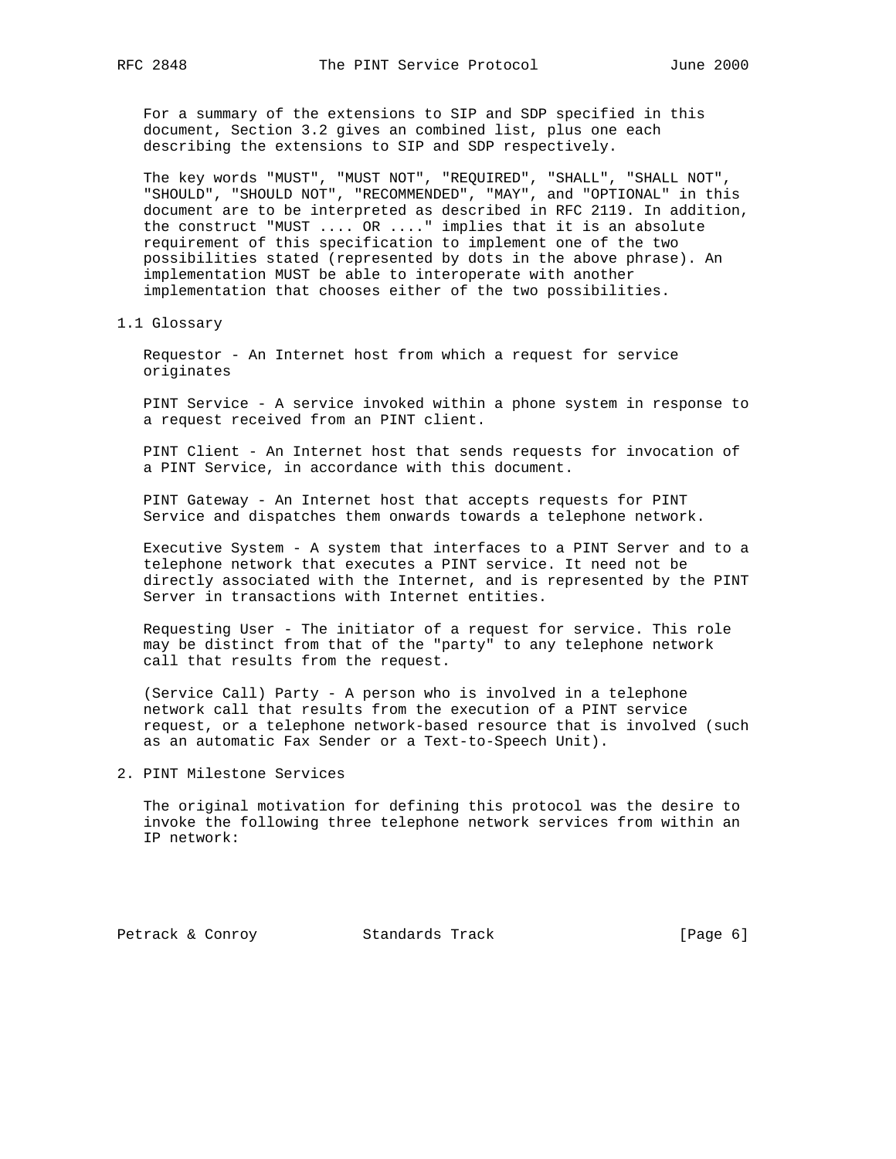For a summary of the extensions to SIP and SDP specified in this document, Section 3.2 gives an combined list, plus one each describing the extensions to SIP and SDP respectively.

 The key words "MUST", "MUST NOT", "REQUIRED", "SHALL", "SHALL NOT", "SHOULD", "SHOULD NOT", "RECOMMENDED", "MAY", and "OPTIONAL" in this document are to be interpreted as described in RFC 2119. In addition, the construct "MUST .... OR ...." implies that it is an absolute requirement of this specification to implement one of the two possibilities stated (represented by dots in the above phrase). An implementation MUST be able to interoperate with another implementation that chooses either of the two possibilities.

1.1 Glossary

 Requestor - An Internet host from which a request for service originates

 PINT Service - A service invoked within a phone system in response to a request received from an PINT client.

 PINT Client - An Internet host that sends requests for invocation of a PINT Service, in accordance with this document.

 PINT Gateway - An Internet host that accepts requests for PINT Service and dispatches them onwards towards a telephone network.

 Executive System - A system that interfaces to a PINT Server and to a telephone network that executes a PINT service. It need not be directly associated with the Internet, and is represented by the PINT Server in transactions with Internet entities.

 Requesting User - The initiator of a request for service. This role may be distinct from that of the "party" to any telephone network call that results from the request.

 (Service Call) Party - A person who is involved in a telephone network call that results from the execution of a PINT service request, or a telephone network-based resource that is involved (such as an automatic Fax Sender or a Text-to-Speech Unit).

2. PINT Milestone Services

 The original motivation for defining this protocol was the desire to invoke the following three telephone network services from within an IP network:

Petrack & Conroy Standards Track [Page 6]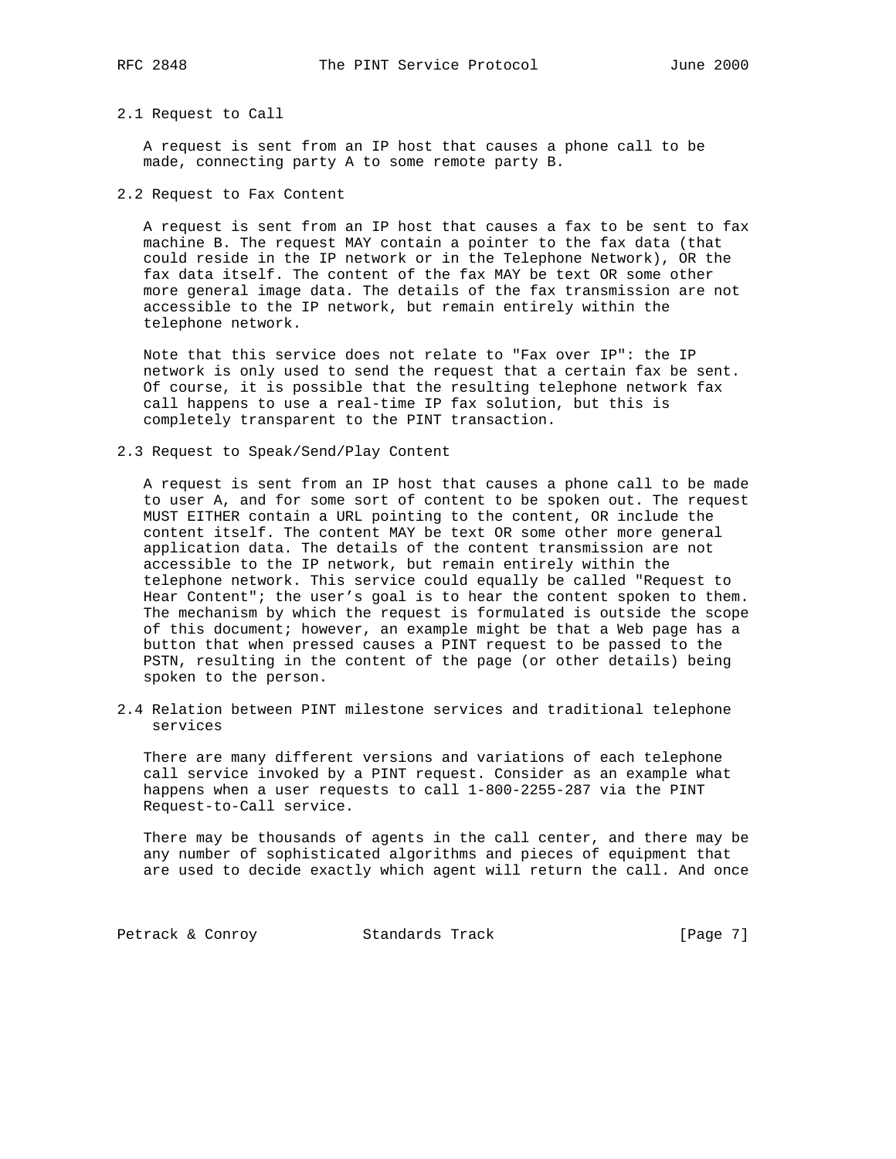2.1 Request to Call

 A request is sent from an IP host that causes a phone call to be made, connecting party A to some remote party B.

2.2 Request to Fax Content

 A request is sent from an IP host that causes a fax to be sent to fax machine B. The request MAY contain a pointer to the fax data (that could reside in the IP network or in the Telephone Network), OR the fax data itself. The content of the fax MAY be text OR some other more general image data. The details of the fax transmission are not accessible to the IP network, but remain entirely within the telephone network.

 Note that this service does not relate to "Fax over IP": the IP network is only used to send the request that a certain fax be sent. Of course, it is possible that the resulting telephone network fax call happens to use a real-time IP fax solution, but this is completely transparent to the PINT transaction.

2.3 Request to Speak/Send/Play Content

 A request is sent from an IP host that causes a phone call to be made to user A, and for some sort of content to be spoken out. The request MUST EITHER contain a URL pointing to the content, OR include the content itself. The content MAY be text OR some other more general application data. The details of the content transmission are not accessible to the IP network, but remain entirely within the telephone network. This service could equally be called "Request to Hear Content"; the user's goal is to hear the content spoken to them. The mechanism by which the request is formulated is outside the scope of this document; however, an example might be that a Web page has a button that when pressed causes a PINT request to be passed to the PSTN, resulting in the content of the page (or other details) being spoken to the person.

2.4 Relation between PINT milestone services and traditional telephone services

 There are many different versions and variations of each telephone call service invoked by a PINT request. Consider as an example what happens when a user requests to call 1-800-2255-287 via the PINT Request-to-Call service.

 There may be thousands of agents in the call center, and there may be any number of sophisticated algorithms and pieces of equipment that are used to decide exactly which agent will return the call. And once

Petrack & Conroy Standards Track [Page 7]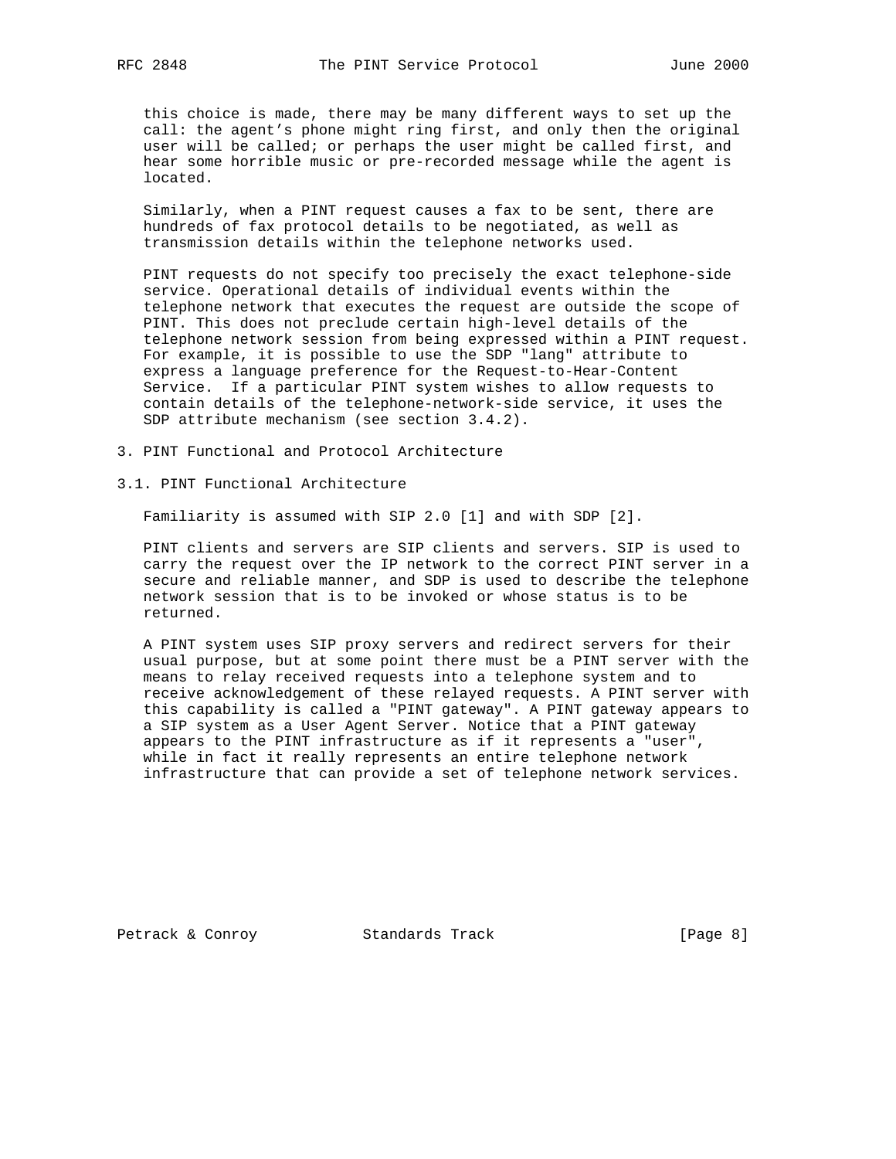this choice is made, there may be many different ways to set up the call: the agent's phone might ring first, and only then the original user will be called; or perhaps the user might be called first, and hear some horrible music or pre-recorded message while the agent is located.

 Similarly, when a PINT request causes a fax to be sent, there are hundreds of fax protocol details to be negotiated, as well as transmission details within the telephone networks used.

 PINT requests do not specify too precisely the exact telephone-side service. Operational details of individual events within the telephone network that executes the request are outside the scope of PINT. This does not preclude certain high-level details of the telephone network session from being expressed within a PINT request. For example, it is possible to use the SDP "lang" attribute to express a language preference for the Request-to-Hear-Content Service. If a particular PINT system wishes to allow requests to contain details of the telephone-network-side service, it uses the SDP attribute mechanism (see section 3.4.2).

3. PINT Functional and Protocol Architecture

3.1. PINT Functional Architecture

Familiarity is assumed with SIP 2.0 [1] and with SDP [2].

 PINT clients and servers are SIP clients and servers. SIP is used to carry the request over the IP network to the correct PINT server in a secure and reliable manner, and SDP is used to describe the telephone network session that is to be invoked or whose status is to be returned.

 A PINT system uses SIP proxy servers and redirect servers for their usual purpose, but at some point there must be a PINT server with the means to relay received requests into a telephone system and to receive acknowledgement of these relayed requests. A PINT server with this capability is called a "PINT gateway". A PINT gateway appears to a SIP system as a User Agent Server. Notice that a PINT gateway appears to the PINT infrastructure as if it represents a "user", while in fact it really represents an entire telephone network infrastructure that can provide a set of telephone network services.

Petrack & Conroy Standards Track [Page 8]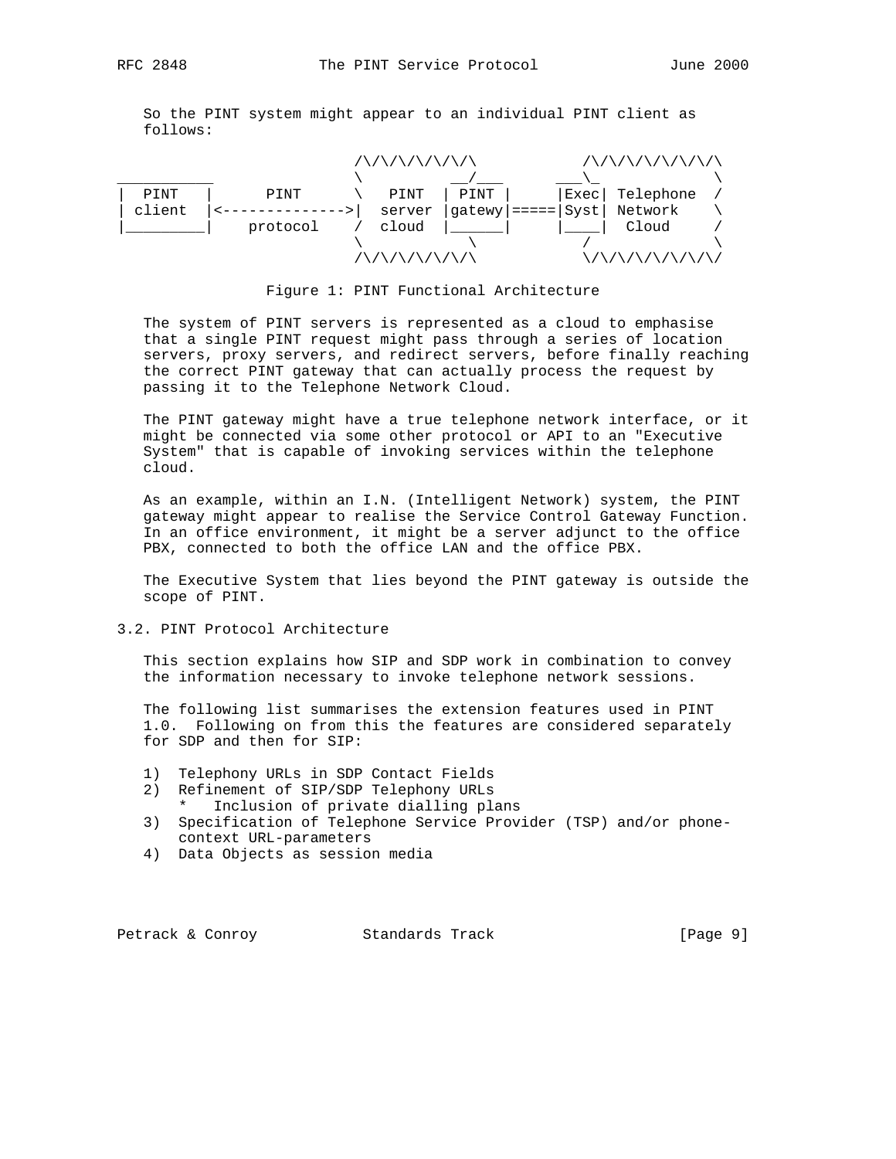

 So the PINT system might appear to an individual PINT client as follows:

Figure 1: PINT Functional Architecture

 The system of PINT servers is represented as a cloud to emphasise that a single PINT request might pass through a series of location servers, proxy servers, and redirect servers, before finally reaching the correct PINT gateway that can actually process the request by passing it to the Telephone Network Cloud.

 The PINT gateway might have a true telephone network interface, or it might be connected via some other protocol or API to an "Executive System" that is capable of invoking services within the telephone cloud.

 As an example, within an I.N. (Intelligent Network) system, the PINT gateway might appear to realise the Service Control Gateway Function. In an office environment, it might be a server adjunct to the office PBX, connected to both the office LAN and the office PBX.

 The Executive System that lies beyond the PINT gateway is outside the scope of PINT.

3.2. PINT Protocol Architecture

 This section explains how SIP and SDP work in combination to convey the information necessary to invoke telephone network sessions.

 The following list summarises the extension features used in PINT 1.0. Following on from this the features are considered separately for SDP and then for SIP:

- 1) Telephony URLs in SDP Contact Fields
- 2) Refinement of SIP/SDP Telephony URLs
- \* Inclusion of private dialling plans
- 3) Specification of Telephone Service Provider (TSP) and/or phone context URL-parameters
- 4) Data Objects as session media

Petrack & Conroy Standards Track [Page 9]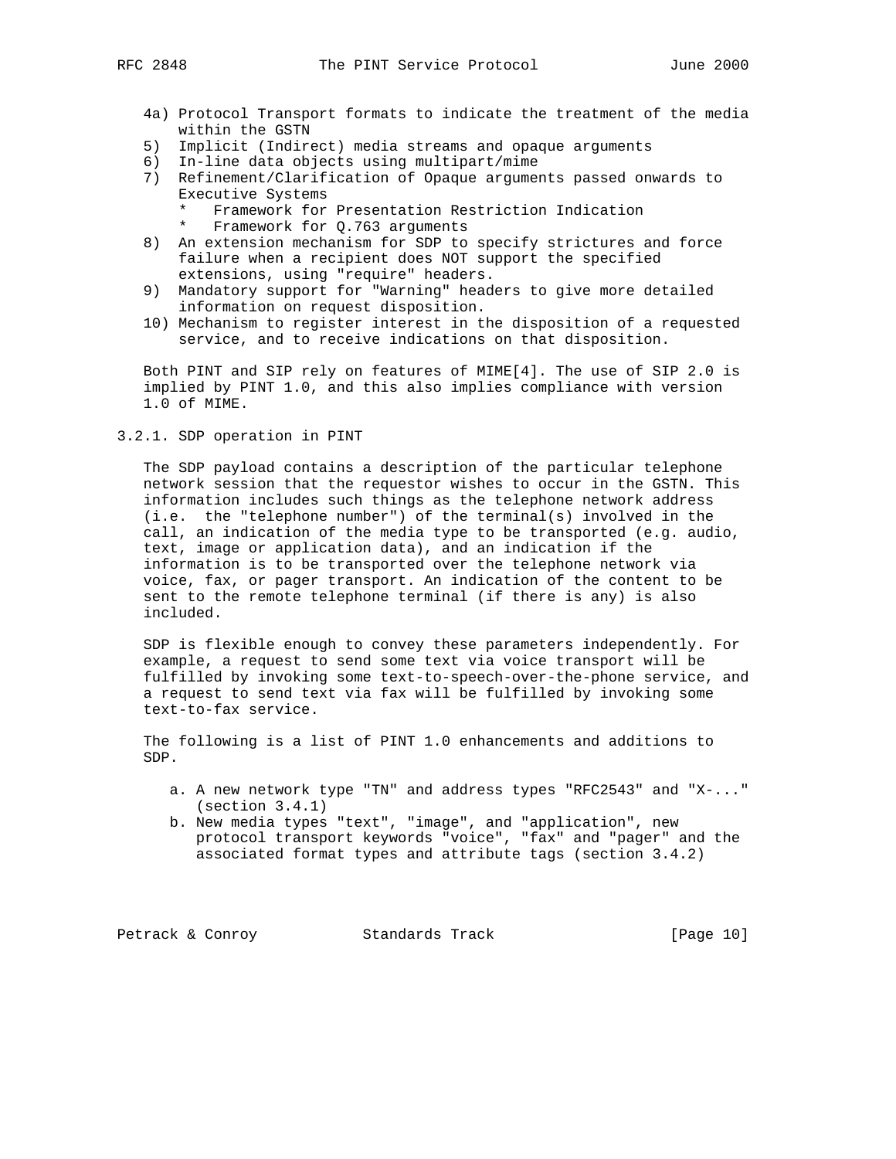- 4a) Protocol Transport formats to indicate the treatment of the media within the GSTN
- 5) Implicit (Indirect) media streams and opaque arguments
- 6) In-line data objects using multipart/mime
- 7) Refinement/Clarification of Opaque arguments passed onwards to Executive Systems
	- \* Framework for Presentation Restriction Indication
	- Framework for Q.763 arguments
- 8) An extension mechanism for SDP to specify strictures and force failure when a recipient does NOT support the specified extensions, using "require" headers.
- 9) Mandatory support for "Warning" headers to give more detailed information on request disposition.
- 10) Mechanism to register interest in the disposition of a requested service, and to receive indications on that disposition.

 Both PINT and SIP rely on features of MIME[4]. The use of SIP 2.0 is implied by PINT 1.0, and this also implies compliance with version 1.0 of MIME.

3.2.1. SDP operation in PINT

 The SDP payload contains a description of the particular telephone network session that the requestor wishes to occur in the GSTN. This information includes such things as the telephone network address (i.e. the "telephone number") of the terminal(s) involved in the call, an indication of the media type to be transported (e.g. audio, text, image or application data), and an indication if the information is to be transported over the telephone network via voice, fax, or pager transport. An indication of the content to be sent to the remote telephone terminal (if there is any) is also included.

 SDP is flexible enough to convey these parameters independently. For example, a request to send some text via voice transport will be fulfilled by invoking some text-to-speech-over-the-phone service, and a request to send text via fax will be fulfilled by invoking some text-to-fax service.

 The following is a list of PINT 1.0 enhancements and additions to SDP.

- a. A new network type "TN" and address types "RFC2543" and "X-..." (section 3.4.1)
- b. New media types "text", "image", and "application", new protocol transport keywords "voice", "fax" and "pager" and the associated format types and attribute tags (section 3.4.2)

Petrack & Conroy Standards Track [Page 10]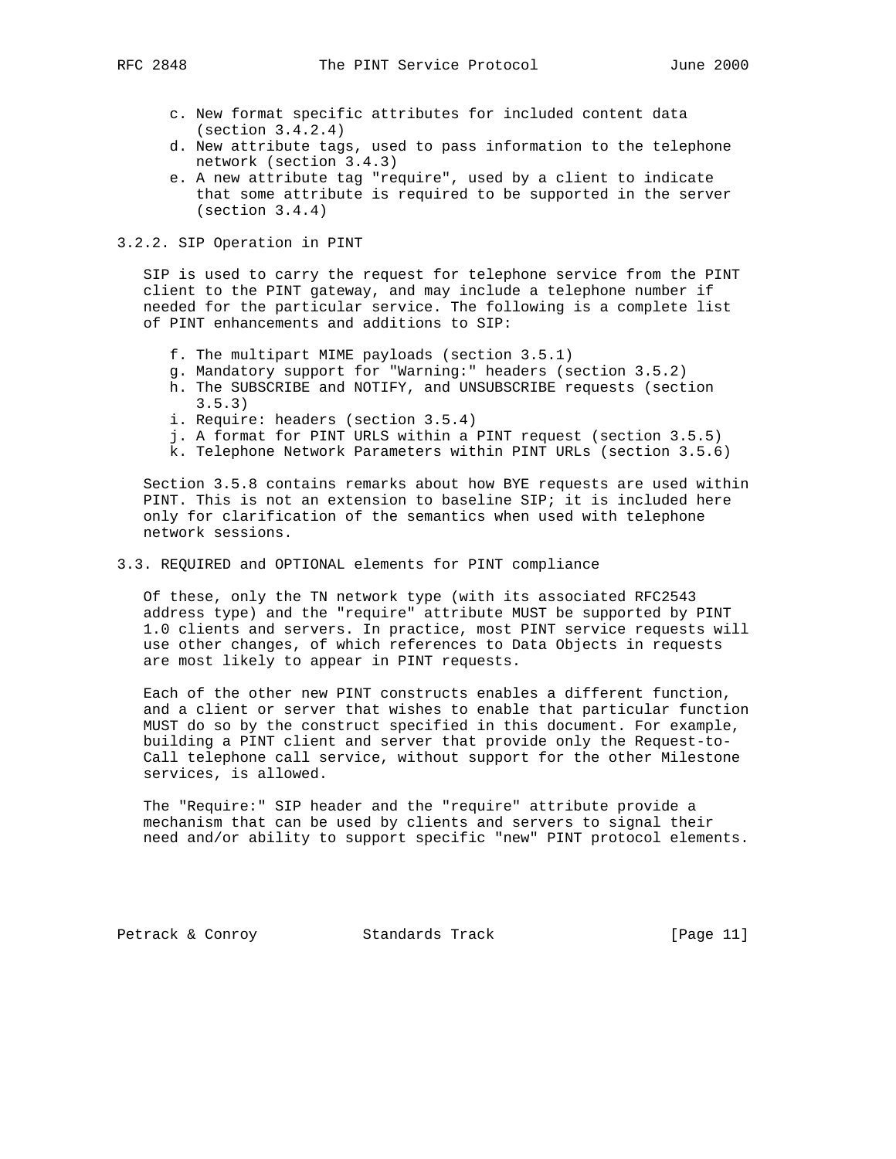- c. New format specific attributes for included content data (section 3.4.2.4)
- d. New attribute tags, used to pass information to the telephone network (section 3.4.3)
- e. A new attribute tag "require", used by a client to indicate that some attribute is required to be supported in the server (section 3.4.4)

3.2.2. SIP Operation in PINT

 SIP is used to carry the request for telephone service from the PINT client to the PINT gateway, and may include a telephone number if needed for the particular service. The following is a complete list of PINT enhancements and additions to SIP:

- f. The multipart MIME payloads (section 3.5.1)
- g. Mandatory support for "Warning:" headers (section 3.5.2)
- h. The SUBSCRIBE and NOTIFY, and UNSUBSCRIBE requests (section 3.5.3)
- i. Require: headers (section 3.5.4)
- j. A format for PINT URLS within a PINT request (section 3.5.5)
- k. Telephone Network Parameters within PINT URLs (section 3.5.6)

 Section 3.5.8 contains remarks about how BYE requests are used within PINT. This is not an extension to baseline SIP; it is included here only for clarification of the semantics when used with telephone network sessions.

## 3.3. REQUIRED and OPTIONAL elements for PINT compliance

 Of these, only the TN network type (with its associated RFC2543 address type) and the "require" attribute MUST be supported by PINT 1.0 clients and servers. In practice, most PINT service requests will use other changes, of which references to Data Objects in requests are most likely to appear in PINT requests.

 Each of the other new PINT constructs enables a different function, and a client or server that wishes to enable that particular function MUST do so by the construct specified in this document. For example, building a PINT client and server that provide only the Request-to- Call telephone call service, without support for the other Milestone services, is allowed.

 The "Require:" SIP header and the "require" attribute provide a mechanism that can be used by clients and servers to signal their need and/or ability to support specific "new" PINT protocol elements.

Petrack & Conroy Standards Track [Page 11]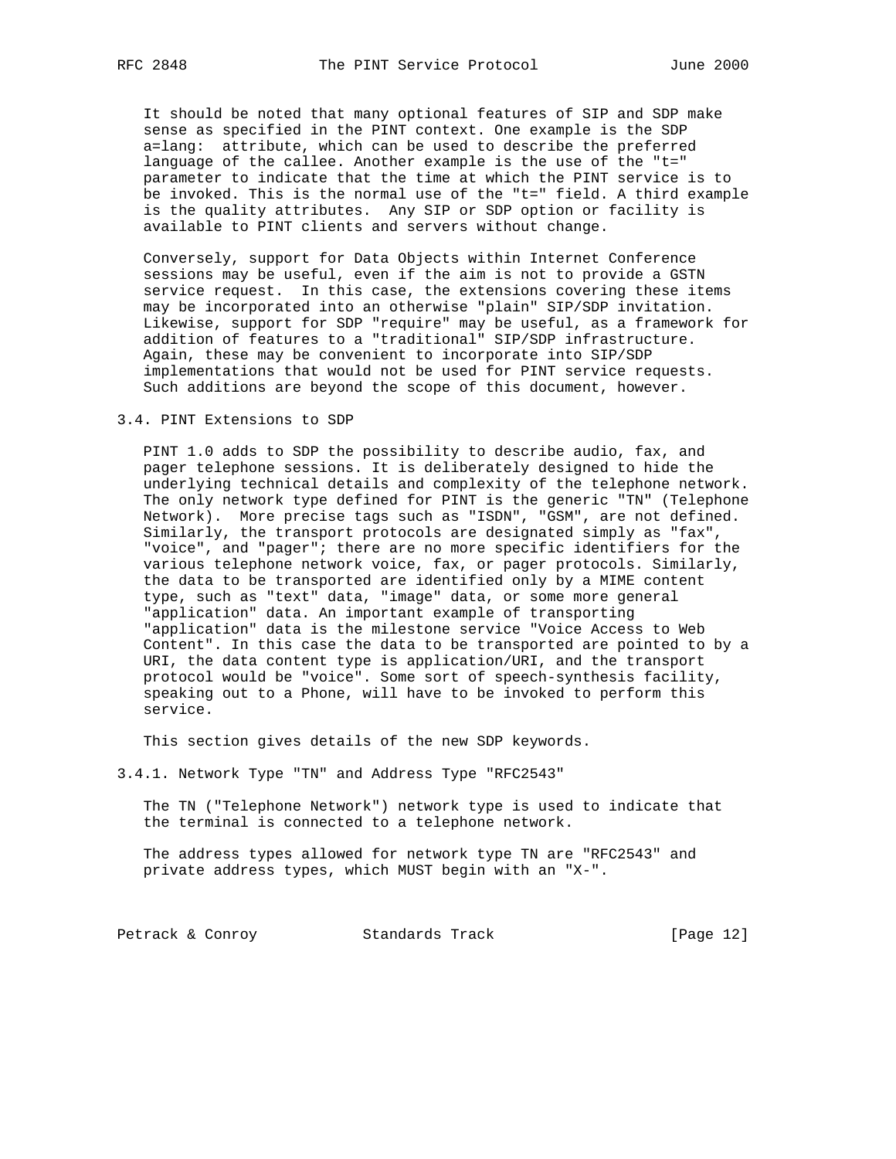It should be noted that many optional features of SIP and SDP make sense as specified in the PINT context. One example is the SDP a=lang: attribute, which can be used to describe the preferred language of the callee. Another example is the use of the "t=" parameter to indicate that the time at which the PINT service is to be invoked. This is the normal use of the "t=" field. A third example is the quality attributes. Any SIP or SDP option or facility is available to PINT clients and servers without change.

 Conversely, support for Data Objects within Internet Conference sessions may be useful, even if the aim is not to provide a GSTN service request. In this case, the extensions covering these items may be incorporated into an otherwise "plain" SIP/SDP invitation. Likewise, support for SDP "require" may be useful, as a framework for addition of features to a "traditional" SIP/SDP infrastructure. Again, these may be convenient to incorporate into SIP/SDP implementations that would not be used for PINT service requests. Such additions are beyond the scope of this document, however.

3.4. PINT Extensions to SDP

 PINT 1.0 adds to SDP the possibility to describe audio, fax, and pager telephone sessions. It is deliberately designed to hide the underlying technical details and complexity of the telephone network. The only network type defined for PINT is the generic "TN" (Telephone Network). More precise tags such as "ISDN", "GSM", are not defined. Similarly, the transport protocols are designated simply as "fax", "voice", and "pager"; there are no more specific identifiers for the various telephone network voice, fax, or pager protocols. Similarly, the data to be transported are identified only by a MIME content type, such as "text" data, "image" data, or some more general "application" data. An important example of transporting "application" data is the milestone service "Voice Access to Web Content". In this case the data to be transported are pointed to by a URI, the data content type is application/URI, and the transport protocol would be "voice". Some sort of speech-synthesis facility, speaking out to a Phone, will have to be invoked to perform this service.

This section gives details of the new SDP keywords.

3.4.1. Network Type "TN" and Address Type "RFC2543"

 The TN ("Telephone Network") network type is used to indicate that the terminal is connected to a telephone network.

 The address types allowed for network type TN are "RFC2543" and private address types, which MUST begin with an "X-".

Petrack & Conroy Standards Track [Page 12]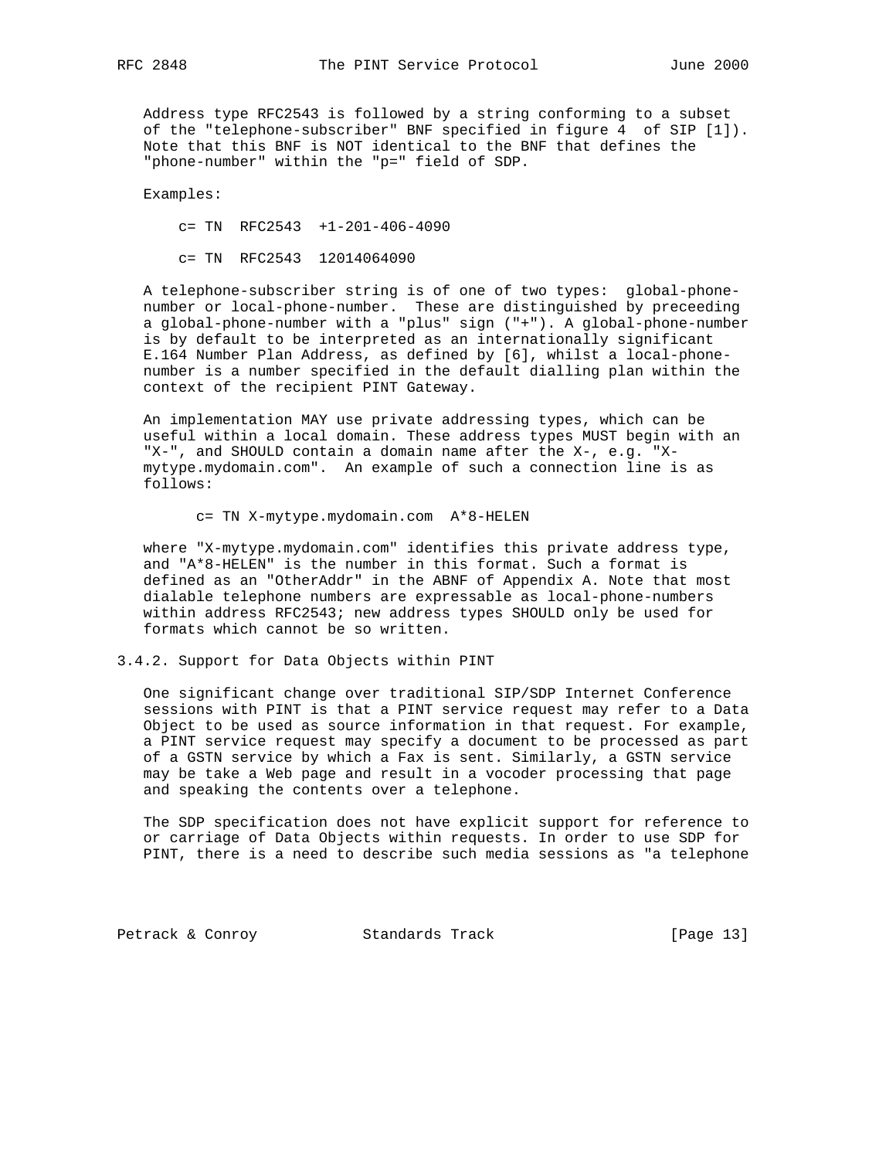Address type RFC2543 is followed by a string conforming to a subset of the "telephone-subscriber" BNF specified in figure 4 of SIP [1]). Note that this BNF is NOT identical to the BNF that defines the "phone-number" within the "p=" field of SDP.

Examples:

c= TN RFC2543 +1-201-406-4090

c= TN RFC2543 12014064090

 A telephone-subscriber string is of one of two types: global-phone number or local-phone-number. These are distinguished by preceeding a global-phone-number with a "plus" sign ("+"). A global-phone-number is by default to be interpreted as an internationally significant E.164 Number Plan Address, as defined by [6], whilst a local-phone number is a number specified in the default dialling plan within the context of the recipient PINT Gateway.

 An implementation MAY use private addressing types, which can be useful within a local domain. These address types MUST begin with an "X-", and SHOULD contain a domain name after the X-, e.g. "X mytype.mydomain.com". An example of such a connection line is as follows:

c= TN X-mytype.mydomain.com A\*8-HELEN

 where "X-mytype.mydomain.com" identifies this private address type, and "A\*8-HELEN" is the number in this format. Such a format is defined as an "OtherAddr" in the ABNF of Appendix A. Note that most dialable telephone numbers are expressable as local-phone-numbers within address RFC2543; new address types SHOULD only be used for formats which cannot be so written.

3.4.2. Support for Data Objects within PINT

 One significant change over traditional SIP/SDP Internet Conference sessions with PINT is that a PINT service request may refer to a Data Object to be used as source information in that request. For example, a PINT service request may specify a document to be processed as part of a GSTN service by which a Fax is sent. Similarly, a GSTN service may be take a Web page and result in a vocoder processing that page and speaking the contents over a telephone.

 The SDP specification does not have explicit support for reference to or carriage of Data Objects within requests. In order to use SDP for PINT, there is a need to describe such media sessions as "a telephone

Petrack & Conroy Standards Track [Page 13]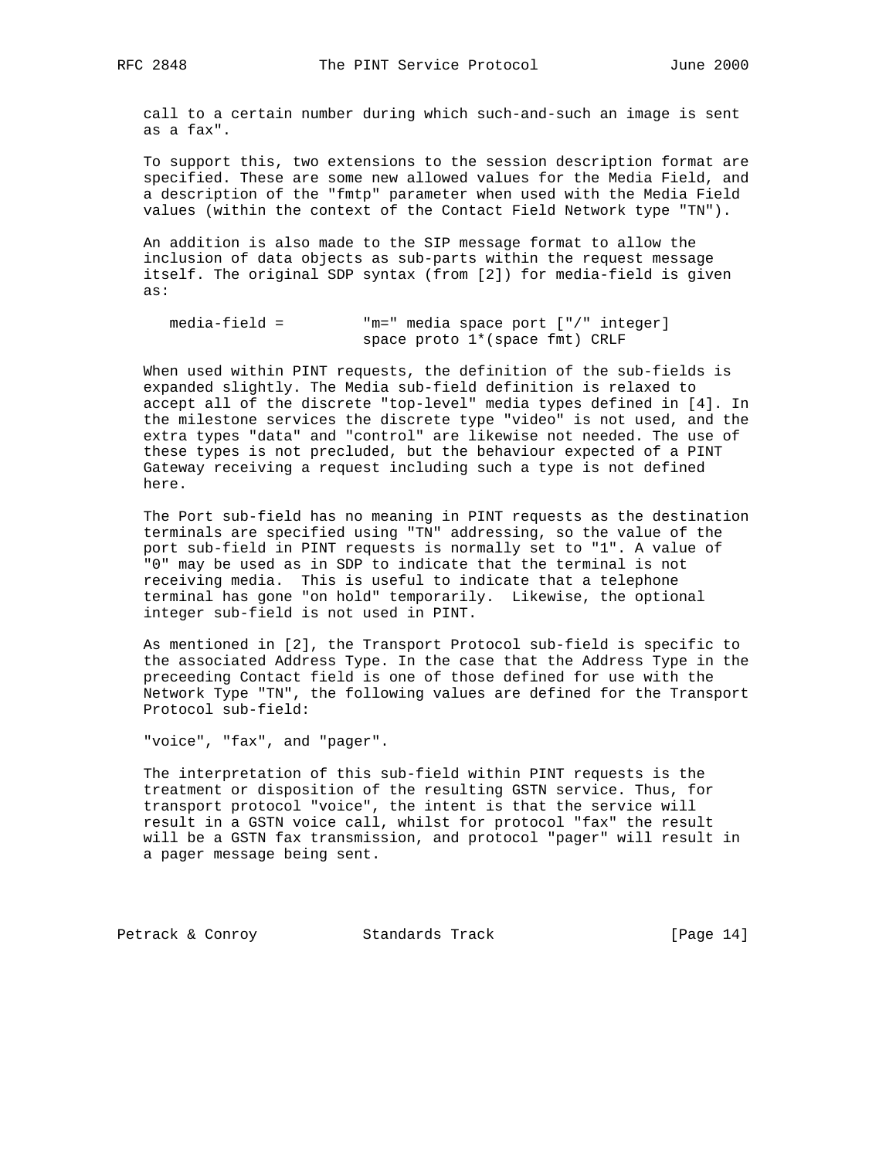call to a certain number during which such-and-such an image is sent as a fax".

 To support this, two extensions to the session description format are specified. These are some new allowed values for the Media Field, and a description of the "fmtp" parameter when used with the Media Field values (within the context of the Contact Field Network type "TN").

 An addition is also made to the SIP message format to allow the inclusion of data objects as sub-parts within the request message itself. The original SDP syntax (from [2]) for media-field is given as:

```
 media-field = "m=" media space port ["/" integer]
                    space proto 1*(space fmt) CRLF
```
 When used within PINT requests, the definition of the sub-fields is expanded slightly. The Media sub-field definition is relaxed to accept all of the discrete "top-level" media types defined in [4]. In the milestone services the discrete type "video" is not used, and the extra types "data" and "control" are likewise not needed. The use of these types is not precluded, but the behaviour expected of a PINT Gateway receiving a request including such a type is not defined here.

 The Port sub-field has no meaning in PINT requests as the destination terminals are specified using "TN" addressing, so the value of the port sub-field in PINT requests is normally set to "1". A value of "0" may be used as in SDP to indicate that the terminal is not receiving media. This is useful to indicate that a telephone terminal has gone "on hold" temporarily. Likewise, the optional integer sub-field is not used in PINT.

 As mentioned in [2], the Transport Protocol sub-field is specific to the associated Address Type. In the case that the Address Type in the preceeding Contact field is one of those defined for use with the Network Type "TN", the following values are defined for the Transport Protocol sub-field:

"voice", "fax", and "pager".

 The interpretation of this sub-field within PINT requests is the treatment or disposition of the resulting GSTN service. Thus, for transport protocol "voice", the intent is that the service will result in a GSTN voice call, whilst for protocol "fax" the result will be a GSTN fax transmission, and protocol "pager" will result in a pager message being sent.

Petrack & Conroy Standards Track [Page 14]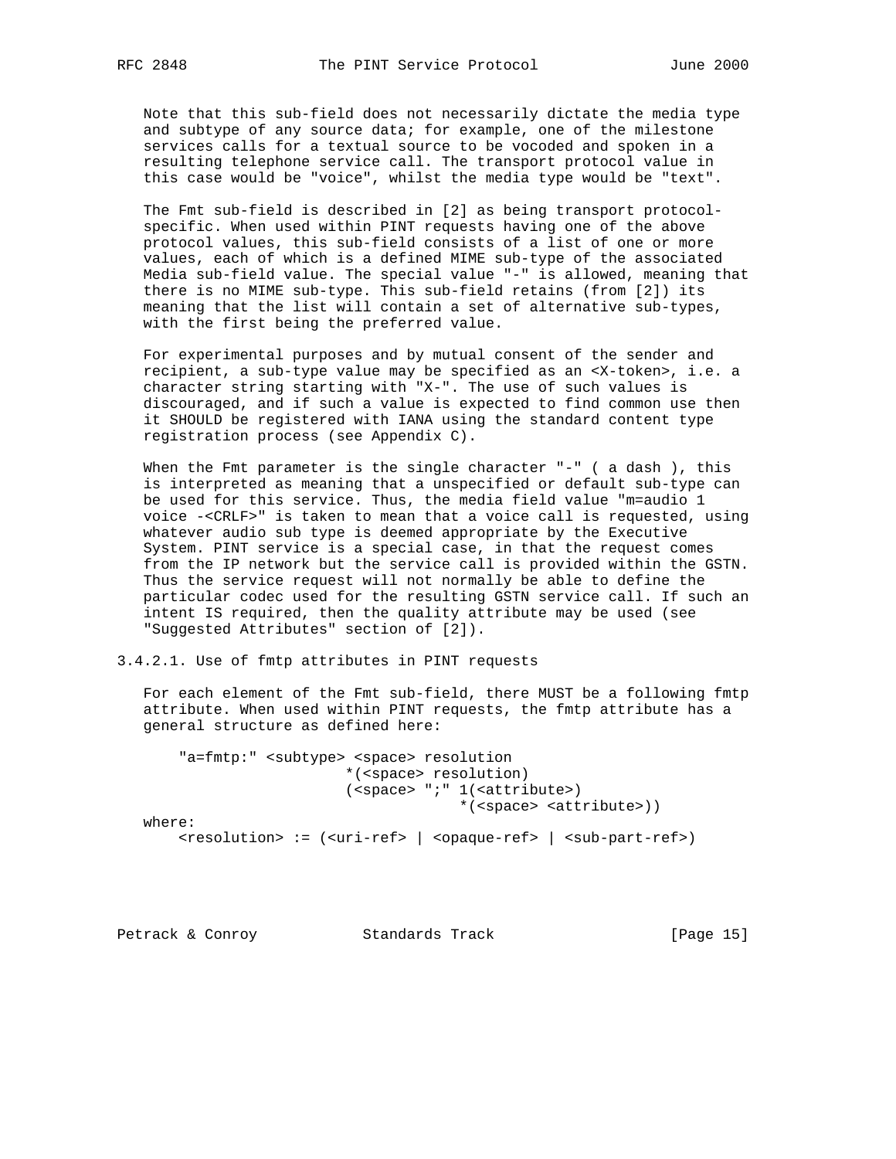Note that this sub-field does not necessarily dictate the media type and subtype of any source data; for example, one of the milestone services calls for a textual source to be vocoded and spoken in a resulting telephone service call. The transport protocol value in this case would be "voice", whilst the media type would be "text".

 The Fmt sub-field is described in [2] as being transport protocol specific. When used within PINT requests having one of the above protocol values, this sub-field consists of a list of one or more values, each of which is a defined MIME sub-type of the associated Media sub-field value. The special value "-" is allowed, meaning that there is no MIME sub-type. This sub-field retains (from [2]) its meaning that the list will contain a set of alternative sub-types, with the first being the preferred value.

 For experimental purposes and by mutual consent of the sender and recipient, a sub-type value may be specified as an <X-token>, i.e. a character string starting with "X-". The use of such values is discouraged, and if such a value is expected to find common use then it SHOULD be registered with IANA using the standard content type registration process (see Appendix C).

When the Fmt parameter is the single character "-" ( a dash ), this is interpreted as meaning that a unspecified or default sub-type can be used for this service. Thus, the media field value "m=audio 1 voice -<CRLF>" is taken to mean that a voice call is requested, using whatever audio sub type is deemed appropriate by the Executive System. PINT service is a special case, in that the request comes from the IP network but the service call is provided within the GSTN. Thus the service request will not normally be able to define the particular codec used for the resulting GSTN service call. If such an intent IS required, then the quality attribute may be used (see "Suggested Attributes" section of [2]).

3.4.2.1. Use of fmtp attributes in PINT requests

 For each element of the Fmt sub-field, there MUST be a following fmtp attribute. When used within PINT requests, the fmtp attribute has a general structure as defined here:

 "a=fmtp:" <subtype> <space> resolution \*(<space> resolution) (<space> ";" 1(<attribute>) \*(<space> <attribute>)) where:  $<$ resolution> :=  $(*uri-ref* > | *opaque-ref* > | *sub-part-ref* >)$ 

Petrack & Conroy Standards Track [Page 15]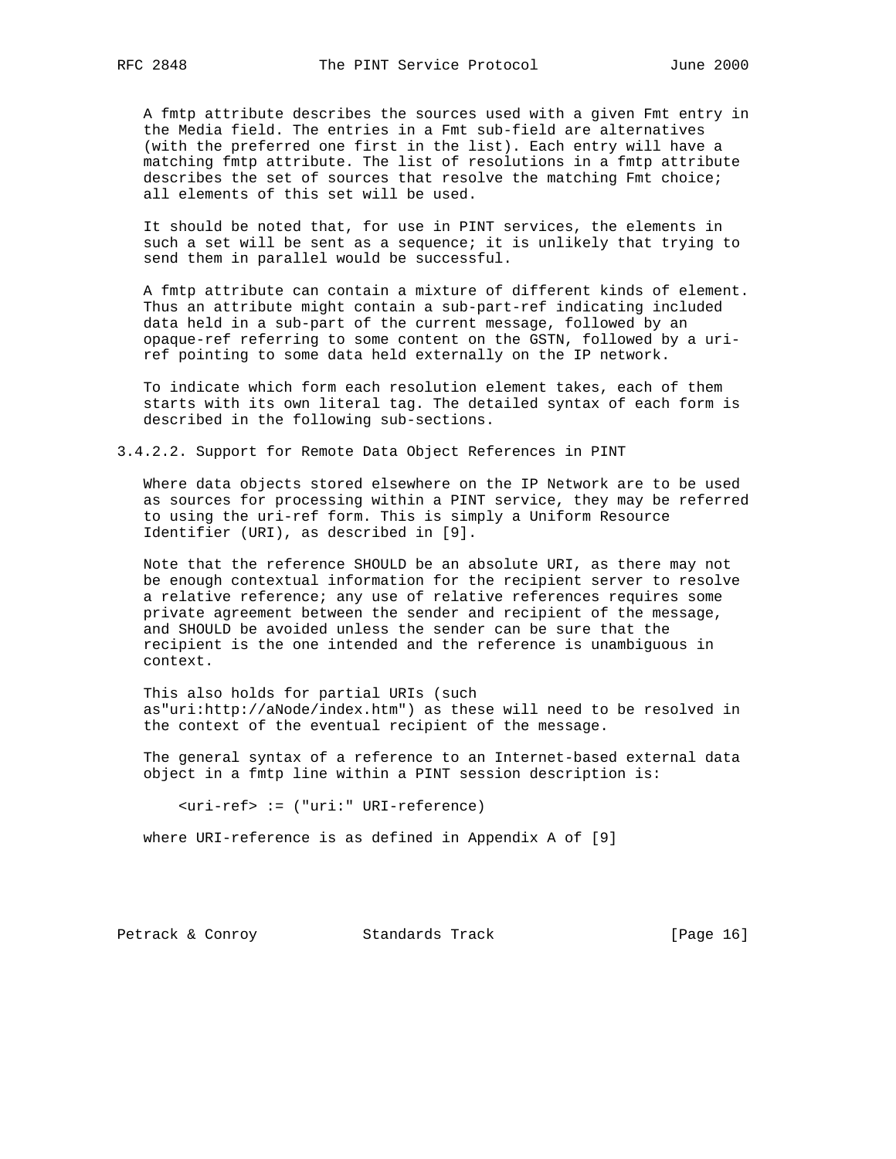A fmtp attribute describes the sources used with a given Fmt entry in the Media field. The entries in a Fmt sub-field are alternatives (with the preferred one first in the list). Each entry will have a matching fmtp attribute. The list of resolutions in a fmtp attribute describes the set of sources that resolve the matching Fmt choice; all elements of this set will be used.

 It should be noted that, for use in PINT services, the elements in such a set will be sent as a sequence; it is unlikely that trying to send them in parallel would be successful.

 A fmtp attribute can contain a mixture of different kinds of element. Thus an attribute might contain a sub-part-ref indicating included data held in a sub-part of the current message, followed by an opaque-ref referring to some content on the GSTN, followed by a uri ref pointing to some data held externally on the IP network.

 To indicate which form each resolution element takes, each of them starts with its own literal tag. The detailed syntax of each form is described in the following sub-sections.

3.4.2.2. Support for Remote Data Object References in PINT

 Where data objects stored elsewhere on the IP Network are to be used as sources for processing within a PINT service, they may be referred to using the uri-ref form. This is simply a Uniform Resource Identifier (URI), as described in [9].

 Note that the reference SHOULD be an absolute URI, as there may not be enough contextual information for the recipient server to resolve a relative reference; any use of relative references requires some private agreement between the sender and recipient of the message, and SHOULD be avoided unless the sender can be sure that the recipient is the one intended and the reference is unambiguous in context.

 This also holds for partial URIs (such as"uri:http://aNode/index.htm") as these will need to be resolved in the context of the eventual recipient of the message.

 The general syntax of a reference to an Internet-based external data object in a fmtp line within a PINT session description is:

<uri-ref> := ("uri:" URI-reference)

where URI-reference is as defined in Appendix A of [9]

Petrack & Conroy Standards Track [Page 16]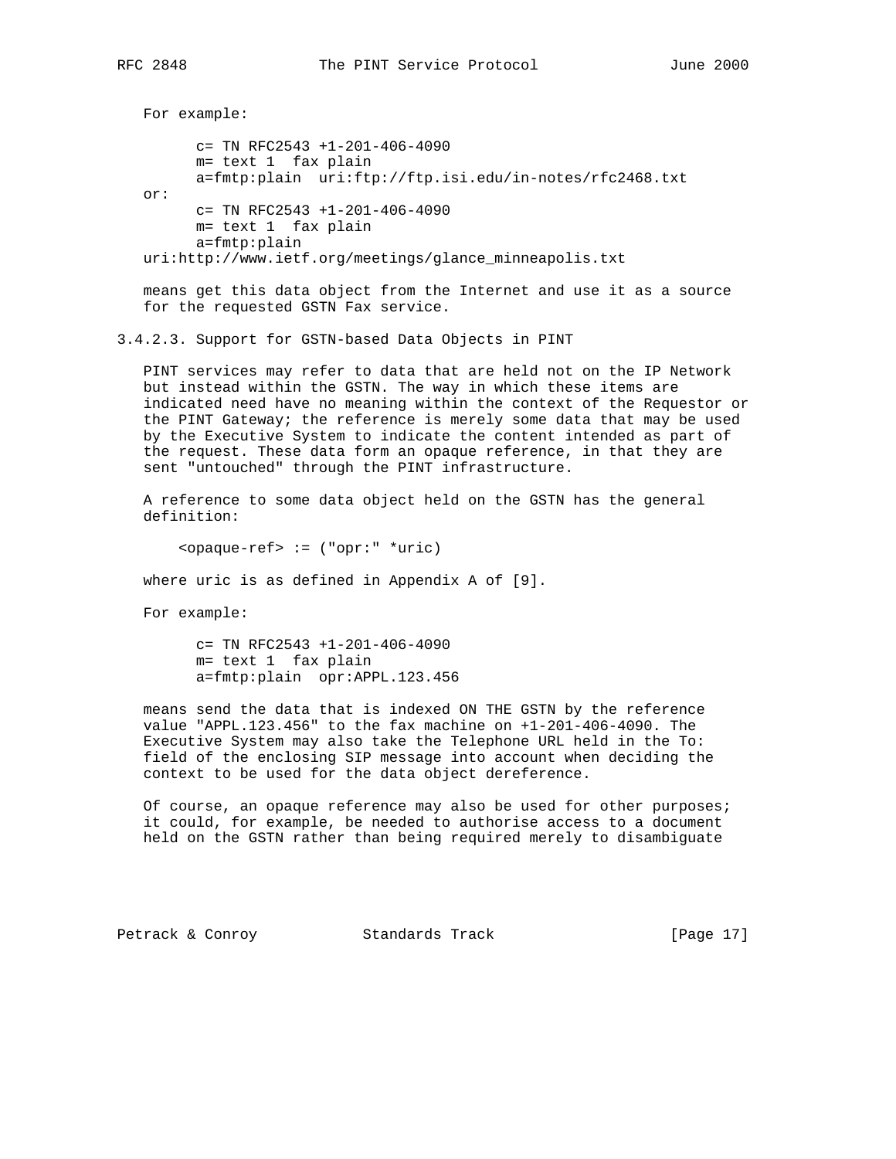For example: c= TN RFC2543 +1-201-406-4090 m= text 1 fax plain a=fmtp:plain uri:ftp://ftp.isi.edu/in-notes/rfc2468.txt or: c= TN RFC2543 +1-201-406-4090 m= text 1 fax plain a=fmtp:plain uri:http://www.ietf.org/meetings/glance\_minneapolis.txt

 means get this data object from the Internet and use it as a source for the requested GSTN Fax service.

3.4.2.3. Support for GSTN-based Data Objects in PINT

 PINT services may refer to data that are held not on the IP Network but instead within the GSTN. The way in which these items are indicated need have no meaning within the context of the Requestor or the PINT Gateway; the reference is merely some data that may be used by the Executive System to indicate the content intended as part of the request. These data form an opaque reference, in that they are sent "untouched" through the PINT infrastructure.

 A reference to some data object held on the GSTN has the general definition:

<opaque-ref> := ("opr:" \*uric)

where uric is as defined in Appendix A of [9].

For example:

 c= TN RFC2543 +1-201-406-4090 m= text 1 fax plain a=fmtp:plain opr:APPL.123.456

 means send the data that is indexed ON THE GSTN by the reference value "APPL.123.456" to the fax machine on +1-201-406-4090. The Executive System may also take the Telephone URL held in the To: field of the enclosing SIP message into account when deciding the context to be used for the data object dereference.

 Of course, an opaque reference may also be used for other purposes; it could, for example, be needed to authorise access to a document held on the GSTN rather than being required merely to disambiguate

Petrack & Conroy Standards Track [Page 17]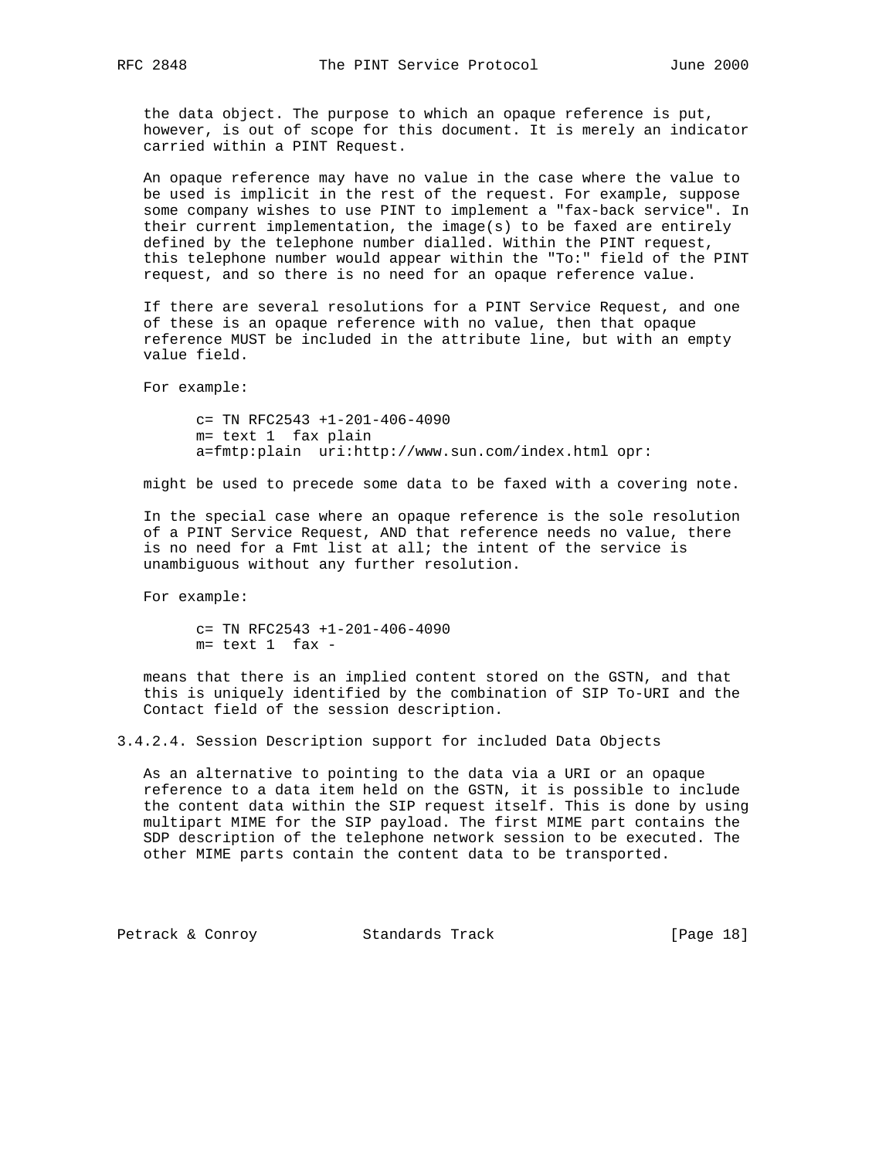the data object. The purpose to which an opaque reference is put, however, is out of scope for this document. It is merely an indicator carried within a PINT Request.

 An opaque reference may have no value in the case where the value to be used is implicit in the rest of the request. For example, suppose some company wishes to use PINT to implement a "fax-back service". In their current implementation, the image(s) to be faxed are entirely defined by the telephone number dialled. Within the PINT request, this telephone number would appear within the "To:" field of the PINT request, and so there is no need for an opaque reference value.

 If there are several resolutions for a PINT Service Request, and one of these is an opaque reference with no value, then that opaque reference MUST be included in the attribute line, but with an empty value field.

For example:

 c= TN RFC2543 +1-201-406-4090 m= text 1 fax plain a=fmtp:plain uri:http://www.sun.com/index.html opr:

might be used to precede some data to be faxed with a covering note.

 In the special case where an opaque reference is the sole resolution of a PINT Service Request, AND that reference needs no value, there is no need for a Fmt list at all; the intent of the service is unambiguous without any further resolution.

For example:

 c= TN RFC2543 +1-201-406-4090 m= text 1 fax -

 means that there is an implied content stored on the GSTN, and that this is uniquely identified by the combination of SIP To-URI and the Contact field of the session description.

3.4.2.4. Session Description support for included Data Objects

 As an alternative to pointing to the data via a URI or an opaque reference to a data item held on the GSTN, it is possible to include the content data within the SIP request itself. This is done by using multipart MIME for the SIP payload. The first MIME part contains the SDP description of the telephone network session to be executed. The other MIME parts contain the content data to be transported.

Petrack & Conroy Standards Track [Page 18]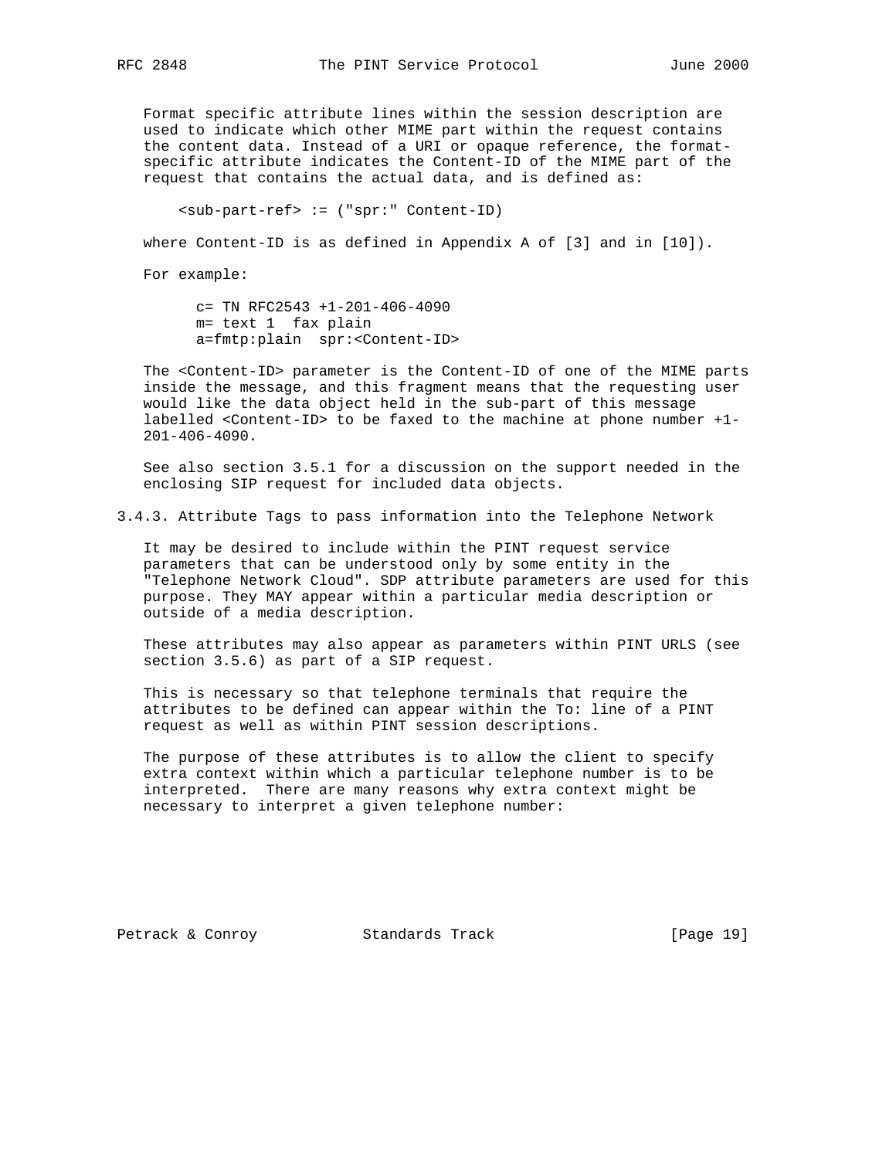Format specific attribute lines within the session description are used to indicate which other MIME part within the request contains the content data. Instead of a URI or opaque reference, the format specific attribute indicates the Content-ID of the MIME part of the request that contains the actual data, and is defined as:

<sub-part-ref> := ("spr:" Content-ID)

where Content-ID is as defined in Appendix A of [3] and in [10]).

For example:

 c= TN RFC2543 +1-201-406-4090 m= text 1 fax plain a=fmtp:plain spr:<Content-ID>

 The <Content-ID> parameter is the Content-ID of one of the MIME parts inside the message, and this fragment means that the requesting user would like the data object held in the sub-part of this message labelled <Content-ID> to be faxed to the machine at phone number +1- 201-406-4090.

 See also section 3.5.1 for a discussion on the support needed in the enclosing SIP request for included data objects.

3.4.3. Attribute Tags to pass information into the Telephone Network

 It may be desired to include within the PINT request service parameters that can be understood only by some entity in the "Telephone Network Cloud". SDP attribute parameters are used for this purpose. They MAY appear within a particular media description or outside of a media description.

 These attributes may also appear as parameters within PINT URLS (see section 3.5.6) as part of a SIP request.

 This is necessary so that telephone terminals that require the attributes to be defined can appear within the To: line of a PINT request as well as within PINT session descriptions.

 The purpose of these attributes is to allow the client to specify extra context within which a particular telephone number is to be interpreted. There are many reasons why extra context might be necessary to interpret a given telephone number:

Petrack & Conroy Standards Track [Page 19]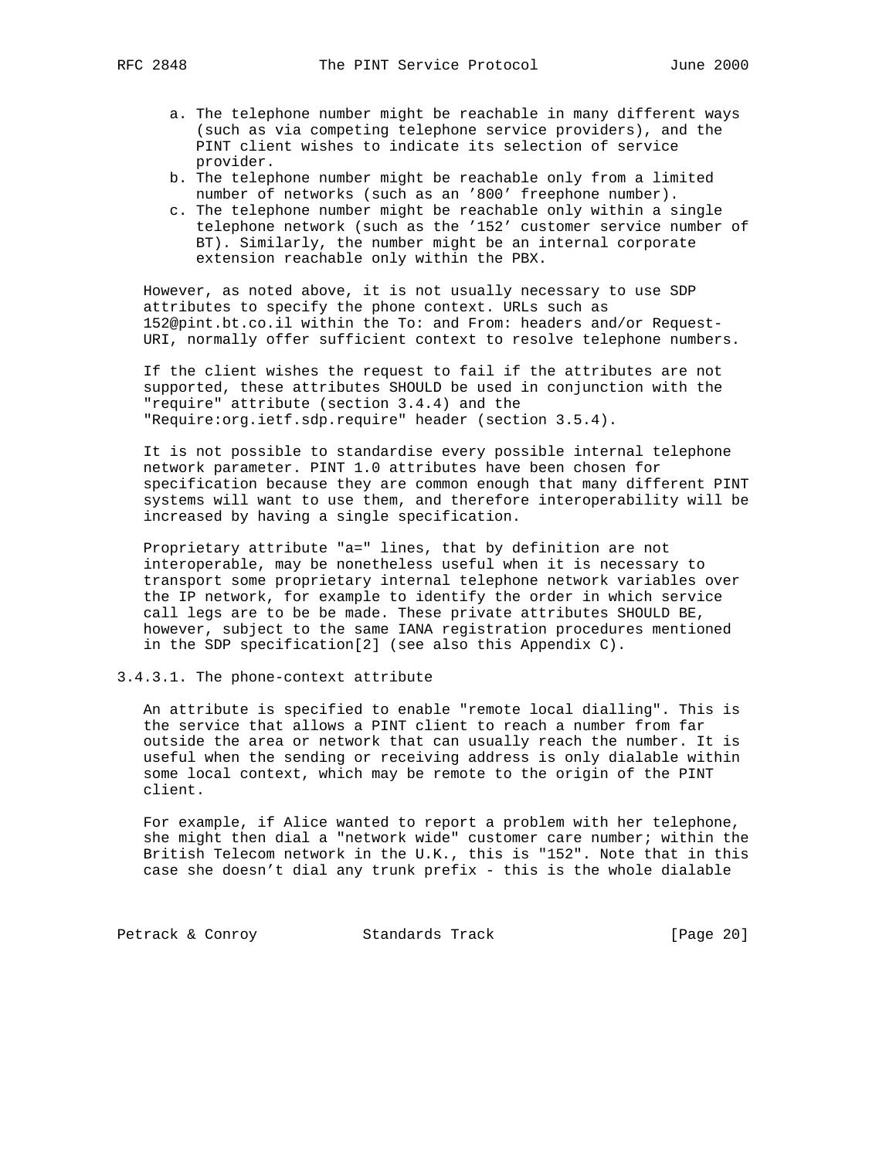- a. The telephone number might be reachable in many different ways (such as via competing telephone service providers), and the PINT client wishes to indicate its selection of service provider.
- b. The telephone number might be reachable only from a limited number of networks (such as an '800' freephone number).
- c. The telephone number might be reachable only within a single telephone network (such as the '152' customer service number of BT). Similarly, the number might be an internal corporate extension reachable only within the PBX.

 However, as noted above, it is not usually necessary to use SDP attributes to specify the phone context. URLs such as 152@pint.bt.co.il within the To: and From: headers and/or Request- URI, normally offer sufficient context to resolve telephone numbers.

 If the client wishes the request to fail if the attributes are not supported, these attributes SHOULD be used in conjunction with the "require" attribute (section 3.4.4) and the "Require:org.ietf.sdp.require" header (section 3.5.4).

 It is not possible to standardise every possible internal telephone network parameter. PINT 1.0 attributes have been chosen for specification because they are common enough that many different PINT systems will want to use them, and therefore interoperability will be increased by having a single specification.

 Proprietary attribute "a=" lines, that by definition are not interoperable, may be nonetheless useful when it is necessary to transport some proprietary internal telephone network variables over the IP network, for example to identify the order in which service call legs are to be be made. These private attributes SHOULD BE, however, subject to the same IANA registration procedures mentioned in the SDP specification[2] (see also this Appendix C).

3.4.3.1. The phone-context attribute

 An attribute is specified to enable "remote local dialling". This is the service that allows a PINT client to reach a number from far outside the area or network that can usually reach the number. It is useful when the sending or receiving address is only dialable within some local context, which may be remote to the origin of the PINT client.

 For example, if Alice wanted to report a problem with her telephone, she might then dial a "network wide" customer care number; within the British Telecom network in the U.K., this is "152". Note that in this case she doesn't dial any trunk prefix - this is the whole dialable

Petrack & Conroy Standards Track [Page 20]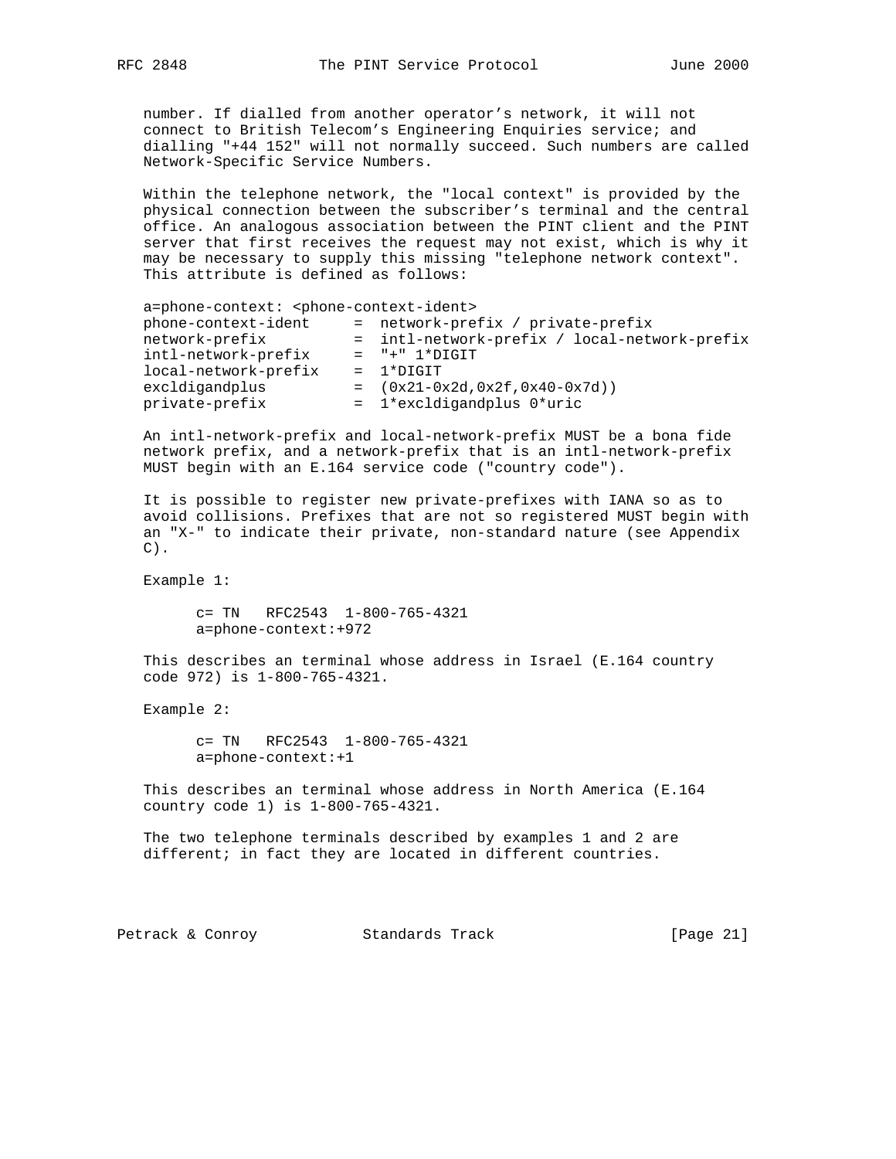number. If dialled from another operator's network, it will not connect to British Telecom's Engineering Enquiries service; and dialling "+44 152" will not normally succeed. Such numbers are called Network-Specific Service Numbers.

 Within the telephone network, the "local context" is provided by the physical connection between the subscriber's terminal and the central office. An analogous association between the PINT client and the PINT server that first receives the request may not exist, which is why it may be necessary to supply this missing "telephone network context". This attribute is defined as follows:

| a=phone-context: <phone-context-ident></phone-context-ident> |                                              |
|--------------------------------------------------------------|----------------------------------------------|
| phone-context-ident                                          | = network-prefix / private-prefix            |
| network-prefix                                               | = intl-network-prefix / local-network-prefix |
| intl-network-prefix                                          | $=$ "+" $1*DiffIT$                           |
| local-network-prefix                                         | $= 1*DTGIT$                                  |
| excldigandplus                                               | $= (0x21-0x2d, 0x2f, 0x40-0x7d))$            |
| private-prefix                                               | $= 1*excluding and plus 0*uric$              |

 An intl-network-prefix and local-network-prefix MUST be a bona fide network prefix, and a network-prefix that is an intl-network-prefix MUST begin with an E.164 service code ("country code").

 It is possible to register new private-prefixes with IANA so as to avoid collisions. Prefixes that are not so registered MUST begin with an "X-" to indicate their private, non-standard nature (see Appendix  $C$ ).

Example 1:

 c= TN RFC2543 1-800-765-4321 a=phone-context:+972

 This describes an terminal whose address in Israel (E.164 country code 972) is 1-800-765-4321.

Example 2:

 c= TN RFC2543 1-800-765-4321 a=phone-context:+1

 This describes an terminal whose address in North America (E.164 country code 1) is 1-800-765-4321.

 The two telephone terminals described by examples 1 and 2 are different; in fact they are located in different countries.

Petrack & Conroy Standards Track [Page 21]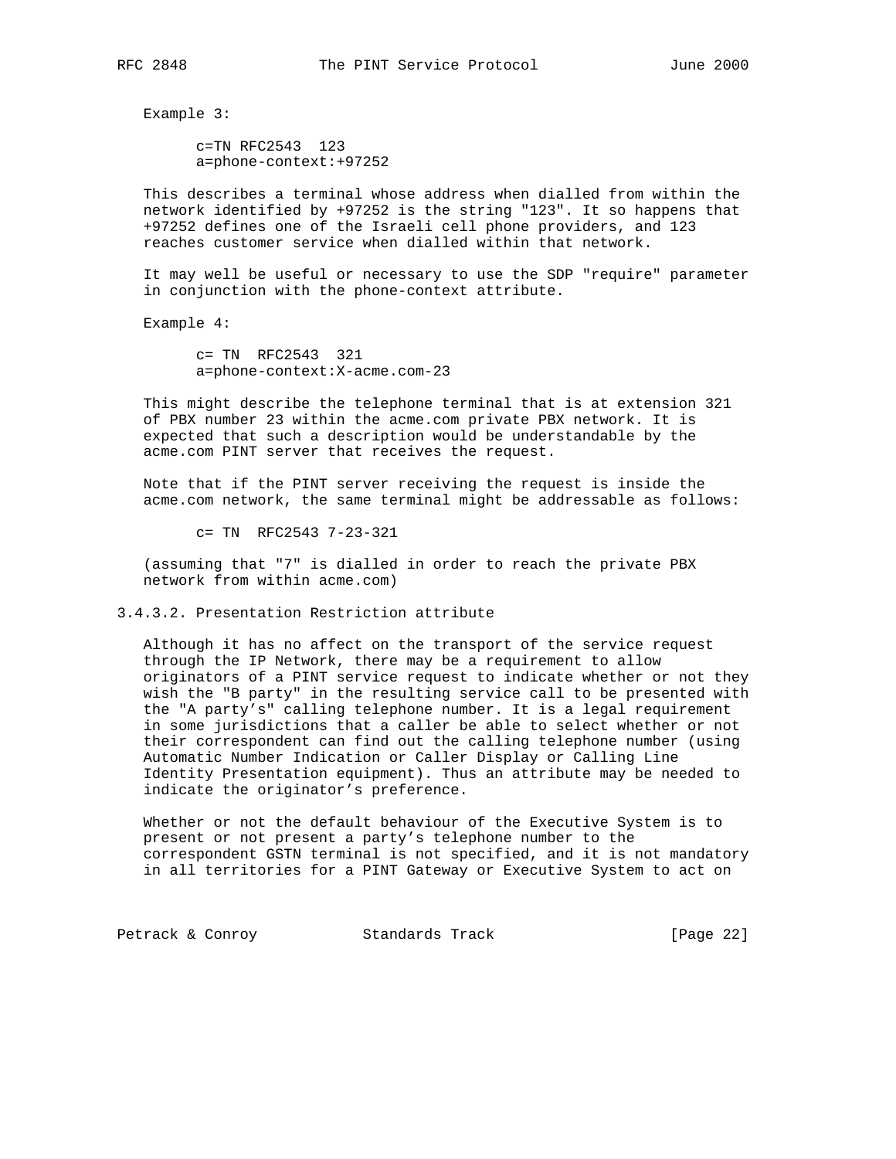Example 3:

 c=TN RFC2543 123 a=phone-context:+97252

 This describes a terminal whose address when dialled from within the network identified by +97252 is the string "123". It so happens that +97252 defines one of the Israeli cell phone providers, and 123 reaches customer service when dialled within that network.

 It may well be useful or necessary to use the SDP "require" parameter in conjunction with the phone-context attribute.

Example 4:

 c= TN RFC2543 321 a=phone-context:X-acme.com-23

 This might describe the telephone terminal that is at extension 321 of PBX number 23 within the acme.com private PBX network. It is expected that such a description would be understandable by the acme.com PINT server that receives the request.

 Note that if the PINT server receiving the request is inside the acme.com network, the same terminal might be addressable as follows:

c= TN RFC2543 7-23-321

 (assuming that "7" is dialled in order to reach the private PBX network from within acme.com)

3.4.3.2. Presentation Restriction attribute

 Although it has no affect on the transport of the service request through the IP Network, there may be a requirement to allow originators of a PINT service request to indicate whether or not they wish the "B party" in the resulting service call to be presented with the "A party's" calling telephone number. It is a legal requirement in some jurisdictions that a caller be able to select whether or not their correspondent can find out the calling telephone number (using Automatic Number Indication or Caller Display or Calling Line Identity Presentation equipment). Thus an attribute may be needed to indicate the originator's preference.

 Whether or not the default behaviour of the Executive System is to present or not present a party's telephone number to the correspondent GSTN terminal is not specified, and it is not mandatory in all territories for a PINT Gateway or Executive System to act on

Petrack & Conroy Standards Track [Page 22]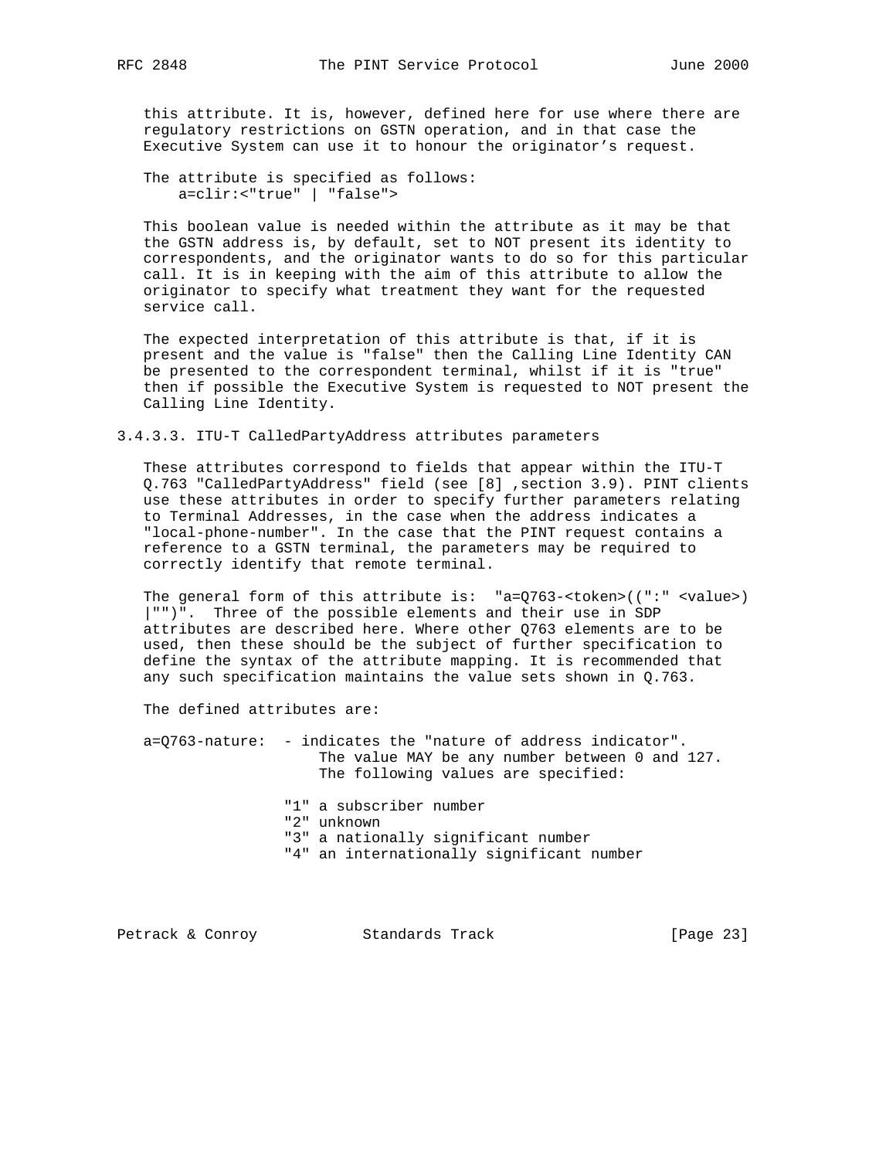this attribute. It is, however, defined here for use where there are regulatory restrictions on GSTN operation, and in that case the Executive System can use it to honour the originator's request.

 The attribute is specified as follows: a=clir:<"true" | "false">

 This boolean value is needed within the attribute as it may be that the GSTN address is, by default, set to NOT present its identity to correspondents, and the originator wants to do so for this particular call. It is in keeping with the aim of this attribute to allow the originator to specify what treatment they want for the requested service call.

 The expected interpretation of this attribute is that, if it is present and the value is "false" then the Calling Line Identity CAN be presented to the correspondent terminal, whilst if it is "true" then if possible the Executive System is requested to NOT present the Calling Line Identity.

3.4.3.3. ITU-T CalledPartyAddress attributes parameters

 These attributes correspond to fields that appear within the ITU-T Q.763 "CalledPartyAddress" field (see [8] ,section 3.9). PINT clients use these attributes in order to specify further parameters relating to Terminal Addresses, in the case when the address indicates a "local-phone-number". In the case that the PINT request contains a reference to a GSTN terminal, the parameters may be required to correctly identify that remote terminal.

The general form of this attribute is: "a=Q763-<token>((":" <value>) |"")". Three of the possible elements and their use in SDP attributes are described here. Where other Q763 elements are to be used, then these should be the subject of further specification to define the syntax of the attribute mapping. It is recommended that any such specification maintains the value sets shown in Q.763.

The defined attributes are:

 a=Q763-nature: - indicates the "nature of address indicator". The value MAY be any number between 0 and 127. The following values are specified:

- "1" a subscriber number
- "2" unknown
- "3" a nationally significant number
- "4" an internationally significant number

Petrack & Conroy Standards Track [Page 23]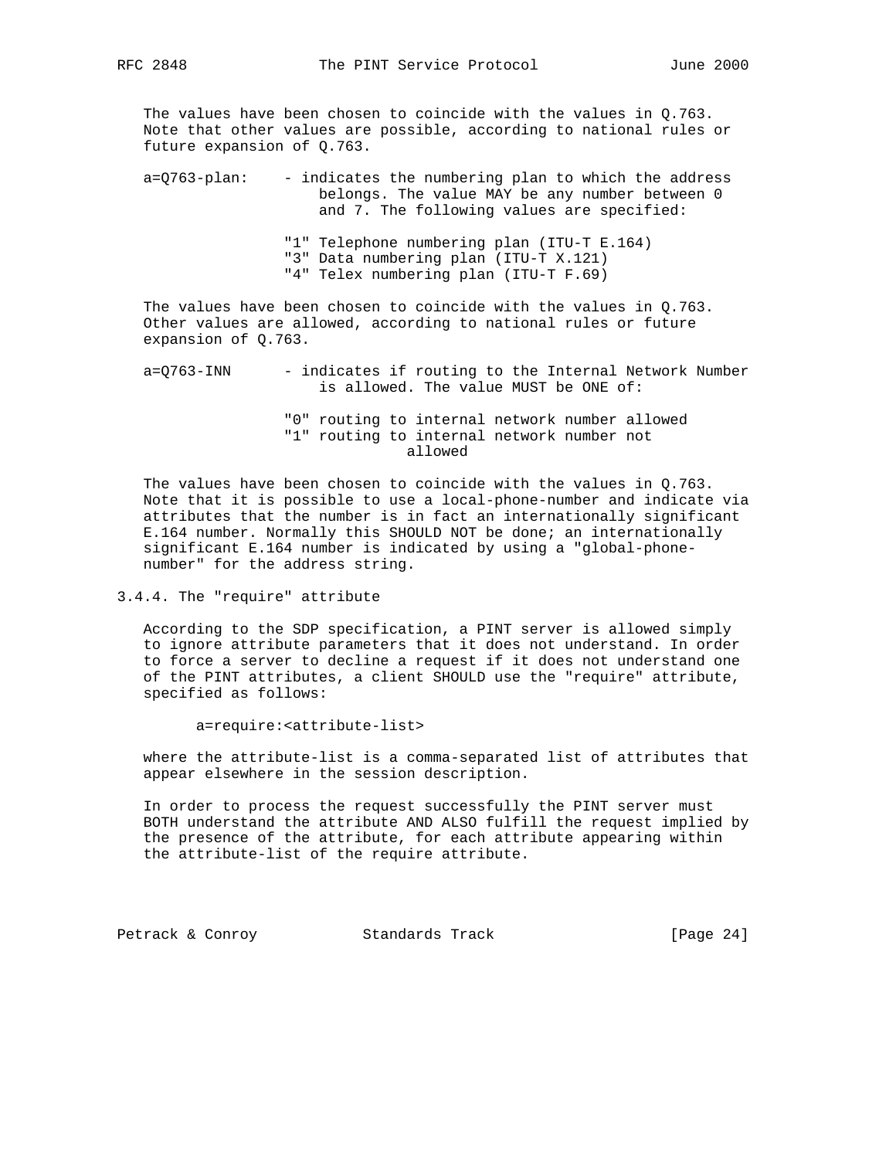The values have been chosen to coincide with the values in Q.763. Note that other values are possible, according to national rules or future expansion of Q.763.

 a=Q763-plan: - indicates the numbering plan to which the address belongs. The value MAY be any number between 0 and 7. The following values are specified:

"1" Telephone numbering plan (ITU-T E.164)

"3" Data numbering plan (ITU-T X.121)

"4" Telex numbering plan (ITU-T F.69)

 The values have been chosen to coincide with the values in Q.763. Other values are allowed, according to national rules or future expansion of Q.763.

a=Q763-INN - indicates if routing to the Internal Network Number is allowed. The value MUST be ONE of:

> "0" routing to internal network number allowed "1" routing to internal network number not allowed

 The values have been chosen to coincide with the values in Q.763. Note that it is possible to use a local-phone-number and indicate via attributes that the number is in fact an internationally significant E.164 number. Normally this SHOULD NOT be done; an internationally significant E.164 number is indicated by using a "global-phone number" for the address string.

3.4.4. The "require" attribute

 According to the SDP specification, a PINT server is allowed simply to ignore attribute parameters that it does not understand. In order to force a server to decline a request if it does not understand one of the PINT attributes, a client SHOULD use the "require" attribute, specified as follows:

a=require:<attribute-list>

 where the attribute-list is a comma-separated list of attributes that appear elsewhere in the session description.

 In order to process the request successfully the PINT server must BOTH understand the attribute AND ALSO fulfill the request implied by the presence of the attribute, for each attribute appearing within the attribute-list of the require attribute.

Petrack & Conroy Standards Track [Page 24]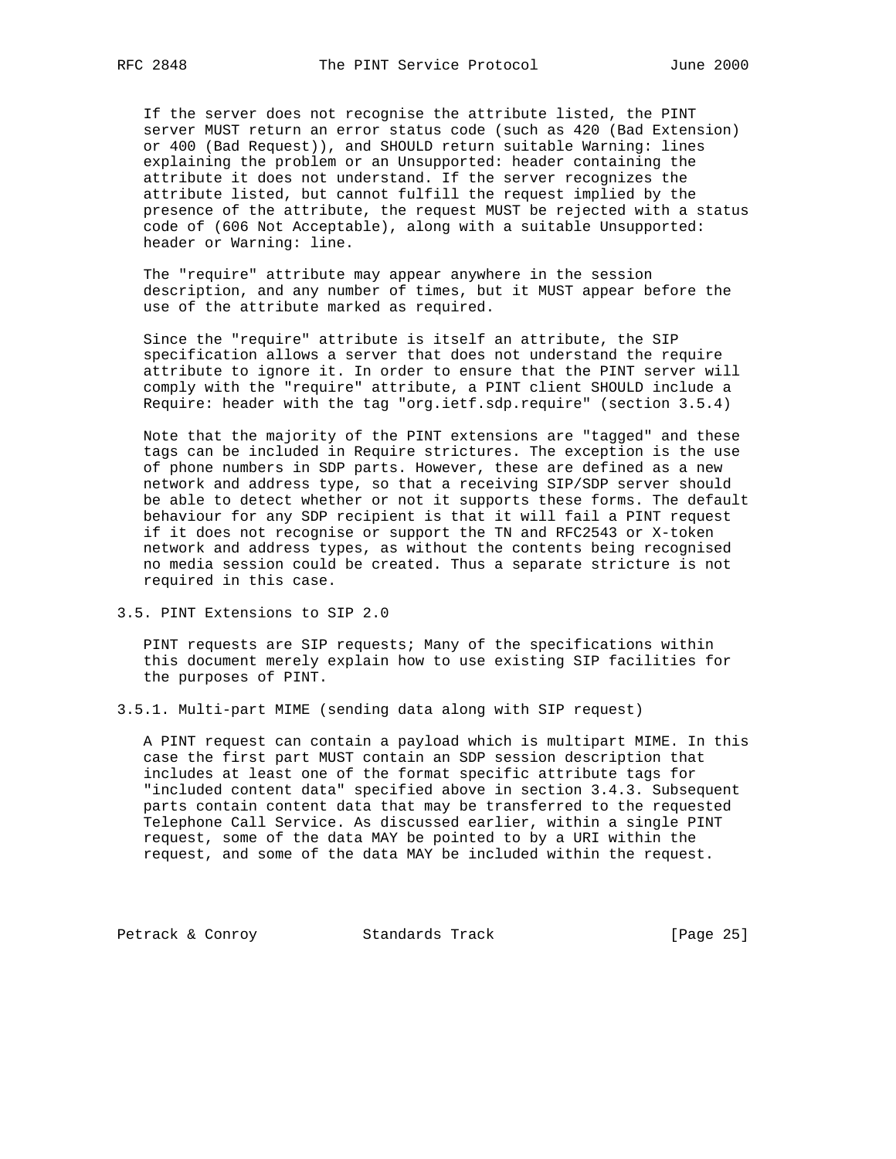If the server does not recognise the attribute listed, the PINT server MUST return an error status code (such as 420 (Bad Extension) or 400 (Bad Request)), and SHOULD return suitable Warning: lines explaining the problem or an Unsupported: header containing the attribute it does not understand. If the server recognizes the attribute listed, but cannot fulfill the request implied by the presence of the attribute, the request MUST be rejected with a status code of (606 Not Acceptable), along with a suitable Unsupported: header or Warning: line.

 The "require" attribute may appear anywhere in the session description, and any number of times, but it MUST appear before the use of the attribute marked as required.

 Since the "require" attribute is itself an attribute, the SIP specification allows a server that does not understand the require attribute to ignore it. In order to ensure that the PINT server will comply with the "require" attribute, a PINT client SHOULD include a Require: header with the tag "org.ietf.sdp.require" (section 3.5.4)

 Note that the majority of the PINT extensions are "tagged" and these tags can be included in Require strictures. The exception is the use of phone numbers in SDP parts. However, these are defined as a new network and address type, so that a receiving SIP/SDP server should be able to detect whether or not it supports these forms. The default behaviour for any SDP recipient is that it will fail a PINT request if it does not recognise or support the TN and RFC2543 or X-token network and address types, as without the contents being recognised no media session could be created. Thus a separate stricture is not required in this case.

3.5. PINT Extensions to SIP 2.0

 PINT requests are SIP requests; Many of the specifications within this document merely explain how to use existing SIP facilities for the purposes of PINT.

3.5.1. Multi-part MIME (sending data along with SIP request)

 A PINT request can contain a payload which is multipart MIME. In this case the first part MUST contain an SDP session description that includes at least one of the format specific attribute tags for "included content data" specified above in section 3.4.3. Subsequent parts contain content data that may be transferred to the requested Telephone Call Service. As discussed earlier, within a single PINT request, some of the data MAY be pointed to by a URI within the request, and some of the data MAY be included within the request.

Petrack & Conroy Standards Track [Page 25]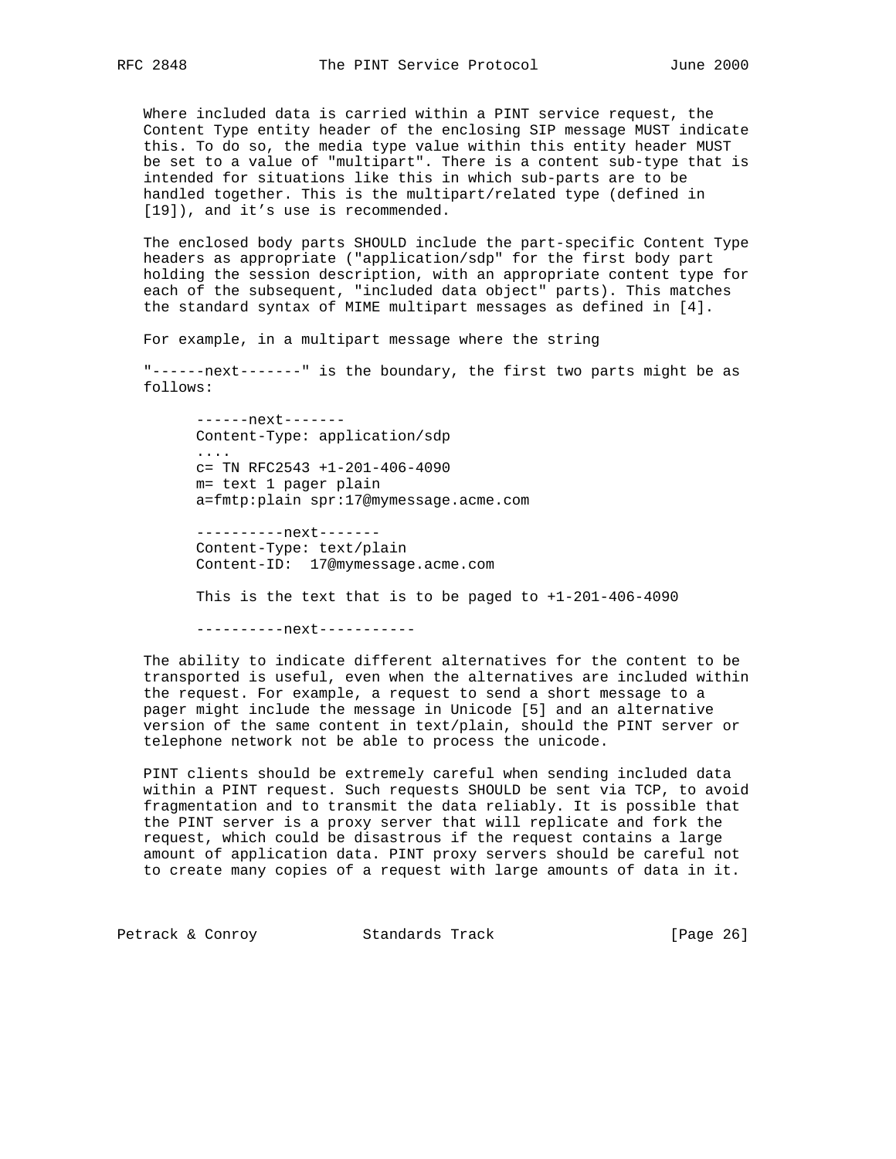Where included data is carried within a PINT service request, the Content Type entity header of the enclosing SIP message MUST indicate this. To do so, the media type value within this entity header MUST be set to a value of "multipart". There is a content sub-type that is intended for situations like this in which sub-parts are to be handled together. This is the multipart/related type (defined in [19]), and it's use is recommended.

 The enclosed body parts SHOULD include the part-specific Content Type headers as appropriate ("application/sdp" for the first body part holding the session description, with an appropriate content type for each of the subsequent, "included data object" parts). This matches the standard syntax of MIME multipart messages as defined in [4].

For example, in a multipart message where the string

 "------next-------" is the boundary, the first two parts might be as follows:

 ------next------- Content-Type: application/sdp .... c= TN RFC2543 +1-201-406-4090 m= text 1 pager plain a=fmtp:plain spr:17@mymessage.acme.com

----------next------- Content-Type: text/plain Content-ID: 17@mymessage.acme.com

This is the text that is to be paged to +1-201-406-4090

----------next-----------

 The ability to indicate different alternatives for the content to be transported is useful, even when the alternatives are included within the request. For example, a request to send a short message to a pager might include the message in Unicode [5] and an alternative version of the same content in text/plain, should the PINT server or telephone network not be able to process the unicode.

 PINT clients should be extremely careful when sending included data within a PINT request. Such requests SHOULD be sent via TCP, to avoid fragmentation and to transmit the data reliably. It is possible that the PINT server is a proxy server that will replicate and fork the request, which could be disastrous if the request contains a large amount of application data. PINT proxy servers should be careful not to create many copies of a request with large amounts of data in it.

Petrack & Conroy Standards Track [Page 26]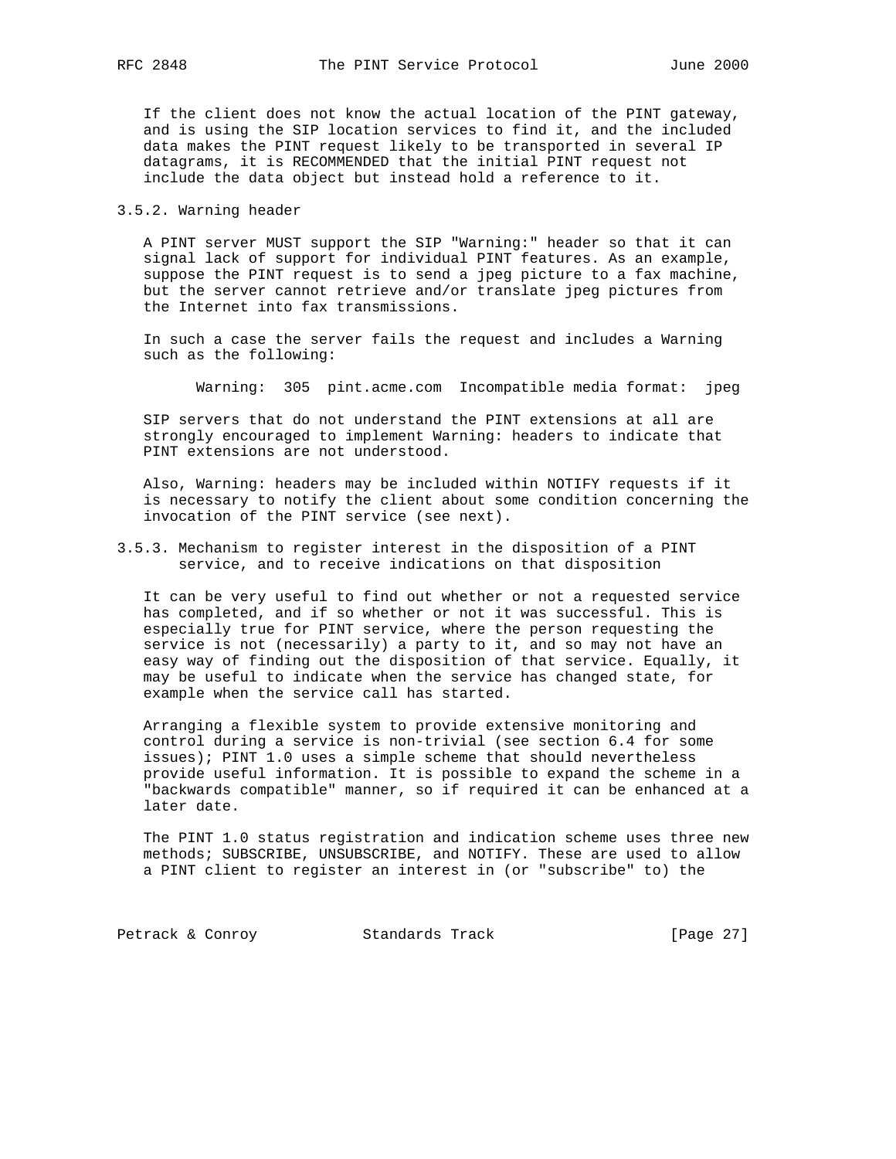If the client does not know the actual location of the PINT gateway, and is using the SIP location services to find it, and the included data makes the PINT request likely to be transported in several IP datagrams, it is RECOMMENDED that the initial PINT request not include the data object but instead hold a reference to it.

3.5.2. Warning header

 A PINT server MUST support the SIP "Warning:" header so that it can signal lack of support for individual PINT features. As an example, suppose the PINT request is to send a jpeg picture to a fax machine, but the server cannot retrieve and/or translate jpeg pictures from the Internet into fax transmissions.

 In such a case the server fails the request and includes a Warning such as the following:

Warning: 305 pint.acme.com Incompatible media format: jpeg

 SIP servers that do not understand the PINT extensions at all are strongly encouraged to implement Warning: headers to indicate that PINT extensions are not understood.

 Also, Warning: headers may be included within NOTIFY requests if it is necessary to notify the client about some condition concerning the invocation of the PINT service (see next).

3.5.3. Mechanism to register interest in the disposition of a PINT service, and to receive indications on that disposition

 It can be very useful to find out whether or not a requested service has completed, and if so whether or not it was successful. This is especially true for PINT service, where the person requesting the service is not (necessarily) a party to it, and so may not have an easy way of finding out the disposition of that service. Equally, it may be useful to indicate when the service has changed state, for example when the service call has started.

 Arranging a flexible system to provide extensive monitoring and control during a service is non-trivial (see section 6.4 for some issues); PINT 1.0 uses a simple scheme that should nevertheless provide useful information. It is possible to expand the scheme in a "backwards compatible" manner, so if required it can be enhanced at a later date.

 The PINT 1.0 status registration and indication scheme uses three new methods; SUBSCRIBE, UNSUBSCRIBE, and NOTIFY. These are used to allow a PINT client to register an interest in (or "subscribe" to) the

Petrack & Conroy Standards Track [Page 27]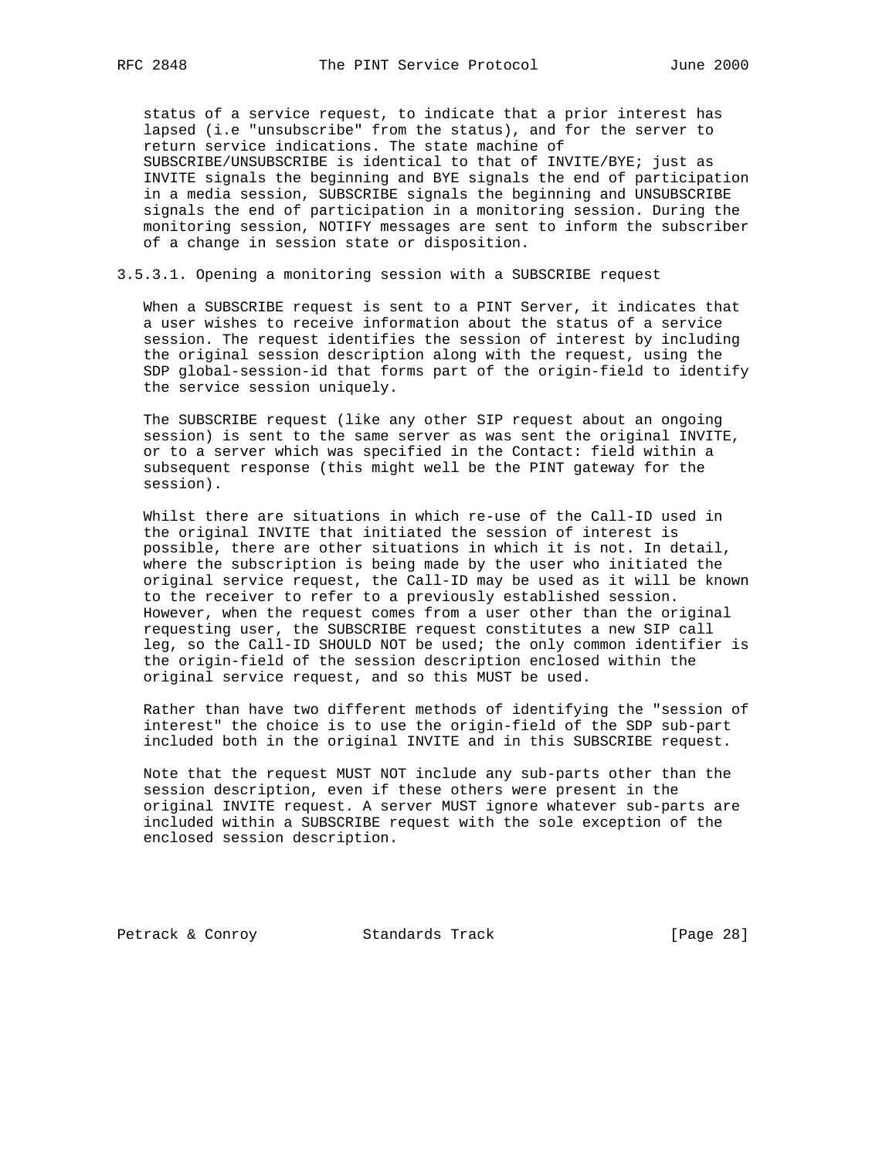status of a service request, to indicate that a prior interest has lapsed (i.e "unsubscribe" from the status), and for the server to return service indications. The state machine of SUBSCRIBE/UNSUBSCRIBE is identical to that of INVITE/BYE; just as INVITE signals the beginning and BYE signals the end of participation in a media session, SUBSCRIBE signals the beginning and UNSUBSCRIBE signals the end of participation in a monitoring session. During the monitoring session, NOTIFY messages are sent to inform the subscriber of a change in session state or disposition.

3.5.3.1. Opening a monitoring session with a SUBSCRIBE request

 When a SUBSCRIBE request is sent to a PINT Server, it indicates that a user wishes to receive information about the status of a service session. The request identifies the session of interest by including the original session description along with the request, using the SDP global-session-id that forms part of the origin-field to identify the service session uniquely.

 The SUBSCRIBE request (like any other SIP request about an ongoing session) is sent to the same server as was sent the original INVITE, or to a server which was specified in the Contact: field within a subsequent response (this might well be the PINT gateway for the session).

 Whilst there are situations in which re-use of the Call-ID used in the original INVITE that initiated the session of interest is possible, there are other situations in which it is not. In detail, where the subscription is being made by the user who initiated the original service request, the Call-ID may be used as it will be known to the receiver to refer to a previously established session. However, when the request comes from a user other than the original requesting user, the SUBSCRIBE request constitutes a new SIP call leg, so the Call-ID SHOULD NOT be used; the only common identifier is the origin-field of the session description enclosed within the original service request, and so this MUST be used.

 Rather than have two different methods of identifying the "session of interest" the choice is to use the origin-field of the SDP sub-part included both in the original INVITE and in this SUBSCRIBE request.

 Note that the request MUST NOT include any sub-parts other than the session description, even if these others were present in the original INVITE request. A server MUST ignore whatever sub-parts are included within a SUBSCRIBE request with the sole exception of the enclosed session description.

Petrack & Conroy Standards Track [Page 28]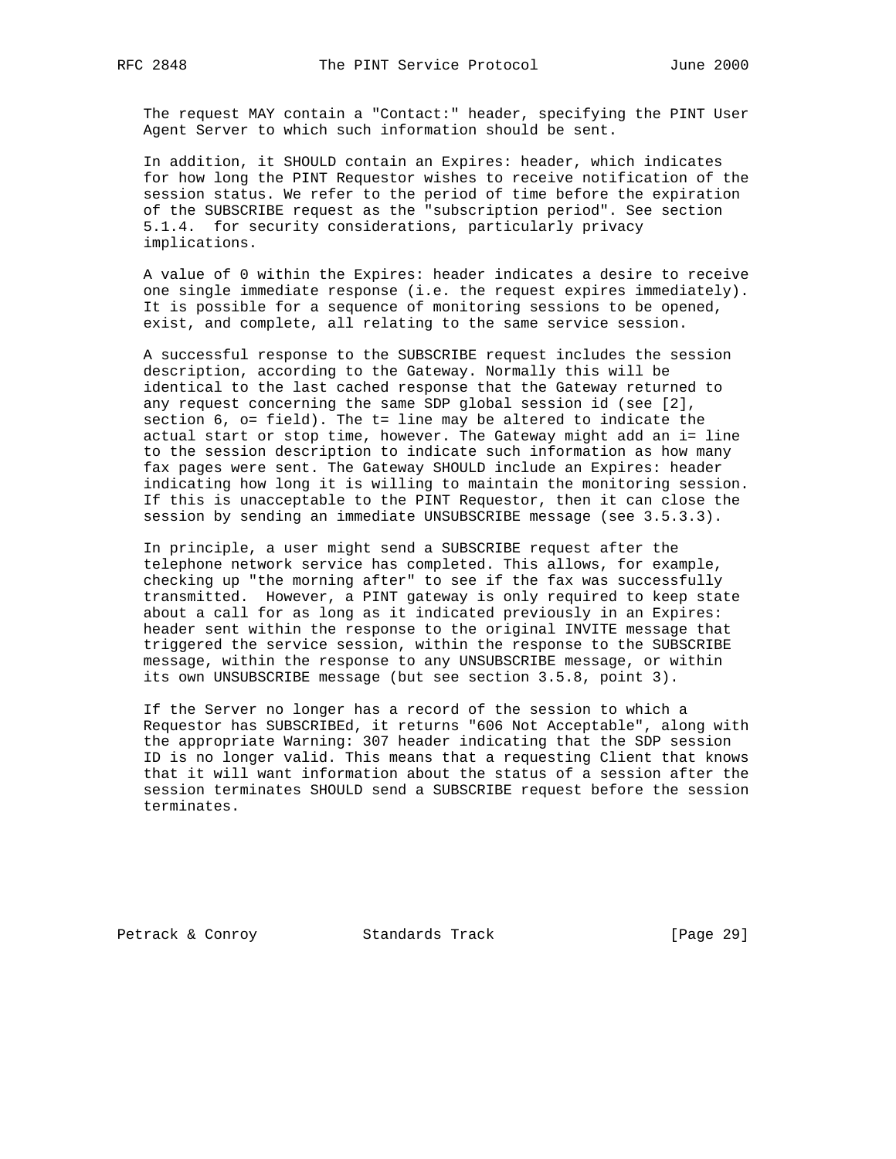The request MAY contain a "Contact:" header, specifying the PINT User Agent Server to which such information should be sent.

 In addition, it SHOULD contain an Expires: header, which indicates for how long the PINT Requestor wishes to receive notification of the session status. We refer to the period of time before the expiration of the SUBSCRIBE request as the "subscription period". See section 5.1.4. for security considerations, particularly privacy implications.

 A value of 0 within the Expires: header indicates a desire to receive one single immediate response (i.e. the request expires immediately). It is possible for a sequence of monitoring sessions to be opened, exist, and complete, all relating to the same service session.

 A successful response to the SUBSCRIBE request includes the session description, according to the Gateway. Normally this will be identical to the last cached response that the Gateway returned to any request concerning the same SDP global session id (see [2], section 6, o= field). The t= line may be altered to indicate the actual start or stop time, however. The Gateway might add an i= line to the session description to indicate such information as how many fax pages were sent. The Gateway SHOULD include an Expires: header indicating how long it is willing to maintain the monitoring session. If this is unacceptable to the PINT Requestor, then it can close the session by sending an immediate UNSUBSCRIBE message (see 3.5.3.3).

 In principle, a user might send a SUBSCRIBE request after the telephone network service has completed. This allows, for example, checking up "the morning after" to see if the fax was successfully transmitted. However, a PINT gateway is only required to keep state about a call for as long as it indicated previously in an Expires: header sent within the response to the original INVITE message that triggered the service session, within the response to the SUBSCRIBE message, within the response to any UNSUBSCRIBE message, or within its own UNSUBSCRIBE message (but see section 3.5.8, point 3).

 If the Server no longer has a record of the session to which a Requestor has SUBSCRIBEd, it returns "606 Not Acceptable", along with the appropriate Warning: 307 header indicating that the SDP session ID is no longer valid. This means that a requesting Client that knows that it will want information about the status of a session after the session terminates SHOULD send a SUBSCRIBE request before the session terminates.

Petrack & Conroy Standards Track [Page 29]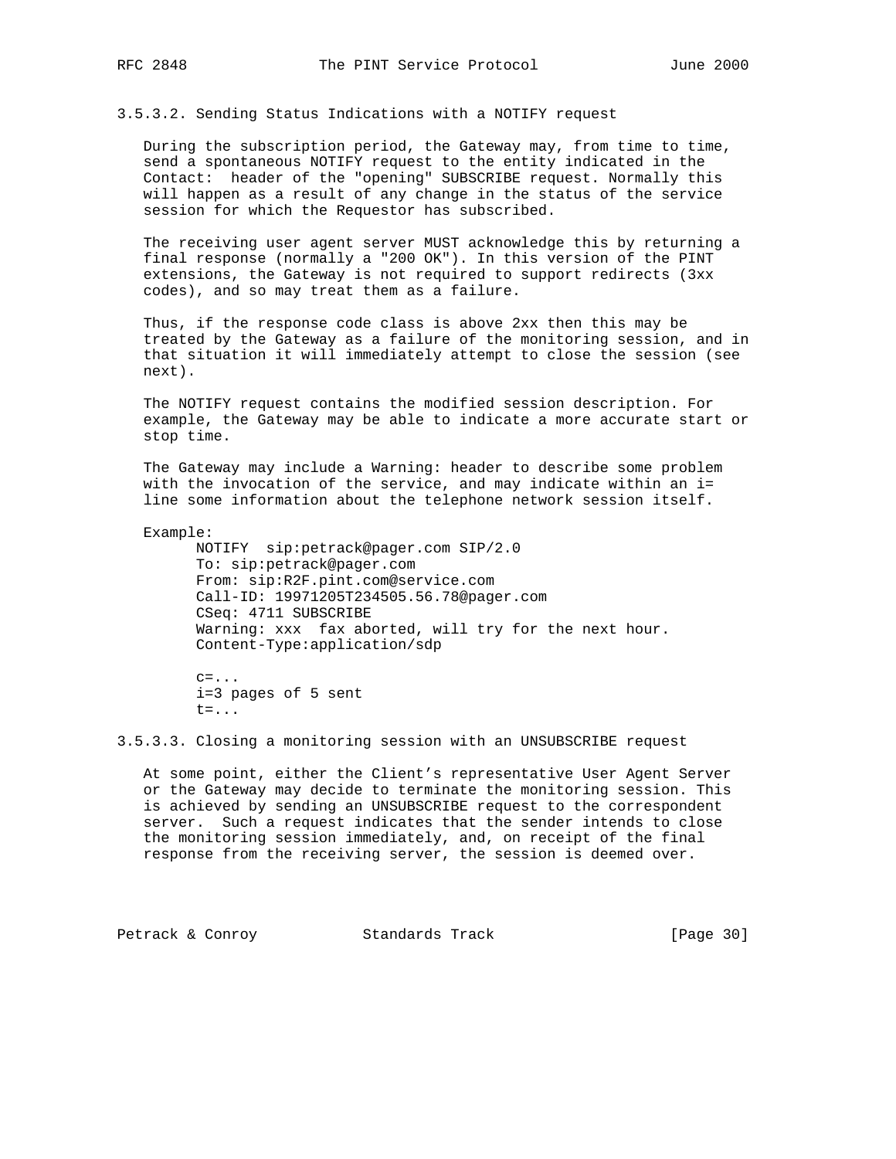## 3.5.3.2. Sending Status Indications with a NOTIFY request

 During the subscription period, the Gateway may, from time to time, send a spontaneous NOTIFY request to the entity indicated in the Contact: header of the "opening" SUBSCRIBE request. Normally this will happen as a result of any change in the status of the service session for which the Requestor has subscribed.

 The receiving user agent server MUST acknowledge this by returning a final response (normally a "200 OK"). In this version of the PINT extensions, the Gateway is not required to support redirects (3xx codes), and so may treat them as a failure.

 Thus, if the response code class is above 2xx then this may be treated by the Gateway as a failure of the monitoring session, and in that situation it will immediately attempt to close the session (see next).

 The NOTIFY request contains the modified session description. For example, the Gateway may be able to indicate a more accurate start or stop time.

 The Gateway may include a Warning: header to describe some problem with the invocation of the service, and may indicate within an i= line some information about the telephone network session itself.

#### Example:

 NOTIFY sip:petrack@pager.com SIP/2.0 To: sip:petrack@pager.com From: sip:R2F.pint.com@service.com Call-ID: 19971205T234505.56.78@pager.com CSeq: 4711 SUBSCRIBE Warning: xxx fax aborted, will try for the next hour. Content-Type:application/sdp

 $c = . . .$  i=3 pages of 5 sent  $t = . . .$ 

3.5.3.3. Closing a monitoring session with an UNSUBSCRIBE request

 At some point, either the Client's representative User Agent Server or the Gateway may decide to terminate the monitoring session. This is achieved by sending an UNSUBSCRIBE request to the correspondent server. Such a request indicates that the sender intends to close the monitoring session immediately, and, on receipt of the final response from the receiving server, the session is deemed over.

Petrack & Conroy Standards Track [Page 30]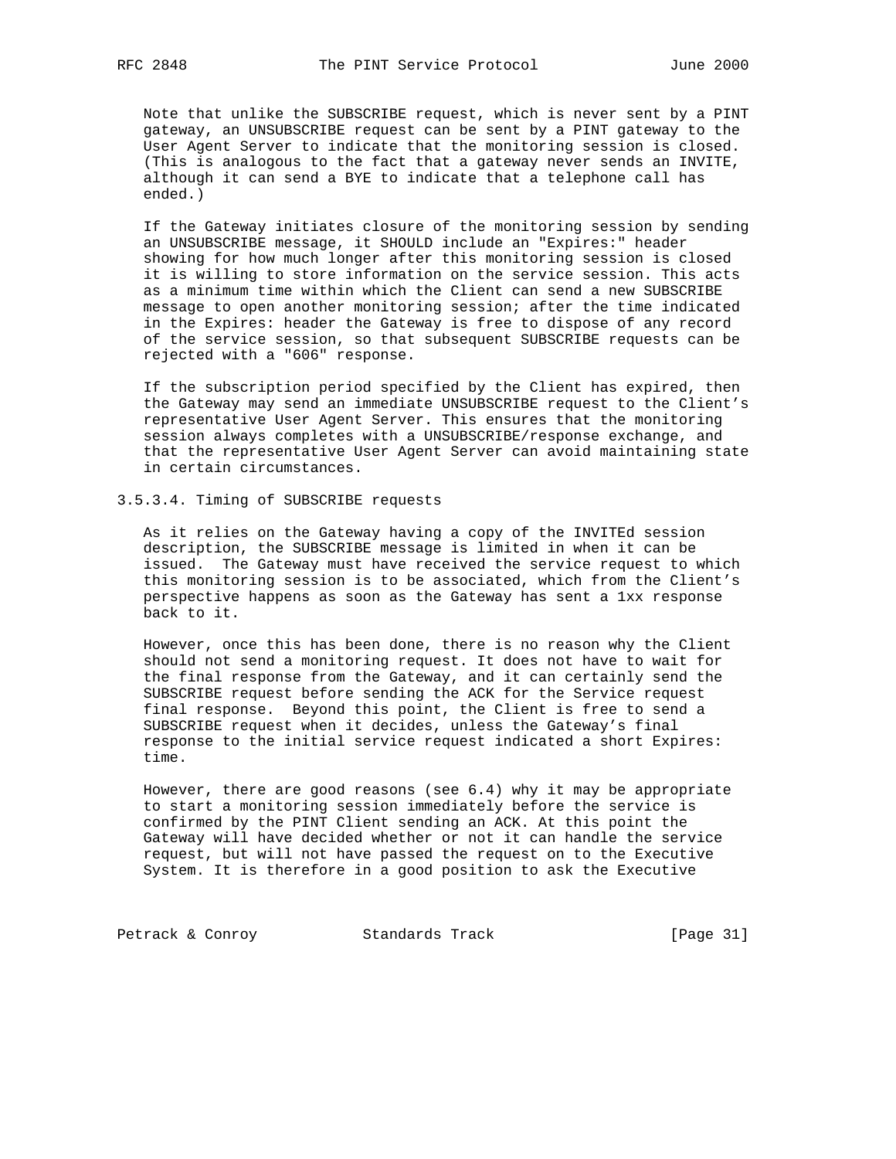Note that unlike the SUBSCRIBE request, which is never sent by a PINT gateway, an UNSUBSCRIBE request can be sent by a PINT gateway to the User Agent Server to indicate that the monitoring session is closed. (This is analogous to the fact that a gateway never sends an INVITE, although it can send a BYE to indicate that a telephone call has ended.)

 If the Gateway initiates closure of the monitoring session by sending an UNSUBSCRIBE message, it SHOULD include an "Expires:" header showing for how much longer after this monitoring session is closed it is willing to store information on the service session. This acts as a minimum time within which the Client can send a new SUBSCRIBE message to open another monitoring session; after the time indicated in the Expires: header the Gateway is free to dispose of any record of the service session, so that subsequent SUBSCRIBE requests can be rejected with a "606" response.

 If the subscription period specified by the Client has expired, then the Gateway may send an immediate UNSUBSCRIBE request to the Client's representative User Agent Server. This ensures that the monitoring session always completes with a UNSUBSCRIBE/response exchange, and that the representative User Agent Server can avoid maintaining state in certain circumstances.

## 3.5.3.4. Timing of SUBSCRIBE requests

 As it relies on the Gateway having a copy of the INVITEd session description, the SUBSCRIBE message is limited in when it can be issued. The Gateway must have received the service request to which this monitoring session is to be associated, which from the Client's perspective happens as soon as the Gateway has sent a 1xx response back to it.

 However, once this has been done, there is no reason why the Client should not send a monitoring request. It does not have to wait for the final response from the Gateway, and it can certainly send the SUBSCRIBE request before sending the ACK for the Service request final response. Beyond this point, the Client is free to send a SUBSCRIBE request when it decides, unless the Gateway's final response to the initial service request indicated a short Expires: time.

 However, there are good reasons (see 6.4) why it may be appropriate to start a monitoring session immediately before the service is confirmed by the PINT Client sending an ACK. At this point the Gateway will have decided whether or not it can handle the service request, but will not have passed the request on to the Executive System. It is therefore in a good position to ask the Executive

Petrack & Conroy Standards Track [Page 31]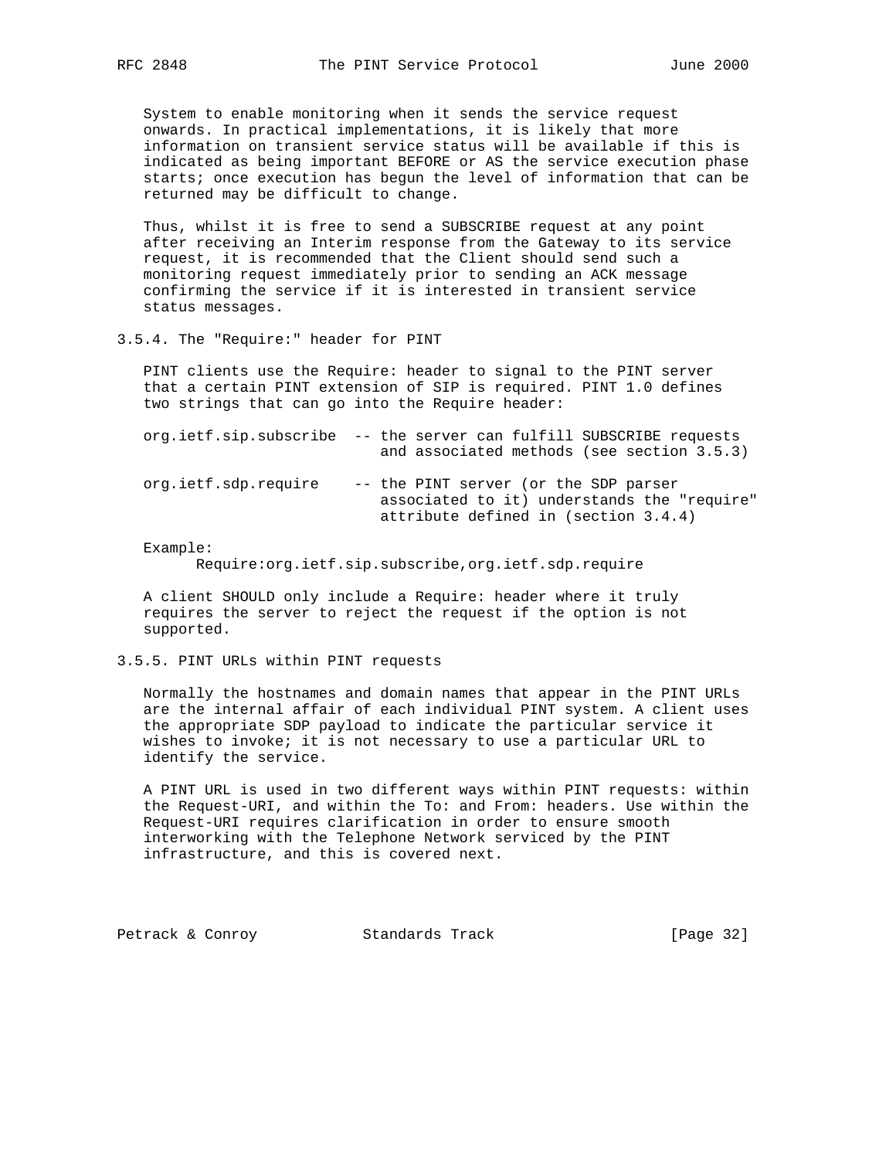System to enable monitoring when it sends the service request onwards. In practical implementations, it is likely that more information on transient service status will be available if this is indicated as being important BEFORE or AS the service execution phase starts; once execution has begun the level of information that can be returned may be difficult to change.

 Thus, whilst it is free to send a SUBSCRIBE request at any point after receiving an Interim response from the Gateway to its service request, it is recommended that the Client should send such a monitoring request immediately prior to sending an ACK message confirming the service if it is interested in transient service status messages.

3.5.4. The "Require:" header for PINT

 PINT clients use the Require: header to signal to the PINT server that a certain PINT extension of SIP is required. PINT 1.0 defines two strings that can go into the Require header:

|                      | org.ietf.sip.subscribe -- the server can fulfill SUBSCRIBE requests<br>and associated methods (see section 3.5.3)            |
|----------------------|------------------------------------------------------------------------------------------------------------------------------|
| org.ietf.sdp.require | -- the PINT server (or the SDP parser<br>associated to it) understands the "require"<br>attribute defined in (section 3.4.4) |

Example:

Require:org.ietf.sip.subscribe,org.ietf.sdp.require

 A client SHOULD only include a Require: header where it truly requires the server to reject the request if the option is not supported.

3.5.5. PINT URLs within PINT requests

 Normally the hostnames and domain names that appear in the PINT URLs are the internal affair of each individual PINT system. A client uses the appropriate SDP payload to indicate the particular service it wishes to invoke; it is not necessary to use a particular URL to identify the service.

 A PINT URL is used in two different ways within PINT requests: within the Request-URI, and within the To: and From: headers. Use within the Request-URI requires clarification in order to ensure smooth interworking with the Telephone Network serviced by the PINT infrastructure, and this is covered next.

Petrack & Conroy Standards Track [Page 32]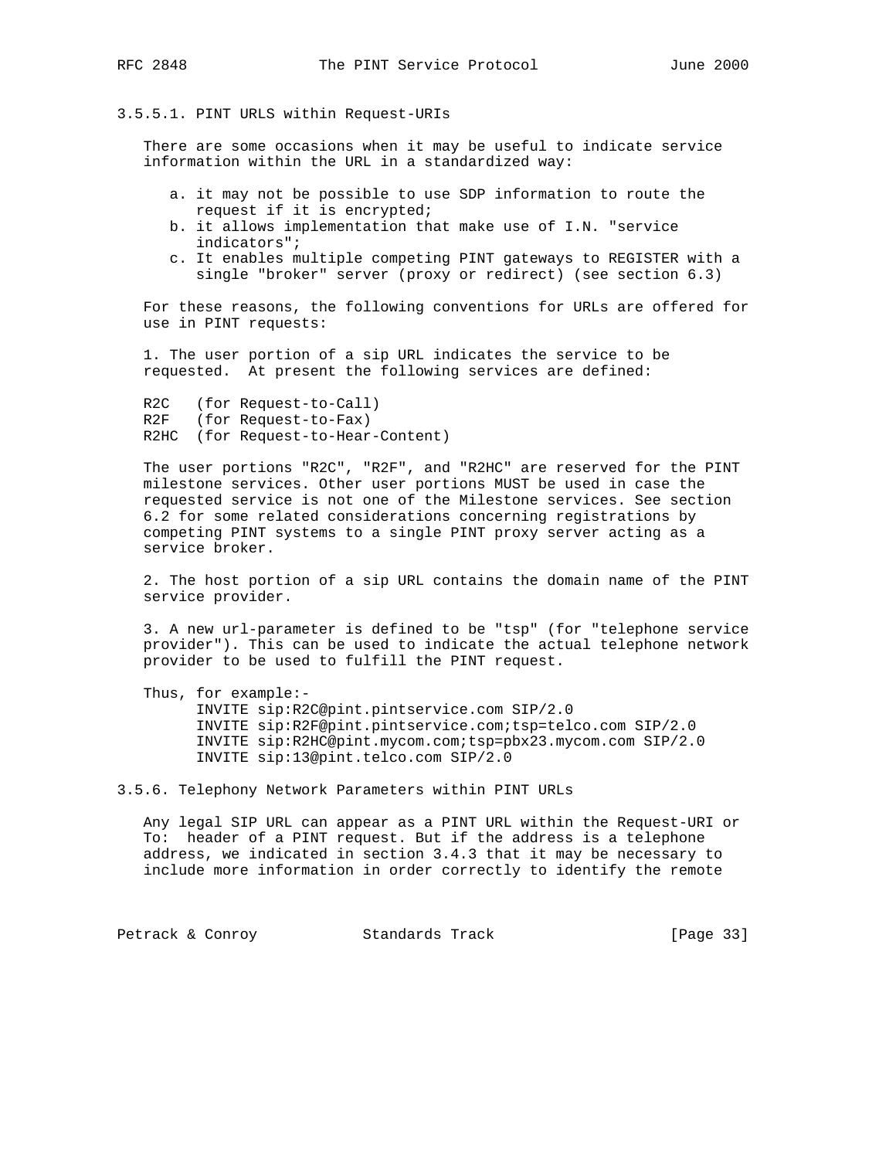# 3.5.5.1. PINT URLS within Request-URIs

 There are some occasions when it may be useful to indicate service information within the URL in a standardized way:

- a. it may not be possible to use SDP information to route the request if it is encrypted;
- b. it allows implementation that make use of I.N. "service indicators";
- c. It enables multiple competing PINT gateways to REGISTER with a single "broker" server (proxy or redirect) (see section 6.3)

 For these reasons, the following conventions for URLs are offered for use in PINT requests:

 1. The user portion of a sip URL indicates the service to be requested. At present the following services are defined:

 R2C (for Request-to-Call) R2F (for Request-to-Fax) R2HC (for Request-to-Hear-Content)

 The user portions "R2C", "R2F", and "R2HC" are reserved for the PINT milestone services. Other user portions MUST be used in case the requested service is not one of the Milestone services. See section 6.2 for some related considerations concerning registrations by competing PINT systems to a single PINT proxy server acting as a service broker.

 2. The host portion of a sip URL contains the domain name of the PINT service provider.

 3. A new url-parameter is defined to be "tsp" (for "telephone service provider"). This can be used to indicate the actual telephone network provider to be used to fulfill the PINT request.

 Thus, for example:- INVITE sip:R2C@pint.pintservice.com SIP/2.0 INVITE sip:R2F@pint.pintservice.com;tsp=telco.com SIP/2.0 INVITE sip:R2HC@pint.mycom.com;tsp=pbx23.mycom.com SIP/2.0 INVITE sip:13@pint.telco.com SIP/2.0

3.5.6. Telephony Network Parameters within PINT URLs

 Any legal SIP URL can appear as a PINT URL within the Request-URI or To: header of a PINT request. But if the address is a telephone address, we indicated in section 3.4.3 that it may be necessary to include more information in order correctly to identify the remote

Petrack & Conroy Standards Track [Page 33]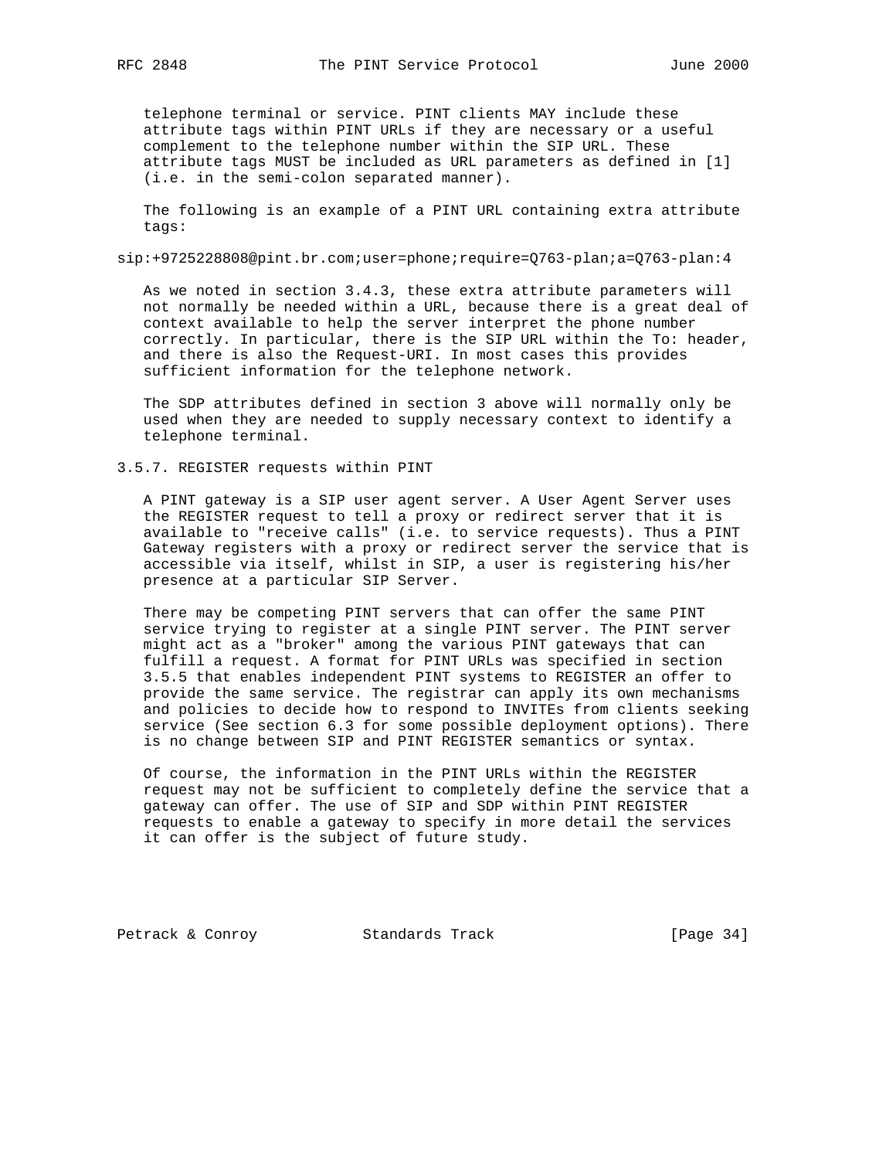telephone terminal or service. PINT clients MAY include these attribute tags within PINT URLs if they are necessary or a useful complement to the telephone number within the SIP URL. These attribute tags MUST be included as URL parameters as defined in [1] (i.e. in the semi-colon separated manner).

 The following is an example of a PINT URL containing extra attribute tags:

# sip:+9725228808@pint.br.com;user=phone;require=Q763-plan;a=Q763-plan:4

 As we noted in section 3.4.3, these extra attribute parameters will not normally be needed within a URL, because there is a great deal of context available to help the server interpret the phone number correctly. In particular, there is the SIP URL within the To: header, and there is also the Request-URI. In most cases this provides sufficient information for the telephone network.

 The SDP attributes defined in section 3 above will normally only be used when they are needed to supply necessary context to identify a telephone terminal.

## 3.5.7. REGISTER requests within PINT

 A PINT gateway is a SIP user agent server. A User Agent Server uses the REGISTER request to tell a proxy or redirect server that it is available to "receive calls" (i.e. to service requests). Thus a PINT Gateway registers with a proxy or redirect server the service that is accessible via itself, whilst in SIP, a user is registering his/her presence at a particular SIP Server.

 There may be competing PINT servers that can offer the same PINT service trying to register at a single PINT server. The PINT server might act as a "broker" among the various PINT gateways that can fulfill a request. A format for PINT URLs was specified in section 3.5.5 that enables independent PINT systems to REGISTER an offer to provide the same service. The registrar can apply its own mechanisms and policies to decide how to respond to INVITEs from clients seeking service (See section 6.3 for some possible deployment options). There is no change between SIP and PINT REGISTER semantics or syntax.

 Of course, the information in the PINT URLs within the REGISTER request may not be sufficient to completely define the service that a gateway can offer. The use of SIP and SDP within PINT REGISTER requests to enable a gateway to specify in more detail the services it can offer is the subject of future study.

Petrack & Conroy Standards Track [Page 34]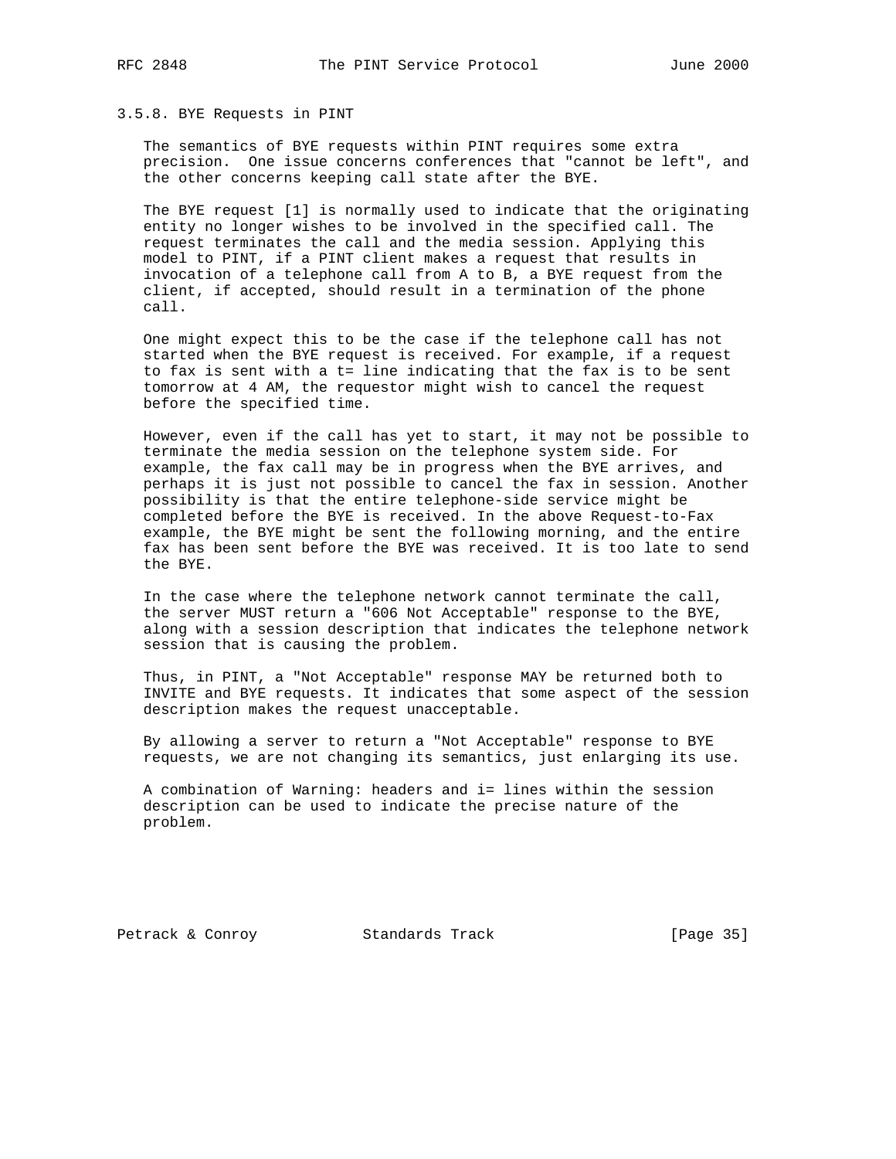#### 3.5.8. BYE Requests in PINT

 The semantics of BYE requests within PINT requires some extra precision. One issue concerns conferences that "cannot be left", and the other concerns keeping call state after the BYE.

 The BYE request [1] is normally used to indicate that the originating entity no longer wishes to be involved in the specified call. The request terminates the call and the media session. Applying this model to PINT, if a PINT client makes a request that results in invocation of a telephone call from A to B, a BYE request from the client, if accepted, should result in a termination of the phone call.

 One might expect this to be the case if the telephone call has not started when the BYE request is received. For example, if a request to fax is sent with a t= line indicating that the fax is to be sent tomorrow at 4 AM, the requestor might wish to cancel the request before the specified time.

 However, even if the call has yet to start, it may not be possible to terminate the media session on the telephone system side. For example, the fax call may be in progress when the BYE arrives, and perhaps it is just not possible to cancel the fax in session. Another possibility is that the entire telephone-side service might be completed before the BYE is received. In the above Request-to-Fax example, the BYE might be sent the following morning, and the entire fax has been sent before the BYE was received. It is too late to send the BYE.

 In the case where the telephone network cannot terminate the call, the server MUST return a "606 Not Acceptable" response to the BYE, along with a session description that indicates the telephone network session that is causing the problem.

 Thus, in PINT, a "Not Acceptable" response MAY be returned both to INVITE and BYE requests. It indicates that some aspect of the session description makes the request unacceptable.

 By allowing a server to return a "Not Acceptable" response to BYE requests, we are not changing its semantics, just enlarging its use.

 A combination of Warning: headers and i= lines within the session description can be used to indicate the precise nature of the problem.

Petrack & Conroy Standards Track [Page 35]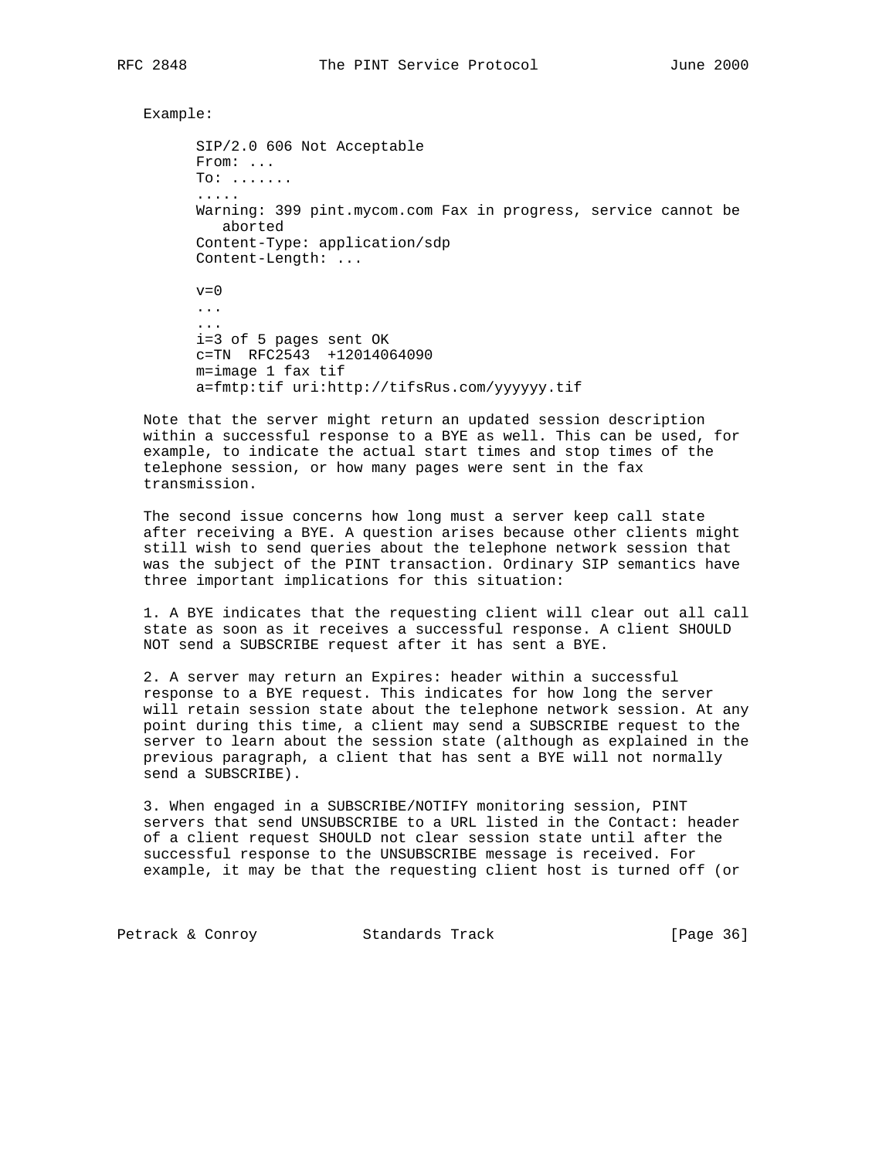Example:

```
 SIP/2.0 606 Not Acceptable
        From: ...
       To: \dots\dots .....
        Warning: 399 pint.mycom.com Fax in progress, service cannot be
           aborted
        Content-Type: application/sdp
        Content-Length: ...
       v=0 ...
...
        i=3 of 5 pages sent OK
        c=TN RFC2543 +12014064090
        m=image 1 fax tif
        a=fmtp:tif uri:http://tifsRus.com/yyyyyy.tif
```
 Note that the server might return an updated session description within a successful response to a BYE as well. This can be used, for example, to indicate the actual start times and stop times of the telephone session, or how many pages were sent in the fax transmission.

 The second issue concerns how long must a server keep call state after receiving a BYE. A question arises because other clients might still wish to send queries about the telephone network session that was the subject of the PINT transaction. Ordinary SIP semantics have three important implications for this situation:

 1. A BYE indicates that the requesting client will clear out all call state as soon as it receives a successful response. A client SHOULD NOT send a SUBSCRIBE request after it has sent a BYE.

 2. A server may return an Expires: header within a successful response to a BYE request. This indicates for how long the server will retain session state about the telephone network session. At any point during this time, a client may send a SUBSCRIBE request to the server to learn about the session state (although as explained in the previous paragraph, a client that has sent a BYE will not normally send a SUBSCRIBE).

 3. When engaged in a SUBSCRIBE/NOTIFY monitoring session, PINT servers that send UNSUBSCRIBE to a URL listed in the Contact: header of a client request SHOULD not clear session state until after the successful response to the UNSUBSCRIBE message is received. For example, it may be that the requesting client host is turned off (or

Petrack & Conroy Standards Track [Page 36]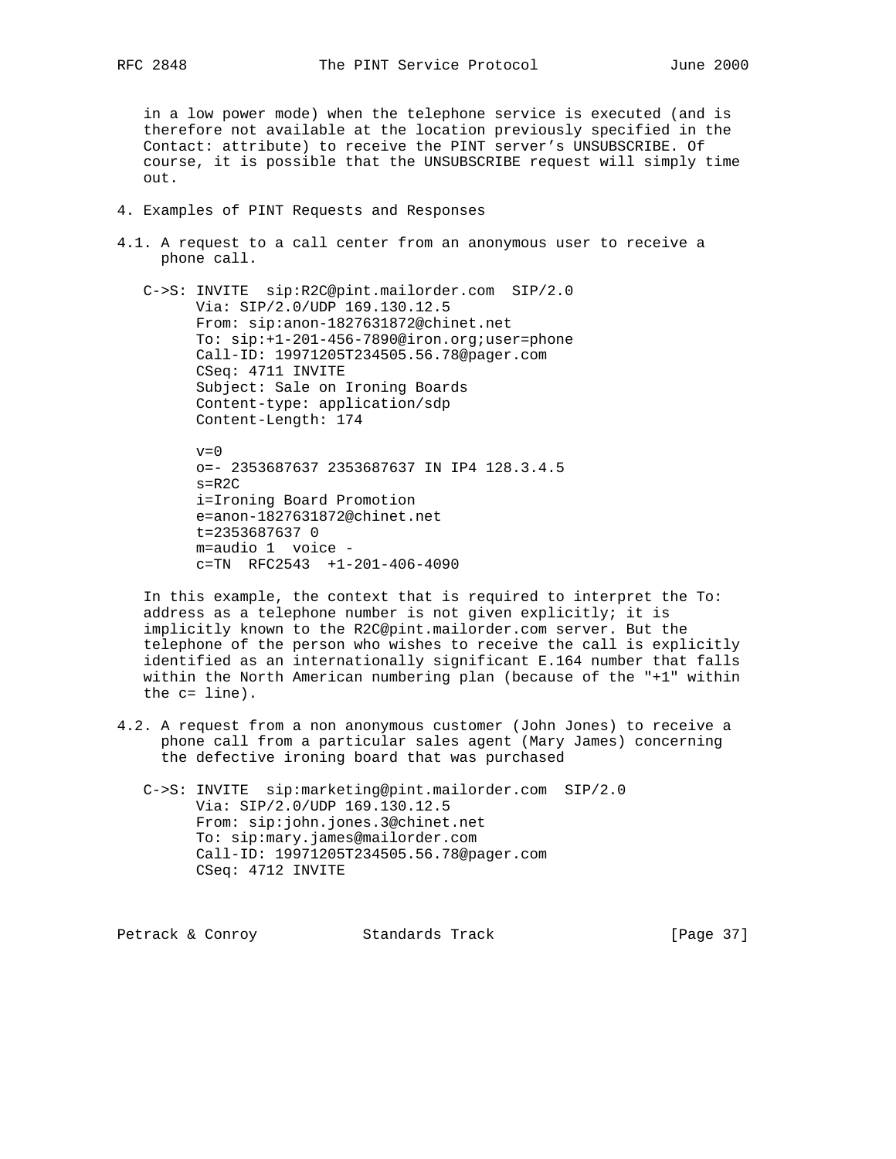in a low power mode) when the telephone service is executed (and is therefore not available at the location previously specified in the Contact: attribute) to receive the PINT server's UNSUBSCRIBE. Of course, it is possible that the UNSUBSCRIBE request will simply time out.

- 4. Examples of PINT Requests and Responses
- 4.1. A request to a call center from an anonymous user to receive a phone call.
	- C->S: INVITE sip:R2C@pint.mailorder.com SIP/2.0 Via: SIP/2.0/UDP 169.130.12.5 From: sip:anon-1827631872@chinet.net To: sip:+1-201-456-7890@iron.org;user=phone Call-ID: 19971205T234505.56.78@pager.com CSeq: 4711 INVITE Subject: Sale on Ironing Boards Content-type: application/sdp Content-Length: 174

 $v=0$  o=- 2353687637 2353687637 IN IP4 128.3.4.5 s=R2C i=Ironing Board Promotion e=anon-1827631872@chinet.net t=2353687637 0 m=audio 1 voice c=TN RFC2543 +1-201-406-4090

 In this example, the context that is required to interpret the To: address as a telephone number is not given explicitly; it is implicitly known to the R2C@pint.mailorder.com server. But the telephone of the person who wishes to receive the call is explicitly identified as an internationally significant E.164 number that falls within the North American numbering plan (because of the "+1" within the c= line).

- 4.2. A request from a non anonymous customer (John Jones) to receive a phone call from a particular sales agent (Mary James) concerning the defective ironing board that was purchased
	- C->S: INVITE sip:marketing@pint.mailorder.com SIP/2.0 Via: SIP/2.0/UDP 169.130.12.5 From: sip:john.jones.3@chinet.net To: sip:mary.james@mailorder.com Call-ID: 19971205T234505.56.78@pager.com CSeq: 4712 INVITE

Petrack & Conroy Standards Track [Page 37]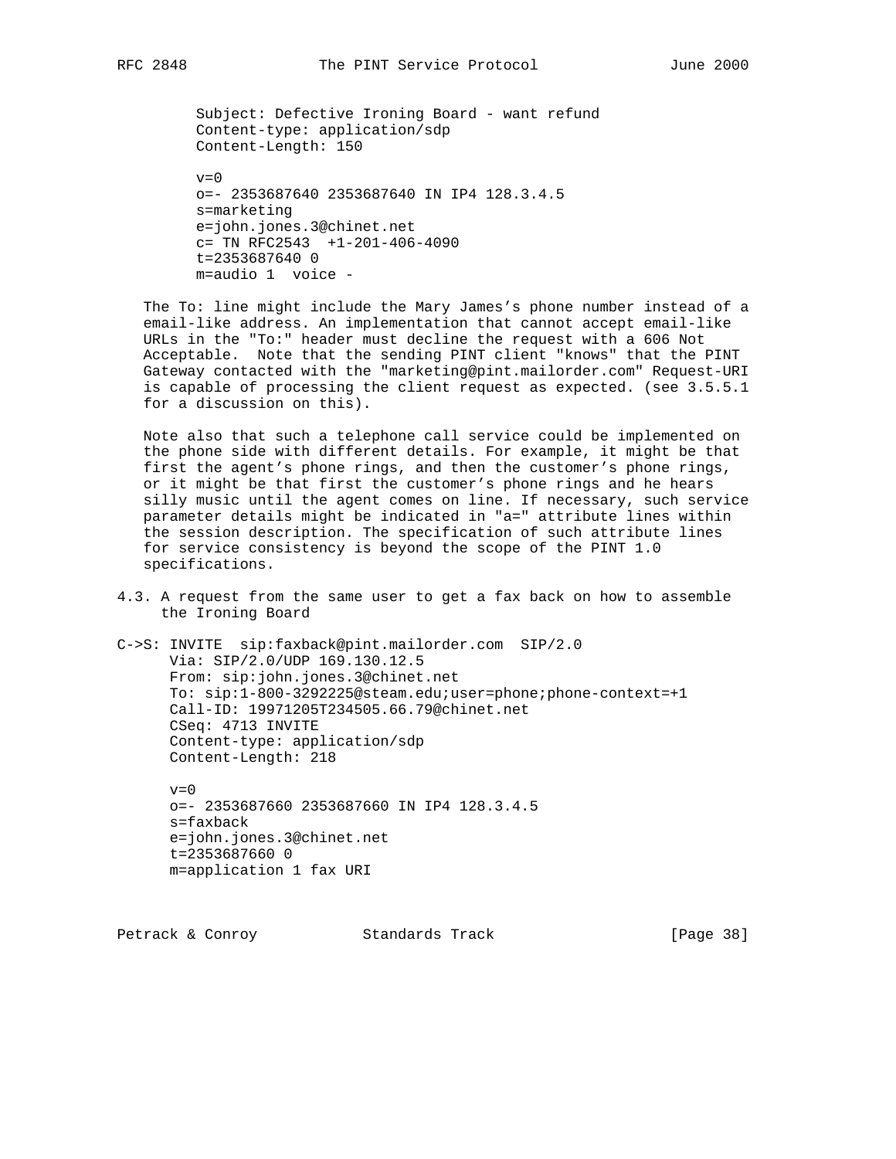Subject: Defective Ironing Board - want refund Content-type: application/sdp Content-Length: 150  $v=0$  o=- 2353687640 2353687640 IN IP4 128.3.4.5 s=marketing e=john.jones.3@chinet.net c= TN RFC2543 +1-201-406-4090 t=2353687640 0 m=audio 1 voice -

 The To: line might include the Mary James's phone number instead of a email-like address. An implementation that cannot accept email-like URLs in the "To:" header must decline the request with a 606 Not Acceptable. Note that the sending PINT client "knows" that the PINT Gateway contacted with the "marketing@pint.mailorder.com" Request-URI is capable of processing the client request as expected. (see 3.5.5.1 for a discussion on this).

 Note also that such a telephone call service could be implemented on the phone side with different details. For example, it might be that first the agent's phone rings, and then the customer's phone rings, or it might be that first the customer's phone rings and he hears silly music until the agent comes on line. If necessary, such service parameter details might be indicated in "a=" attribute lines within the session description. The specification of such attribute lines for service consistency is beyond the scope of the PINT 1.0 specifications.

4.3. A request from the same user to get a fax back on how to assemble the Ironing Board

C->S: INVITE sip:faxback@pint.mailorder.com SIP/2.0 Via: SIP/2.0/UDP 169.130.12.5 From: sip:john.jones.3@chinet.net To: sip:1-800-3292225@steam.edu;user=phone;phone-context=+1 Call-ID: 19971205T234505.66.79@chinet.net CSeq: 4713 INVITE Content-type: application/sdp Content-Length: 218

 $v=0$  o=- 2353687660 2353687660 IN IP4 128.3.4.5 s=faxback e=john.jones.3@chinet.net t=2353687660 0 m=application 1 fax URI

Petrack & Conroy Standards Track [Page 38]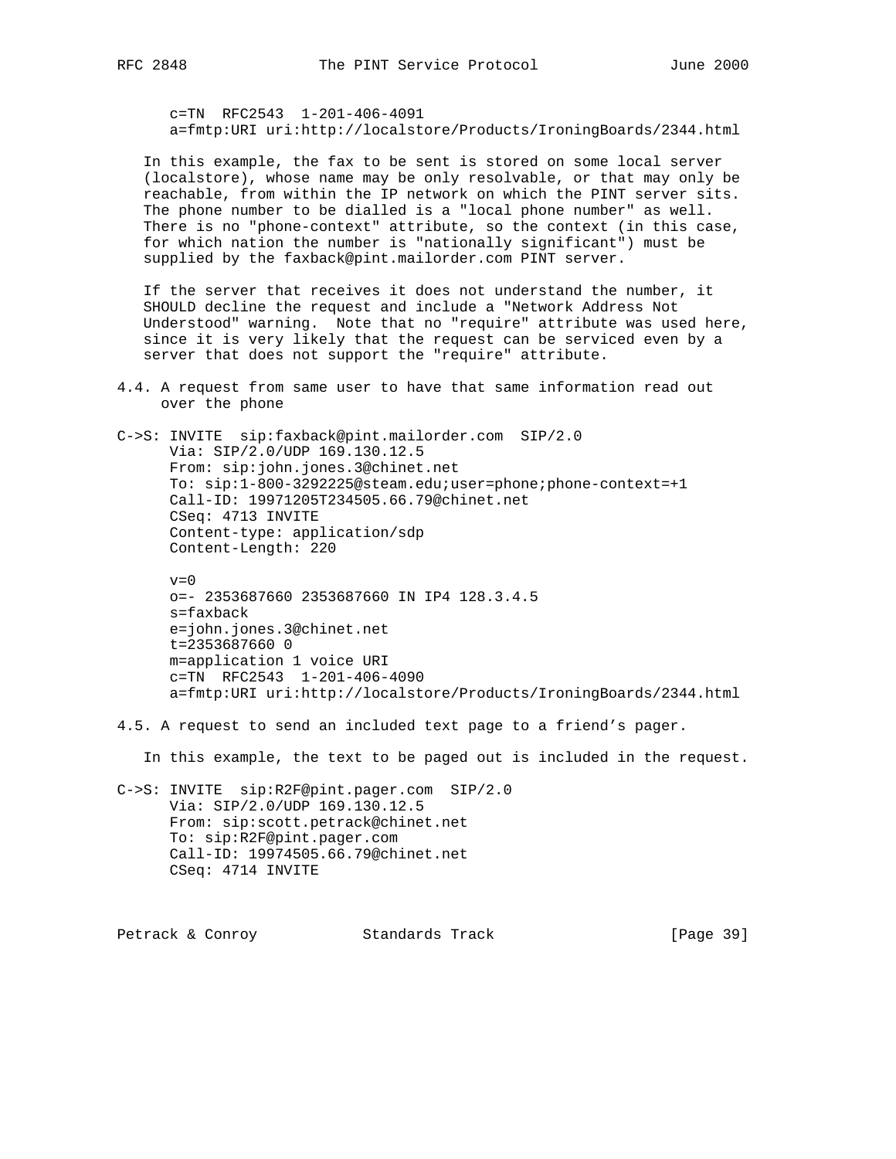c=TN RFC2543 1-201-406-4091 a=fmtp:URI uri:http://localstore/Products/IroningBoards/2344.html

 In this example, the fax to be sent is stored on some local server (localstore), whose name may be only resolvable, or that may only be reachable, from within the IP network on which the PINT server sits. The phone number to be dialled is a "local phone number" as well. There is no "phone-context" attribute, so the context (in this case, for which nation the number is "nationally significant") must be supplied by the faxback@pint.mailorder.com PINT server.

 If the server that receives it does not understand the number, it SHOULD decline the request and include a "Network Address Not Understood" warning. Note that no "require" attribute was used here, since it is very likely that the request can be serviced even by a server that does not support the "require" attribute.

- 4.4. A request from same user to have that same information read out over the phone
- C->S: INVITE sip:faxback@pint.mailorder.com SIP/2.0 Via: SIP/2.0/UDP 169.130.12.5 From: sip:john.jones.3@chinet.net To: sip:1-800-3292225@steam.edu;user=phone;phone-context=+1 Call-ID: 19971205T234505.66.79@chinet.net CSeq: 4713 INVITE Content-type: application/sdp Content-Length: 220

 $v=0$  o=- 2353687660 2353687660 IN IP4 128.3.4.5 s=faxback e=john.jones.3@chinet.net t=2353687660 0 m=application 1 voice URI c=TN RFC2543 1-201-406-4090 a=fmtp:URI uri:http://localstore/Products/IroningBoards/2344.html

4.5. A request to send an included text page to a friend's pager.

In this example, the text to be paged out is included in the request.

C->S: INVITE sip:R2F@pint.pager.com SIP/2.0 Via: SIP/2.0/UDP 169.130.12.5 From: sip:scott.petrack@chinet.net To: sip:R2F@pint.pager.com Call-ID: 19974505.66.79@chinet.net CSeq: 4714 INVITE

Petrack & Conroy Standards Track [Page 39]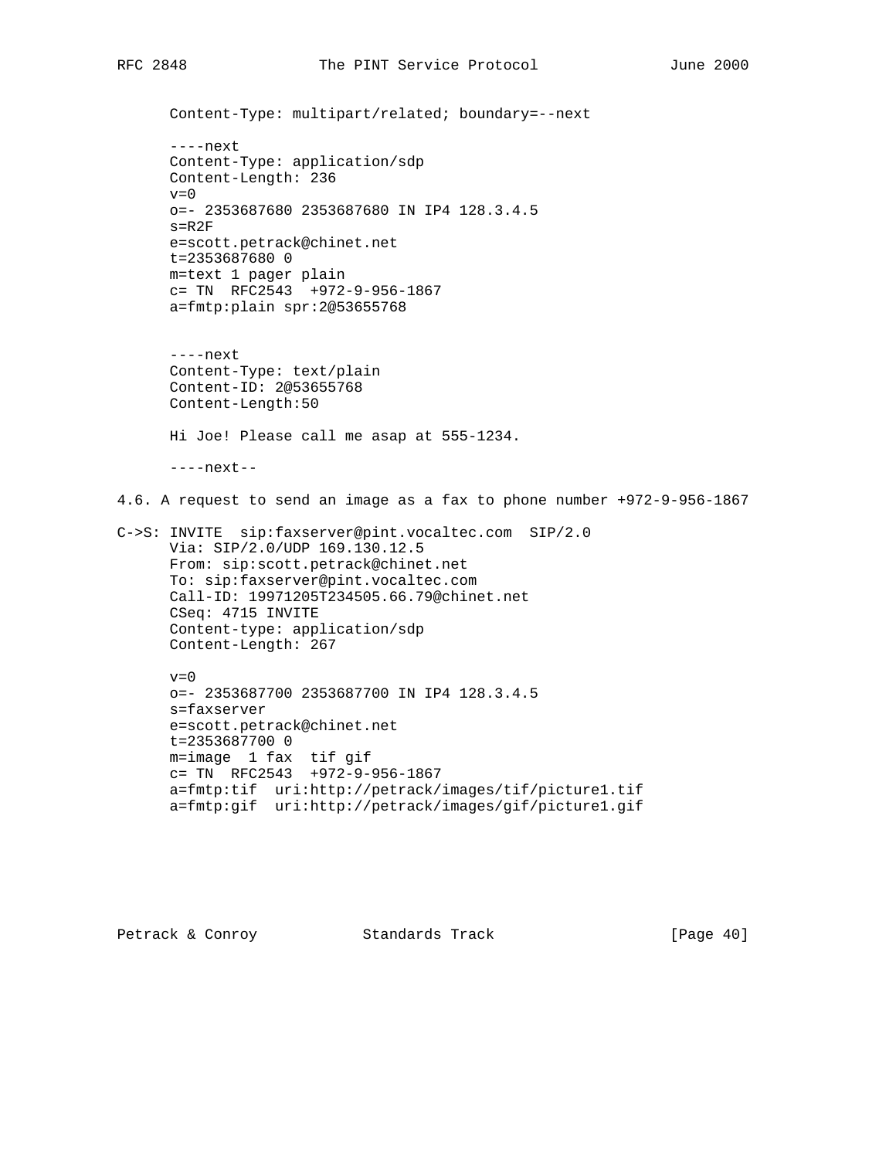Content-Type: multipart/related; boundary=--next ----next Content-Type: application/sdp Content-Length: 236  $v=0$  o=- 2353687680 2353687680 IN IP4 128.3.4.5 s=R2F e=scott.petrack@chinet.net t=2353687680 0 m=text 1 pager plain c= TN RFC2543 +972-9-956-1867 a=fmtp:plain spr:2@53655768 ----next Content-Type: text/plain Content-ID: 2@53655768 Content-Length:50 Hi Joe! Please call me asap at 555-1234. ----next-- 4.6. A request to send an image as a fax to phone number +972-9-956-1867 C->S: INVITE sip:faxserver@pint.vocaltec.com SIP/2.0 Via: SIP/2.0/UDP 169.130.12.5 From: sip:scott.petrack@chinet.net To: sip:faxserver@pint.vocaltec.com Call-ID: 19971205T234505.66.79@chinet.net CSeq: 4715 INVITE Content-type: application/sdp Content-Length: 267  $v=0$  o=- 2353687700 2353687700 IN IP4 128.3.4.5 s=faxserver e=scott.petrack@chinet.net t=2353687700 0 m=image 1 fax tif gif c= TN RFC2543 +972-9-956-1867 a=fmtp:tif uri:http://petrack/images/tif/picture1.tif a=fmtp:gif uri:http://petrack/images/gif/picture1.gif

Petrack & Conroy Standards Track [Page 40]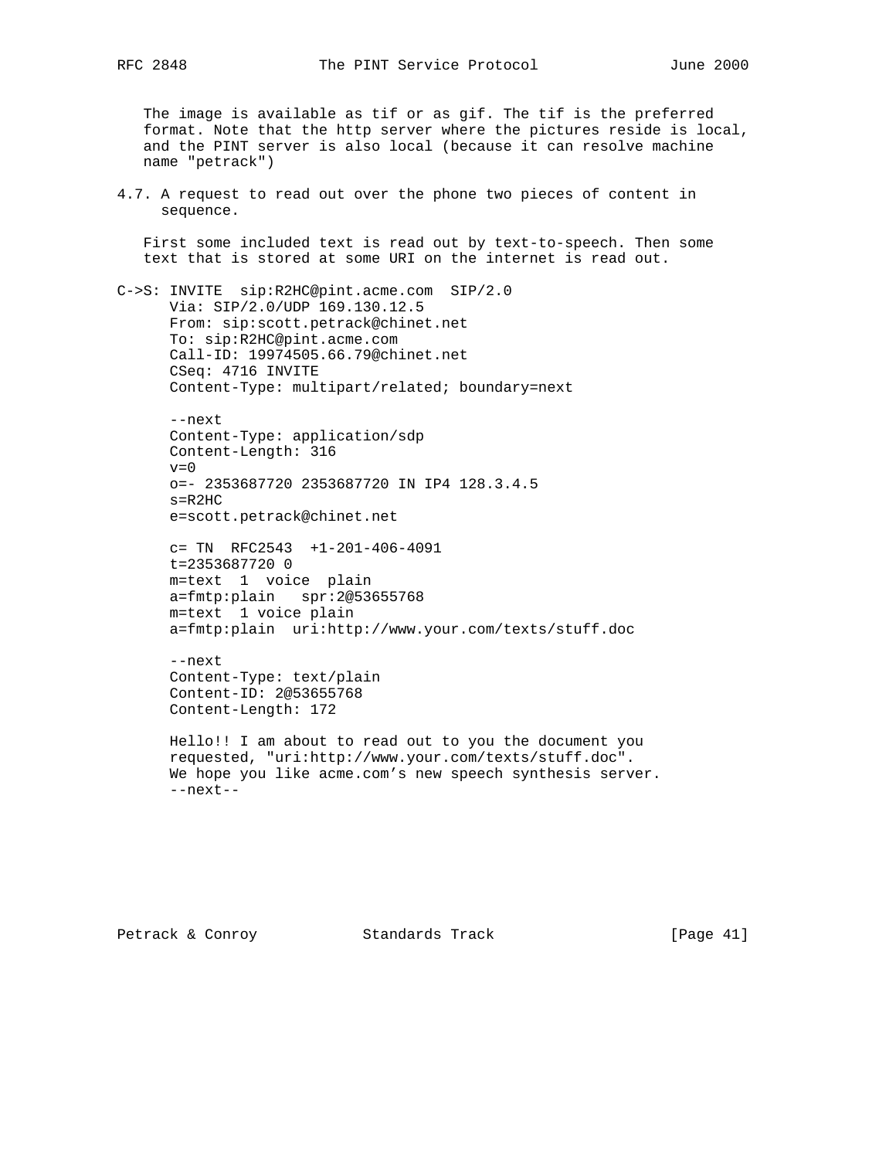The image is available as tif or as gif. The tif is the preferred format. Note that the http server where the pictures reside is local, and the PINT server is also local (because it can resolve machine name "petrack")

4.7. A request to read out over the phone two pieces of content in sequence.

 First some included text is read out by text-to-speech. Then some text that is stored at some URI on the internet is read out.

C->S: INVITE sip:R2HC@pint.acme.com SIP/2.0 Via: SIP/2.0/UDP 169.130.12.5 From: sip:scott.petrack@chinet.net To: sip:R2HC@pint.acme.com Call-ID: 19974505.66.79@chinet.net CSeq: 4716 INVITE Content-Type: multipart/related; boundary=next

> --next Content-Type: application/sdp Content-Length: 316  $v=0$  o=- 2353687720 2353687720 IN IP4 128.3.4.5  $s = R2H$ C e=scott.petrack@chinet.net

 c= TN RFC2543 +1-201-406-4091 t=2353687720 0 m=text 1 voice plain a=fmtp:plain spr:2@53655768 m=text 1 voice plain a=fmtp:plain uri:http://www.your.com/texts/stuff.doc

 --next Content-Type: text/plain Content-ID: 2@53655768 Content-Length: 172

 Hello!! I am about to read out to you the document you requested, "uri:http://www.your.com/texts/stuff.doc". We hope you like acme.com's new speech synthesis server. --next--

Petrack & Conroy Standards Track [Page 41]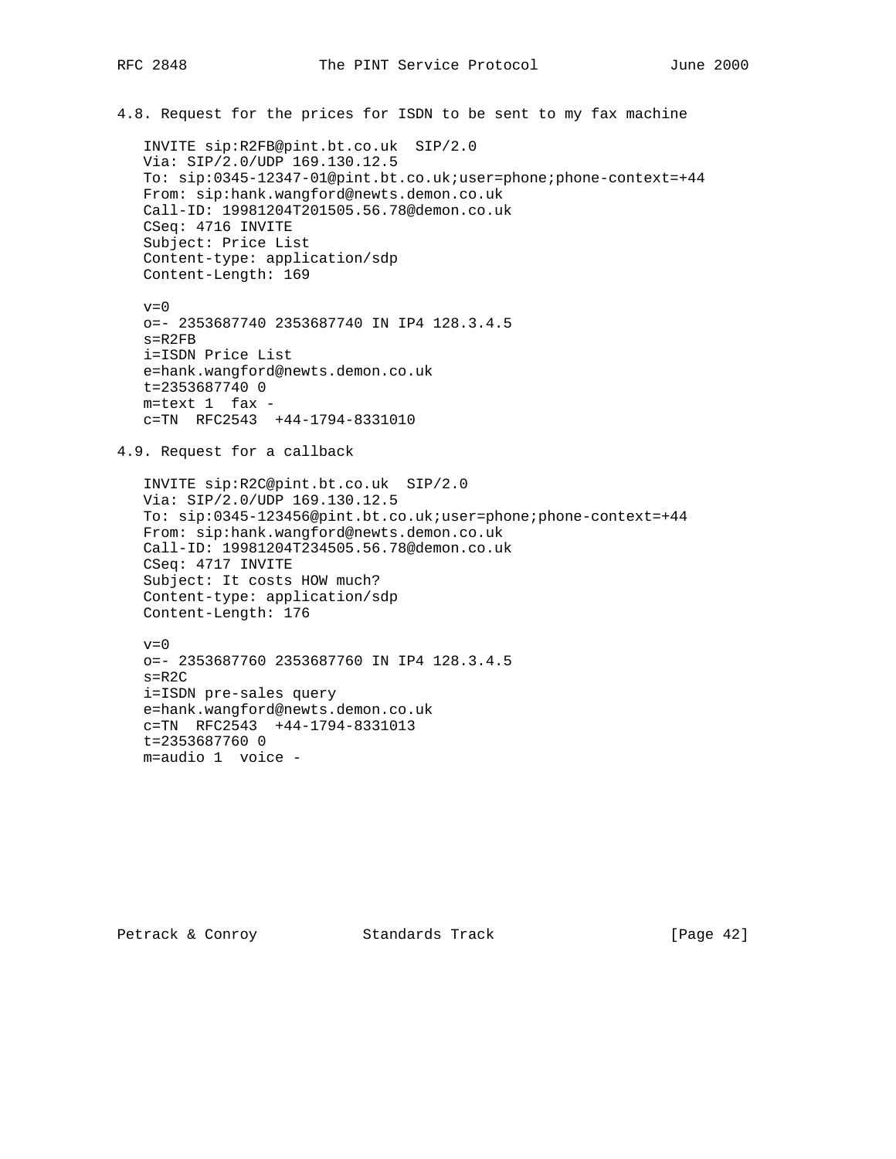4.8. Request for the prices for ISDN to be sent to my fax machine

INVITE sip:R2FB@pint.bt.co.uk SIP/2.0

```
 Via: SIP/2.0/UDP 169.130.12.5
   To: sip:0345-12347-01@pint.bt.co.uk;user=phone;phone-context=+44
   From: sip:hank.wangford@newts.demon.co.uk
   Call-ID: 19981204T201505.56.78@demon.co.uk
   CSeq: 4716 INVITE
   Subject: Price List
   Content-type: application/sdp
   Content-Length: 169
  v=0 o=- 2353687740 2353687740 IN IP4 128.3.4.5
    s=R2FB
    i=ISDN Price List
   e=hank.wangford@newts.demon.co.uk
   t=2353687740 0
   m=text 1 fax -
   c=TN RFC2543 +44-1794-8331010
4.9. Request for a callback
    INVITE sip:R2C@pint.bt.co.uk SIP/2.0
   Via: SIP/2.0/UDP 169.130.12.5
   To: sip:0345-123456@pint.bt.co.uk;user=phone;phone-context=+44
   From: sip:hank.wangford@newts.demon.co.uk
   Call-ID: 19981204T234505.56.78@demon.co.uk
   CSeq: 4717 INVITE
   Subject: It costs HOW much?
   Content-type: application/sdp
   Content-Length: 176
  v=0 o=- 2353687760 2353687760 IN IP4 128.3.4.5
   s=R2C
   i=ISDN pre-sales query
   e=hank.wangford@newts.demon.co.uk
   c=TN RFC2543 +44-1794-8331013
   t=2353687760 0
   m=audio 1 voice -
```
Petrack & Conroy Standards Track [Page 42]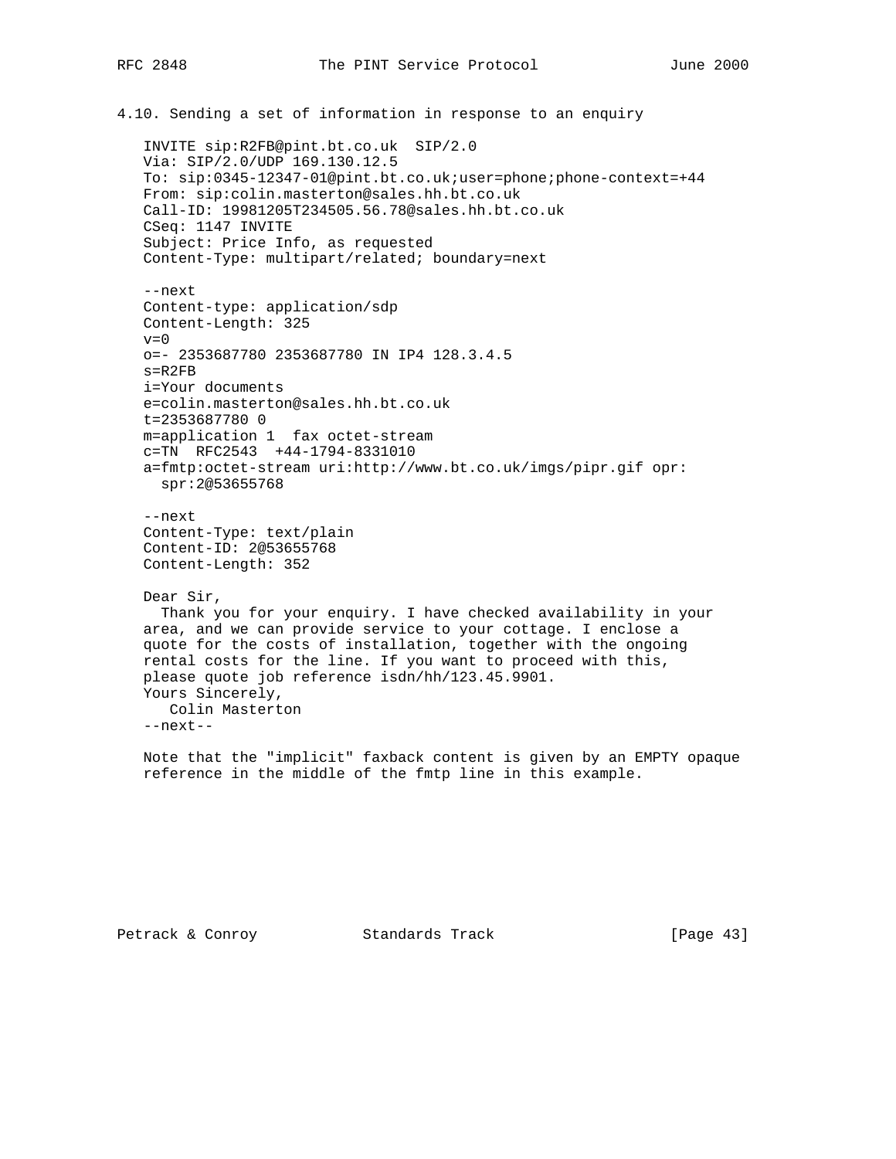4.10. Sending a set of information in response to an enquiry

 INVITE sip:R2FB@pint.bt.co.uk SIP/2.0 Via: SIP/2.0/UDP 169.130.12.5 To: sip:0345-12347-01@pint.bt.co.uk;user=phone;phone-context=+44 From: sip:colin.masterton@sales.hh.bt.co.uk Call-ID: 19981205T234505.56.78@sales.hh.bt.co.uk CSeq: 1147 INVITE Subject: Price Info, as requested Content-Type: multipart/related; boundary=next --next Content-type: application/sdp Content-Length: 325  $v=0$  o=- 2353687780 2353687780 IN IP4 128.3.4.5 s=R2FB i=Your documents e=colin.masterton@sales.hh.bt.co.uk t=2353687780 0 m=application 1 fax octet-stream c=TN RFC2543 +44-1794-8331010 a=fmtp:octet-stream uri:http://www.bt.co.uk/imgs/pipr.gif opr: spr:2@53655768 --next Content-Type: text/plain Content-ID: 2@53655768 Content-Length: 352 Dear Sir, Thank you for your enquiry. I have checked availability in your area, and we can provide service to your cottage. I enclose a quote for the costs of installation, together with the ongoing rental costs for the line. If you want to proceed with this, please quote job reference isdn/hh/123.45.9901. Yours Sincerely, Colin Masterton --next--

 Note that the "implicit" faxback content is given by an EMPTY opaque reference in the middle of the fmtp line in this example.

Petrack & Conroy Standards Track [Page 43]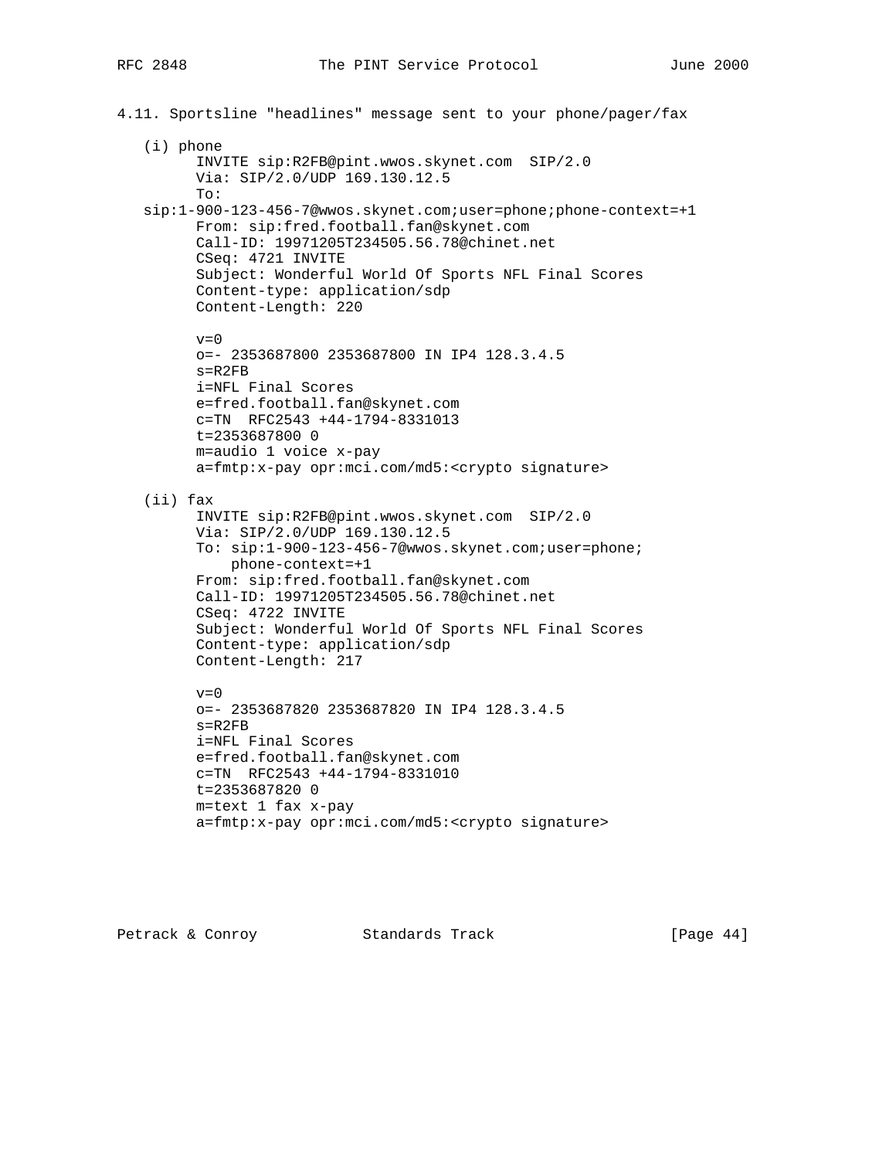```
4.11. Sportsline "headlines" message sent to your phone/pager/fax
    (i) phone
          INVITE sip:R2FB@pint.wwos.skynet.com SIP/2.0
          Via: SIP/2.0/UDP 169.130.12.5
          To:
    sip:1-900-123-456-7@wwos.skynet.com;user=phone;phone-context=+1
          From: sip:fred.football.fan@skynet.com
          Call-ID: 19971205T234505.56.78@chinet.net
          CSeq: 4721 INVITE
          Subject: Wonderful World Of Sports NFL Final Scores
          Content-type: application/sdp
          Content-Length: 220
         v=0 o=- 2353687800 2353687800 IN IP4 128.3.4.5
          s=R2FB
          i=NFL Final Scores
          e=fred.football.fan@skynet.com
          c=TN RFC2543 +44-1794-8331013
          t=2353687800 0
          m=audio 1 voice x-pay
          a=fmtp:x-pay opr:mci.com/md5:<crypto signature>
    (ii) fax
          INVITE sip:R2FB@pint.wwos.skynet.com SIP/2.0
          Via: SIP/2.0/UDP 169.130.12.5
          To: sip:1-900-123-456-7@wwos.skynet.com;user=phone;
              phone-context=+1
          From: sip:fred.football.fan@skynet.com
          Call-ID: 19971205T234505.56.78@chinet.net
          CSeq: 4722 INVITE
          Subject: Wonderful World Of Sports NFL Final Scores
          Content-type: application/sdp
          Content-Length: 217
         v=0 o=- 2353687820 2353687820 IN IP4 128.3.4.5
          s=R2FB
          i=NFL Final Scores
          e=fred.football.fan@skynet.com
          c=TN RFC2543 +44-1794-8331010
          t=2353687820 0
          m=text 1 fax x-pay
          a=fmtp:x-pay opr:mci.com/md5:<crypto signature>
```
Petrack & Conroy Standards Track [Page 44]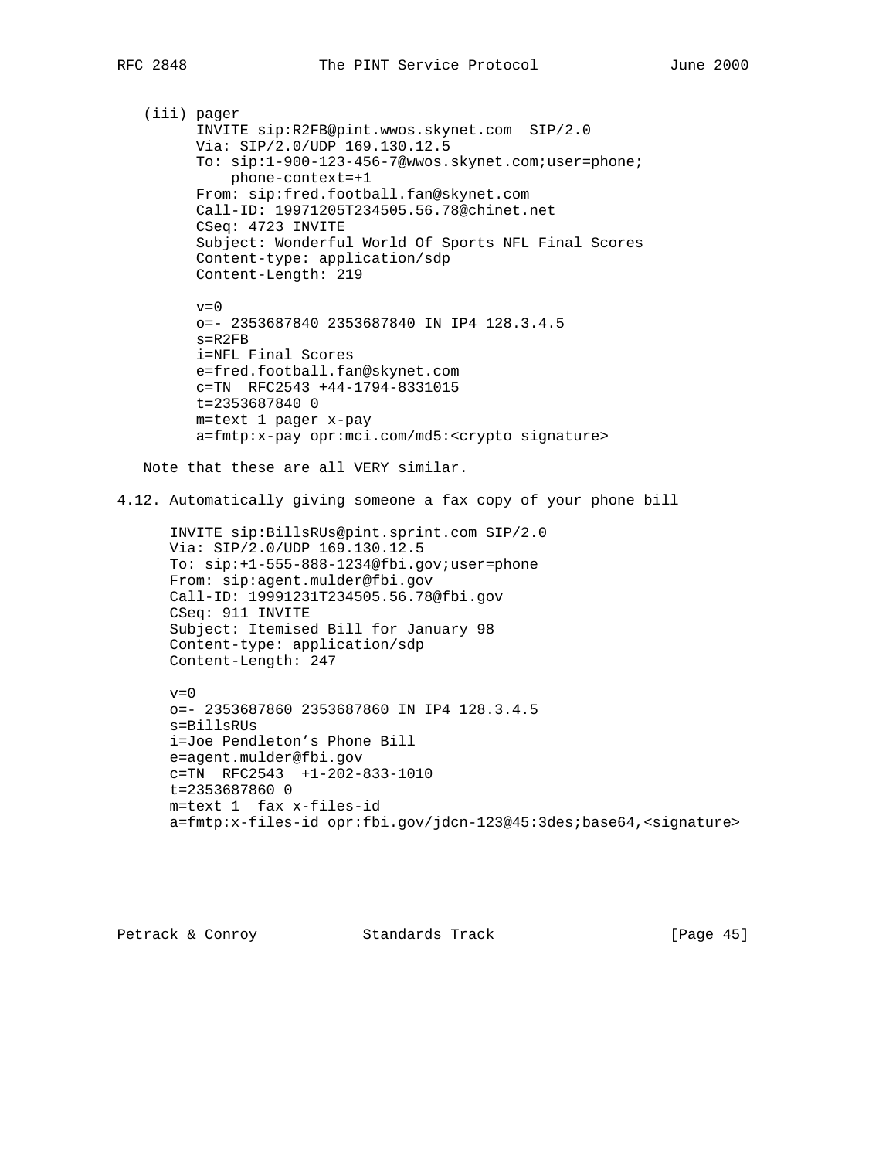(iii) pager INVITE sip:R2FB@pint.wwos.skynet.com SIP/2.0 Via: SIP/2.0/UDP 169.130.12.5 To: sip:1-900-123-456-7@wwos.skynet.com;user=phone; phone-context=+1 From: sip:fred.football.fan@skynet.com Call-ID: 19971205T234505.56.78@chinet.net CSeq: 4723 INVITE Subject: Wonderful World Of Sports NFL Final Scores Content-type: application/sdp Content-Length: 219

```
v=0 o=- 2353687840 2353687840 IN IP4 128.3.4.5
 s=R2FB
 i=NFL Final Scores
 e=fred.football.fan@skynet.com
 c=TN RFC2543 +44-1794-8331015
 t=2353687840 0
 m=text 1 pager x-pay
 a=fmtp:x-pay opr:mci.com/md5:<crypto signature>
```
Note that these are all VERY similar.

4.12. Automatically giving someone a fax copy of your phone bill

```
 INVITE sip:BillsRUs@pint.sprint.com SIP/2.0
 Via: SIP/2.0/UDP 169.130.12.5
 To: sip:+1-555-888-1234@fbi.gov;user=phone
 From: sip:agent.mulder@fbi.gov
 Call-ID: 19991231T234505.56.78@fbi.gov
 CSeq: 911 INVITE
 Subject: Itemised Bill for January 98
 Content-type: application/sdp
 Content-Length: 247
```

```
v=0 o=- 2353687860 2353687860 IN IP4 128.3.4.5
 s=BillsRUs
 i=Joe Pendleton's Phone Bill
 e=agent.mulder@fbi.gov
 c=TN RFC2543 +1-202-833-1010
 t=2353687860 0
 m=text 1 fax x-files-id
 a=fmtp:x-files-id opr:fbi.gov/jdcn-123@45:3des;base64,<signature>
```
Petrack & Conroy Standards Track [Page 45]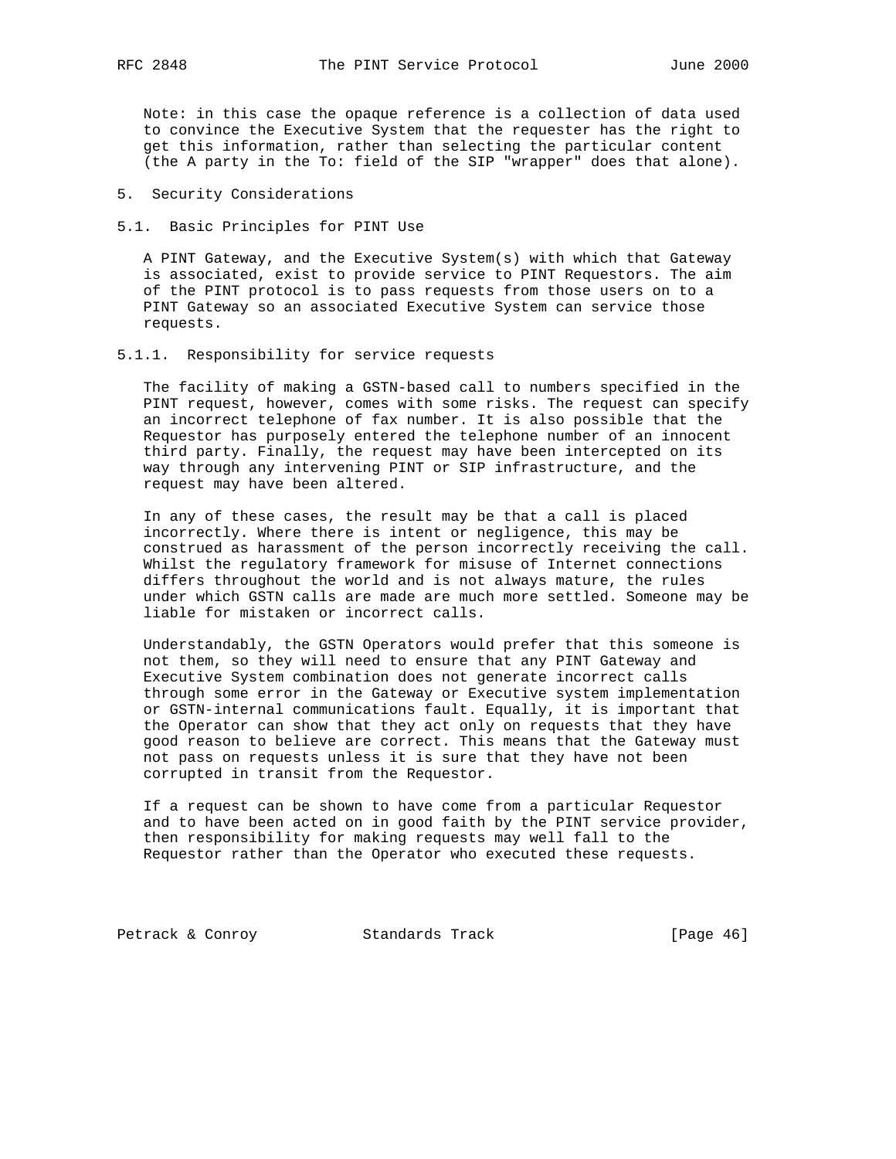Note: in this case the opaque reference is a collection of data used to convince the Executive System that the requester has the right to get this information, rather than selecting the particular content (the A party in the To: field of the SIP "wrapper" does that alone).

- 5. Security Considerations
- 5.1. Basic Principles for PINT Use

 A PINT Gateway, and the Executive System(s) with which that Gateway is associated, exist to provide service to PINT Requestors. The aim of the PINT protocol is to pass requests from those users on to a PINT Gateway so an associated Executive System can service those requests.

5.1.1. Responsibility for service requests

 The facility of making a GSTN-based call to numbers specified in the PINT request, however, comes with some risks. The request can specify an incorrect telephone of fax number. It is also possible that the Requestor has purposely entered the telephone number of an innocent third party. Finally, the request may have been intercepted on its way through any intervening PINT or SIP infrastructure, and the request may have been altered.

 In any of these cases, the result may be that a call is placed incorrectly. Where there is intent or negligence, this may be construed as harassment of the person incorrectly receiving the call. Whilst the regulatory framework for misuse of Internet connections differs throughout the world and is not always mature, the rules under which GSTN calls are made are much more settled. Someone may be liable for mistaken or incorrect calls.

 Understandably, the GSTN Operators would prefer that this someone is not them, so they will need to ensure that any PINT Gateway and Executive System combination does not generate incorrect calls through some error in the Gateway or Executive system implementation or GSTN-internal communications fault. Equally, it is important that the Operator can show that they act only on requests that they have good reason to believe are correct. This means that the Gateway must not pass on requests unless it is sure that they have not been corrupted in transit from the Requestor.

 If a request can be shown to have come from a particular Requestor and to have been acted on in good faith by the PINT service provider, then responsibility for making requests may well fall to the Requestor rather than the Operator who executed these requests.

Petrack & Conroy Standards Track [Page 46]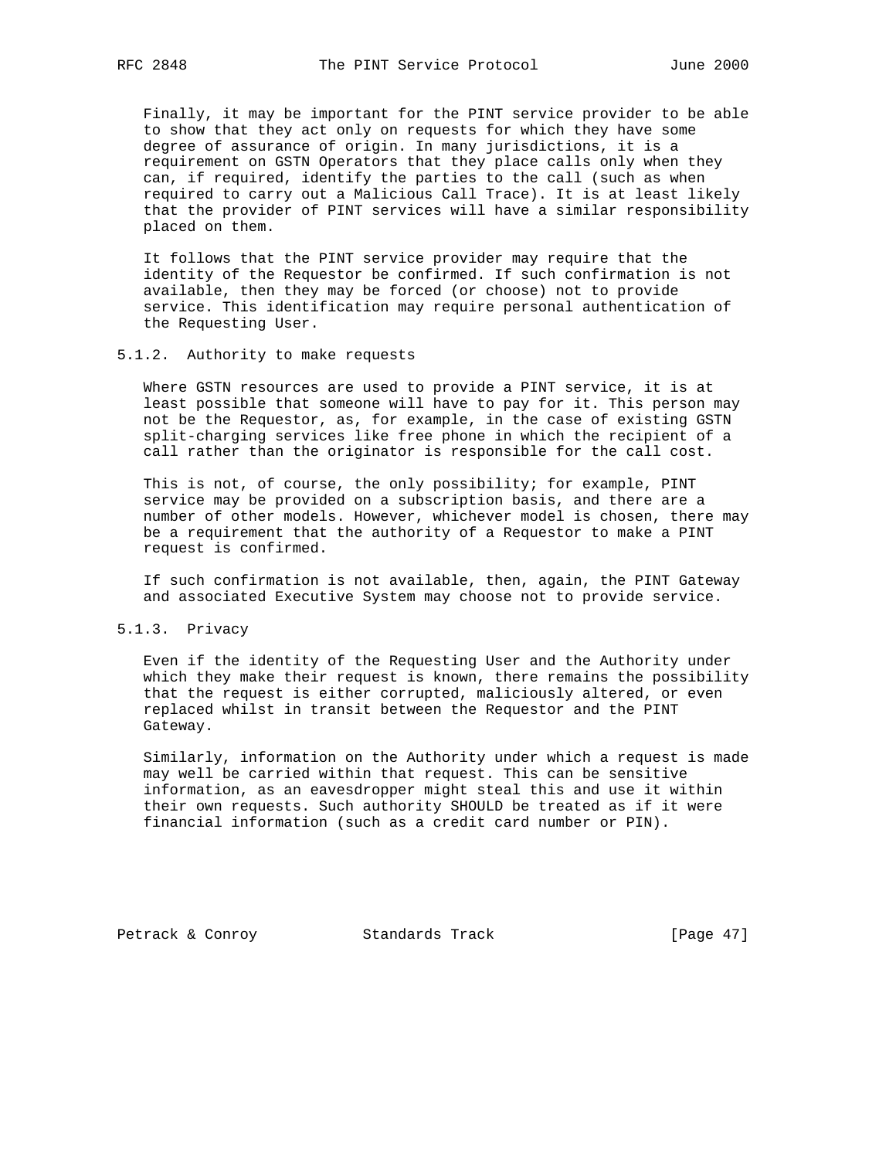Finally, it may be important for the PINT service provider to be able to show that they act only on requests for which they have some degree of assurance of origin. In many jurisdictions, it is a requirement on GSTN Operators that they place calls only when they can, if required, identify the parties to the call (such as when required to carry out a Malicious Call Trace). It is at least likely that the provider of PINT services will have a similar responsibility placed on them.

 It follows that the PINT service provider may require that the identity of the Requestor be confirmed. If such confirmation is not available, then they may be forced (or choose) not to provide service. This identification may require personal authentication of the Requesting User.

#### 5.1.2. Authority to make requests

 Where GSTN resources are used to provide a PINT service, it is at least possible that someone will have to pay for it. This person may not be the Requestor, as, for example, in the case of existing GSTN split-charging services like free phone in which the recipient of a call rather than the originator is responsible for the call cost.

 This is not, of course, the only possibility; for example, PINT service may be provided on a subscription basis, and there are a number of other models. However, whichever model is chosen, there may be a requirement that the authority of a Requestor to make a PINT request is confirmed.

 If such confirmation is not available, then, again, the PINT Gateway and associated Executive System may choose not to provide service.

# 5.1.3. Privacy

 Even if the identity of the Requesting User and the Authority under which they make their request is known, there remains the possibility that the request is either corrupted, maliciously altered, or even replaced whilst in transit between the Requestor and the PINT Gateway.

 Similarly, information on the Authority under which a request is made may well be carried within that request. This can be sensitive information, as an eavesdropper might steal this and use it within their own requests. Such authority SHOULD be treated as if it were financial information (such as a credit card number or PIN).

Petrack & Conroy Standards Track [Page 47]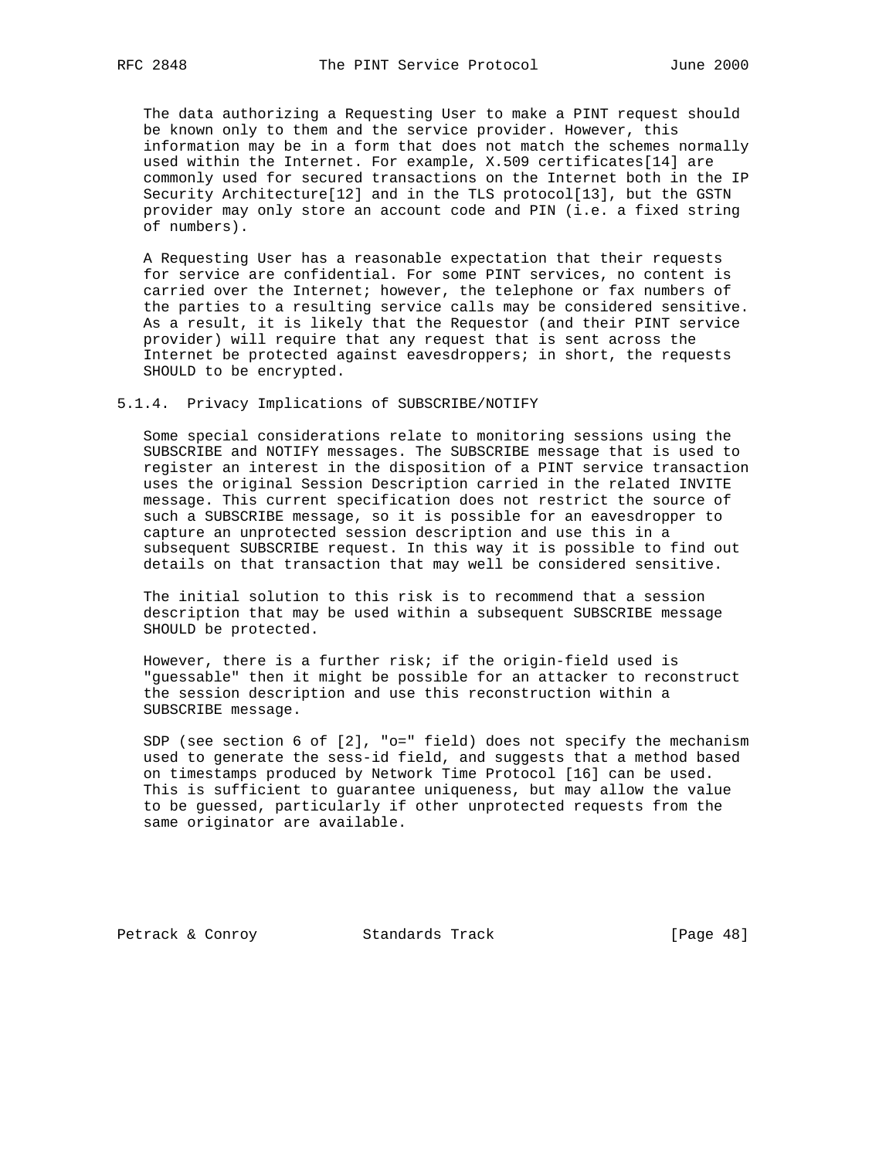The data authorizing a Requesting User to make a PINT request should be known only to them and the service provider. However, this information may be in a form that does not match the schemes normally used within the Internet. For example, X.509 certificates[14] are commonly used for secured transactions on the Internet both in the IP Security Architecture[12] and in the TLS protocol[13], but the GSTN provider may only store an account code and PIN (i.e. a fixed string of numbers).

 A Requesting User has a reasonable expectation that their requests for service are confidential. For some PINT services, no content is carried over the Internet; however, the telephone or fax numbers of the parties to a resulting service calls may be considered sensitive. As a result, it is likely that the Requestor (and their PINT service provider) will require that any request that is sent across the Internet be protected against eavesdroppers; in short, the requests SHOULD to be encrypted.

### 5.1.4. Privacy Implications of SUBSCRIBE/NOTIFY

 Some special considerations relate to monitoring sessions using the SUBSCRIBE and NOTIFY messages. The SUBSCRIBE message that is used to register an interest in the disposition of a PINT service transaction uses the original Session Description carried in the related INVITE message. This current specification does not restrict the source of such a SUBSCRIBE message, so it is possible for an eavesdropper to capture an unprotected session description and use this in a subsequent SUBSCRIBE request. In this way it is possible to find out details on that transaction that may well be considered sensitive.

 The initial solution to this risk is to recommend that a session description that may be used within a subsequent SUBSCRIBE message SHOULD be protected.

 However, there is a further risk; if the origin-field used is "guessable" then it might be possible for an attacker to reconstruct the session description and use this reconstruction within a SUBSCRIBE message.

 SDP (see section 6 of [2], "o=" field) does not specify the mechanism used to generate the sess-id field, and suggests that a method based on timestamps produced by Network Time Protocol [16] can be used. This is sufficient to guarantee uniqueness, but may allow the value to be guessed, particularly if other unprotected requests from the same originator are available.

Petrack & Conroy Standards Track [Page 48]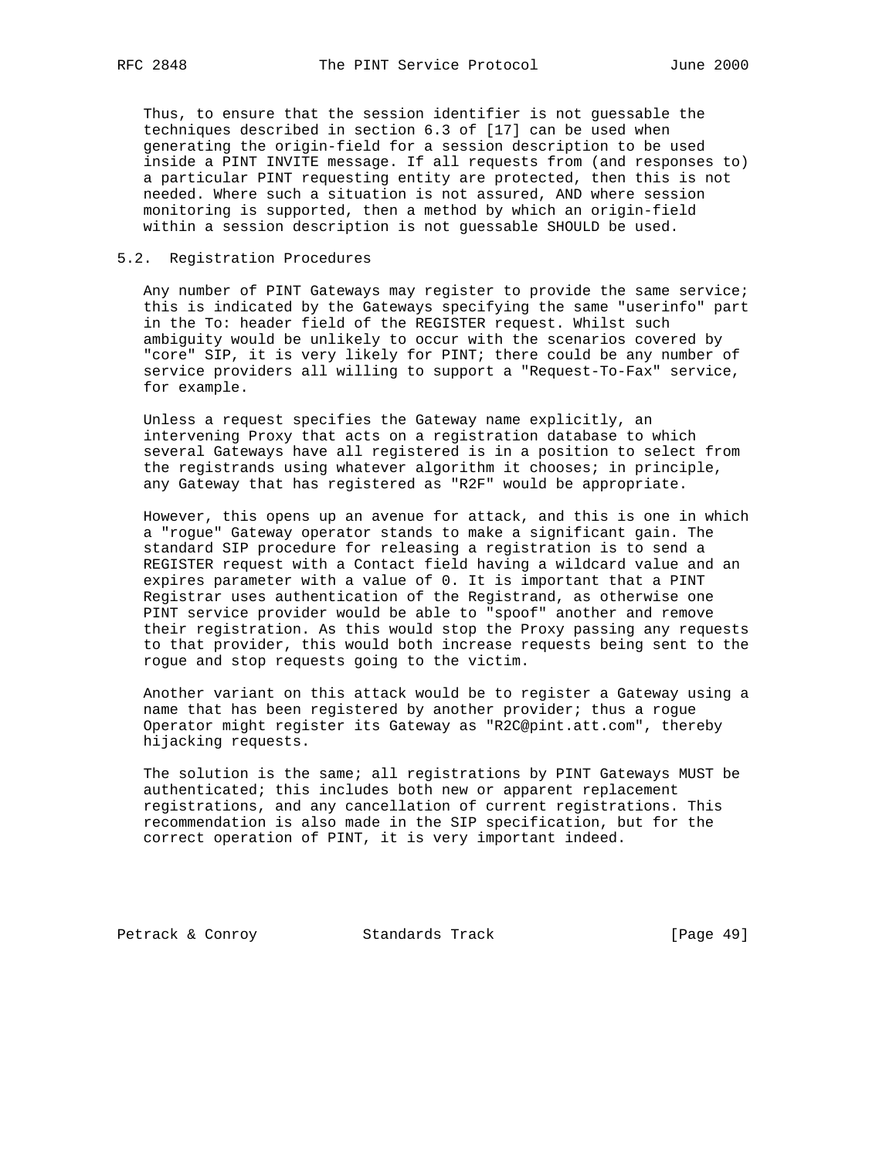Thus, to ensure that the session identifier is not guessable the techniques described in section 6.3 of [17] can be used when generating the origin-field for a session description to be used inside a PINT INVITE message. If all requests from (and responses to) a particular PINT requesting entity are protected, then this is not needed. Where such a situation is not assured, AND where session monitoring is supported, then a method by which an origin-field within a session description is not guessable SHOULD be used.

### 5.2. Registration Procedures

 Any number of PINT Gateways may register to provide the same service; this is indicated by the Gateways specifying the same "userinfo" part in the To: header field of the REGISTER request. Whilst such ambiguity would be unlikely to occur with the scenarios covered by "core" SIP, it is very likely for PINT; there could be any number of service providers all willing to support a "Request-To-Fax" service, for example.

 Unless a request specifies the Gateway name explicitly, an intervening Proxy that acts on a registration database to which several Gateways have all registered is in a position to select from the registrands using whatever algorithm it chooses; in principle, any Gateway that has registered as "R2F" would be appropriate.

 However, this opens up an avenue for attack, and this is one in which a "rogue" Gateway operator stands to make a significant gain. The standard SIP procedure for releasing a registration is to send a REGISTER request with a Contact field having a wildcard value and an expires parameter with a value of 0. It is important that a PINT Registrar uses authentication of the Registrand, as otherwise one PINT service provider would be able to "spoof" another and remove their registration. As this would stop the Proxy passing any requests to that provider, this would both increase requests being sent to the rogue and stop requests going to the victim.

 Another variant on this attack would be to register a Gateway using a name that has been registered by another provider; thus a rogue Operator might register its Gateway as "R2C@pint.att.com", thereby hijacking requests.

 The solution is the same; all registrations by PINT Gateways MUST be authenticated; this includes both new or apparent replacement registrations, and any cancellation of current registrations. This recommendation is also made in the SIP specification, but for the correct operation of PINT, it is very important indeed.

Petrack & Conroy Standards Track [Page 49]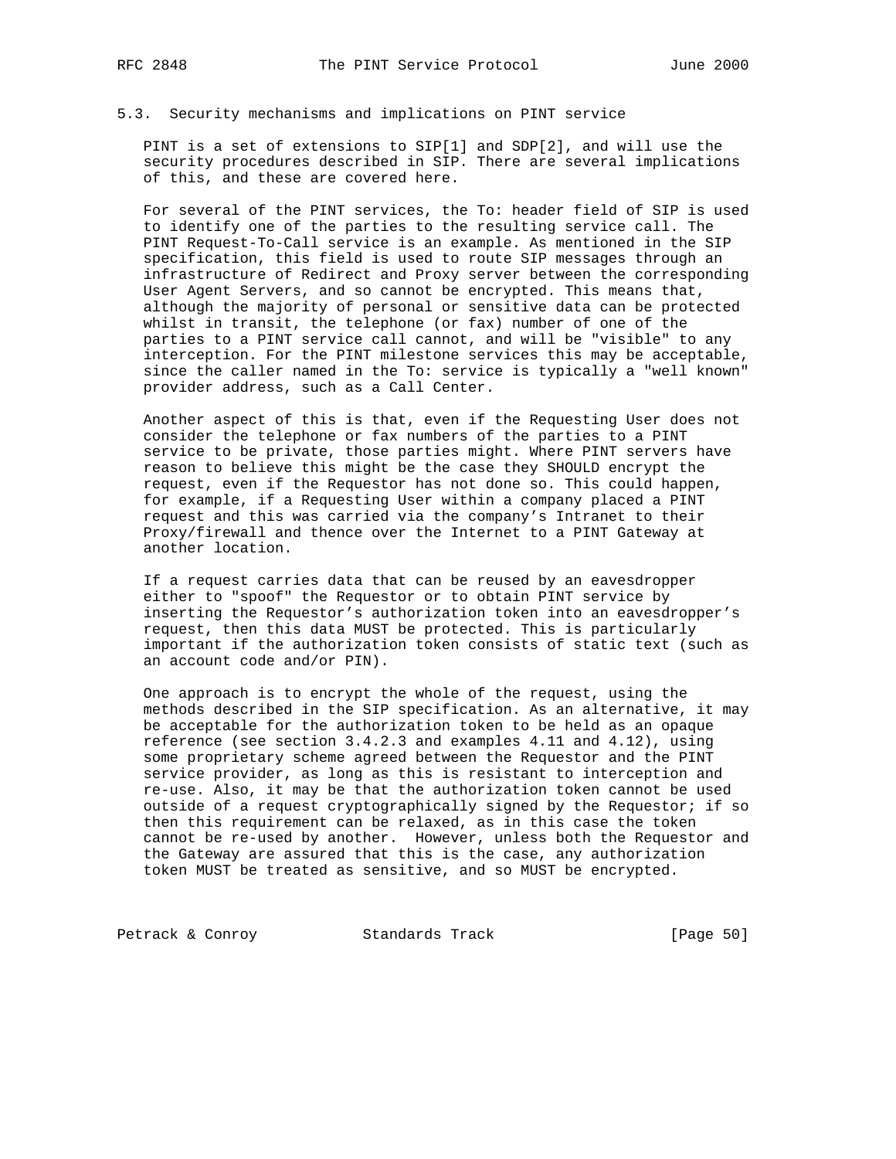#### 5.3. Security mechanisms and implications on PINT service

 PINT is a set of extensions to SIP[1] and SDP[2], and will use the security procedures described in SIP. There are several implications of this, and these are covered here.

 For several of the PINT services, the To: header field of SIP is used to identify one of the parties to the resulting service call. The PINT Request-To-Call service is an example. As mentioned in the SIP specification, this field is used to route SIP messages through an infrastructure of Redirect and Proxy server between the corresponding User Agent Servers, and so cannot be encrypted. This means that, although the majority of personal or sensitive data can be protected whilst in transit, the telephone (or fax) number of one of the parties to a PINT service call cannot, and will be "visible" to any interception. For the PINT milestone services this may be acceptable, since the caller named in the To: service is typically a "well known" provider address, such as a Call Center.

 Another aspect of this is that, even if the Requesting User does not consider the telephone or fax numbers of the parties to a PINT service to be private, those parties might. Where PINT servers have reason to believe this might be the case they SHOULD encrypt the request, even if the Requestor has not done so. This could happen, for example, if a Requesting User within a company placed a PINT request and this was carried via the company's Intranet to their Proxy/firewall and thence over the Internet to a PINT Gateway at another location.

 If a request carries data that can be reused by an eavesdropper either to "spoof" the Requestor or to obtain PINT service by inserting the Requestor's authorization token into an eavesdropper's request, then this data MUST be protected. This is particularly important if the authorization token consists of static text (such as an account code and/or PIN).

 One approach is to encrypt the whole of the request, using the methods described in the SIP specification. As an alternative, it may be acceptable for the authorization token to be held as an opaque reference (see section 3.4.2.3 and examples 4.11 and 4.12), using some proprietary scheme agreed between the Requestor and the PINT service provider, as long as this is resistant to interception and re-use. Also, it may be that the authorization token cannot be used outside of a request cryptographically signed by the Requestor; if so then this requirement can be relaxed, as in this case the token cannot be re-used by another. However, unless both the Requestor and the Gateway are assured that this is the case, any authorization token MUST be treated as sensitive, and so MUST be encrypted.

Petrack & Conroy Standards Track [Page 50]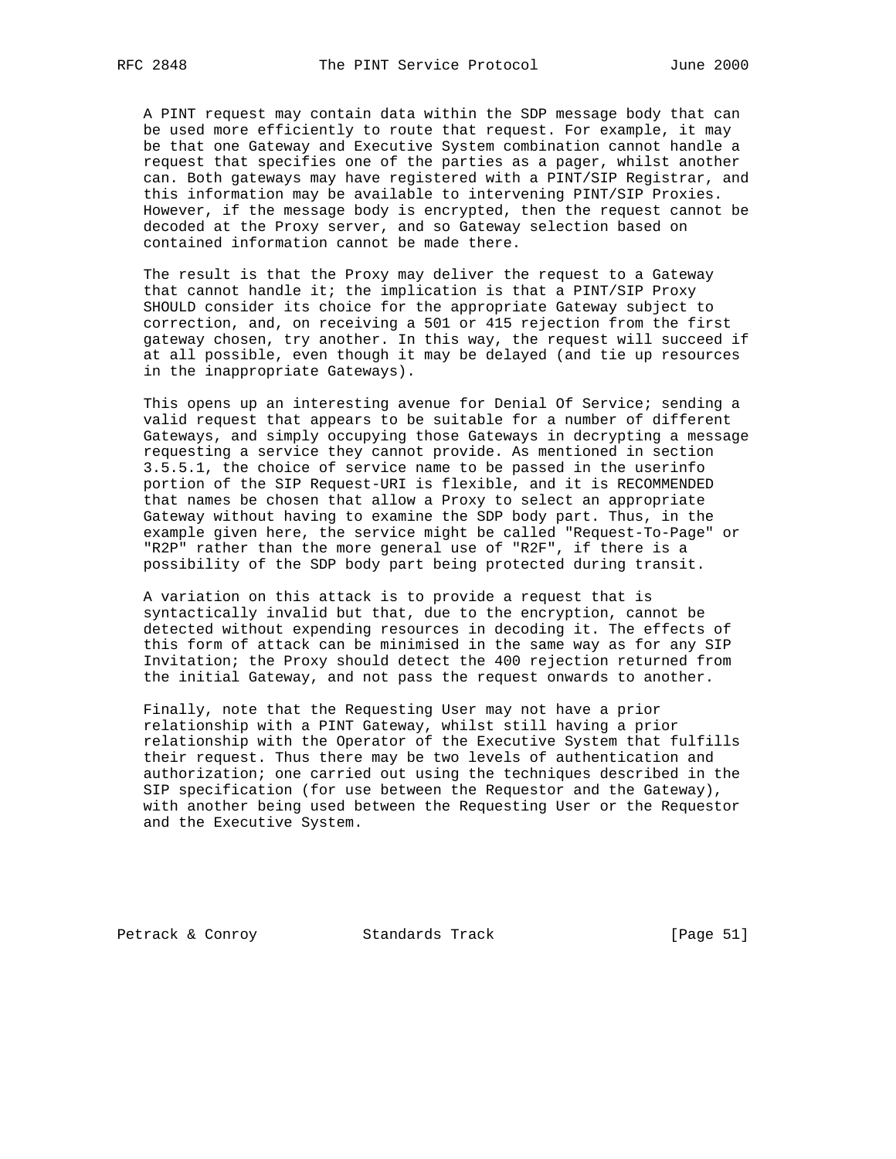A PINT request may contain data within the SDP message body that can be used more efficiently to route that request. For example, it may be that one Gateway and Executive System combination cannot handle a request that specifies one of the parties as a pager, whilst another can. Both gateways may have registered with a PINT/SIP Registrar, and this information may be available to intervening PINT/SIP Proxies. However, if the message body is encrypted, then the request cannot be decoded at the Proxy server, and so Gateway selection based on contained information cannot be made there.

 The result is that the Proxy may deliver the request to a Gateway that cannot handle it; the implication is that a PINT/SIP Proxy SHOULD consider its choice for the appropriate Gateway subject to correction, and, on receiving a 501 or 415 rejection from the first gateway chosen, try another. In this way, the request will succeed if at all possible, even though it may be delayed (and tie up resources in the inappropriate Gateways).

 This opens up an interesting avenue for Denial Of Service; sending a valid request that appears to be suitable for a number of different Gateways, and simply occupying those Gateways in decrypting a message requesting a service they cannot provide. As mentioned in section 3.5.5.1, the choice of service name to be passed in the userinfo portion of the SIP Request-URI is flexible, and it is RECOMMENDED that names be chosen that allow a Proxy to select an appropriate Gateway without having to examine the SDP body part. Thus, in the example given here, the service might be called "Request-To-Page" or "R2P" rather than the more general use of "R2F", if there is a possibility of the SDP body part being protected during transit.

 A variation on this attack is to provide a request that is syntactically invalid but that, due to the encryption, cannot be detected without expending resources in decoding it. The effects of this form of attack can be minimised in the same way as for any SIP Invitation; the Proxy should detect the 400 rejection returned from the initial Gateway, and not pass the request onwards to another.

 Finally, note that the Requesting User may not have a prior relationship with a PINT Gateway, whilst still having a prior relationship with the Operator of the Executive System that fulfills their request. Thus there may be two levels of authentication and authorization; one carried out using the techniques described in the SIP specification (for use between the Requestor and the Gateway), with another being used between the Requesting User or the Requestor and the Executive System.

Petrack & Conroy Standards Track [Page 51]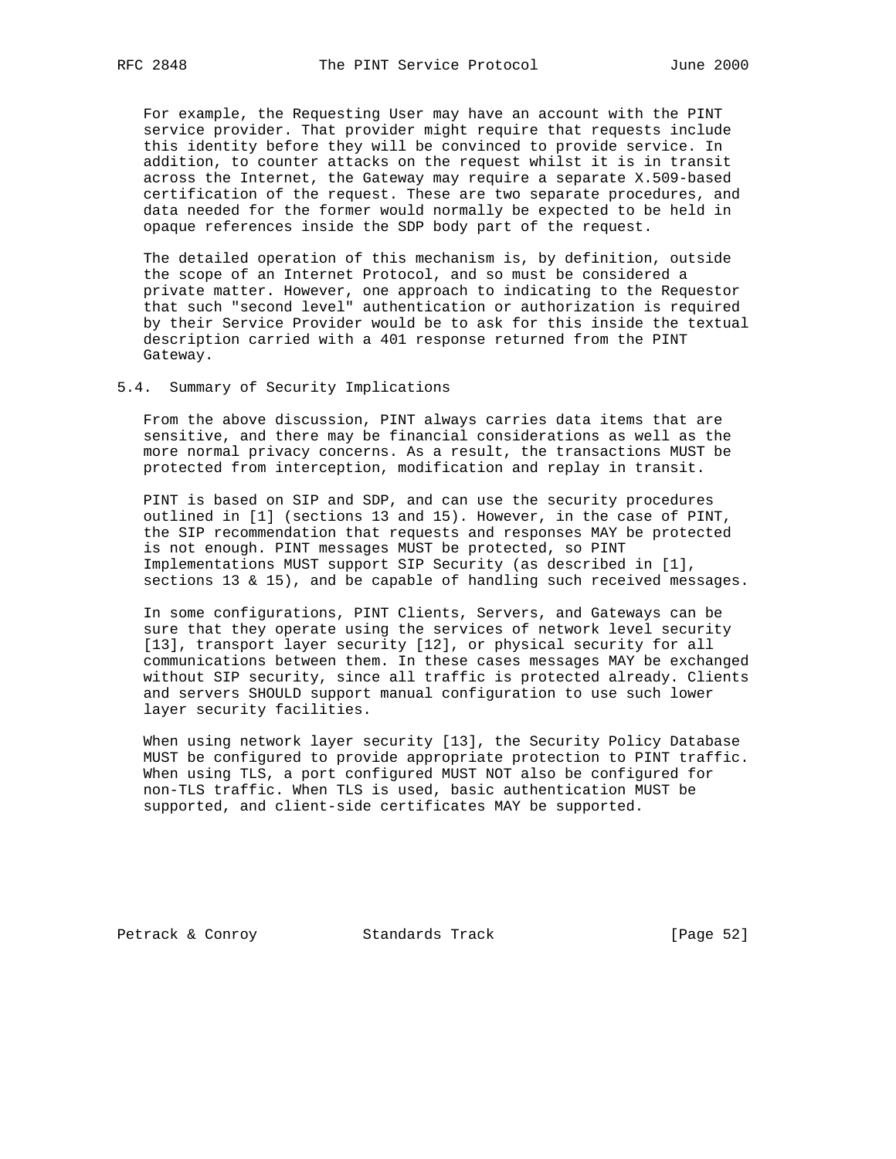For example, the Requesting User may have an account with the PINT service provider. That provider might require that requests include this identity before they will be convinced to provide service. In addition, to counter attacks on the request whilst it is in transit across the Internet, the Gateway may require a separate X.509-based certification of the request. These are two separate procedures, and data needed for the former would normally be expected to be held in opaque references inside the SDP body part of the request.

 The detailed operation of this mechanism is, by definition, outside the scope of an Internet Protocol, and so must be considered a private matter. However, one approach to indicating to the Requestor that such "second level" authentication or authorization is required by their Service Provider would be to ask for this inside the textual description carried with a 401 response returned from the PINT Gateway.

5.4. Summary of Security Implications

 From the above discussion, PINT always carries data items that are sensitive, and there may be financial considerations as well as the more normal privacy concerns. As a result, the transactions MUST be protected from interception, modification and replay in transit.

 PINT is based on SIP and SDP, and can use the security procedures outlined in [1] (sections 13 and 15). However, in the case of PINT, the SIP recommendation that requests and responses MAY be protected is not enough. PINT messages MUST be protected, so PINT Implementations MUST support SIP Security (as described in [1], sections 13 & 15), and be capable of handling such received messages.

 In some configurations, PINT Clients, Servers, and Gateways can be sure that they operate using the services of network level security [13], transport layer security [12], or physical security for all communications between them. In these cases messages MAY be exchanged without SIP security, since all traffic is protected already. Clients and servers SHOULD support manual configuration to use such lower layer security facilities.

 When using network layer security [13], the Security Policy Database MUST be configured to provide appropriate protection to PINT traffic. When using TLS, a port configured MUST NOT also be configured for non-TLS traffic. When TLS is used, basic authentication MUST be supported, and client-side certificates MAY be supported.

Petrack & Conroy Standards Track [Page 52]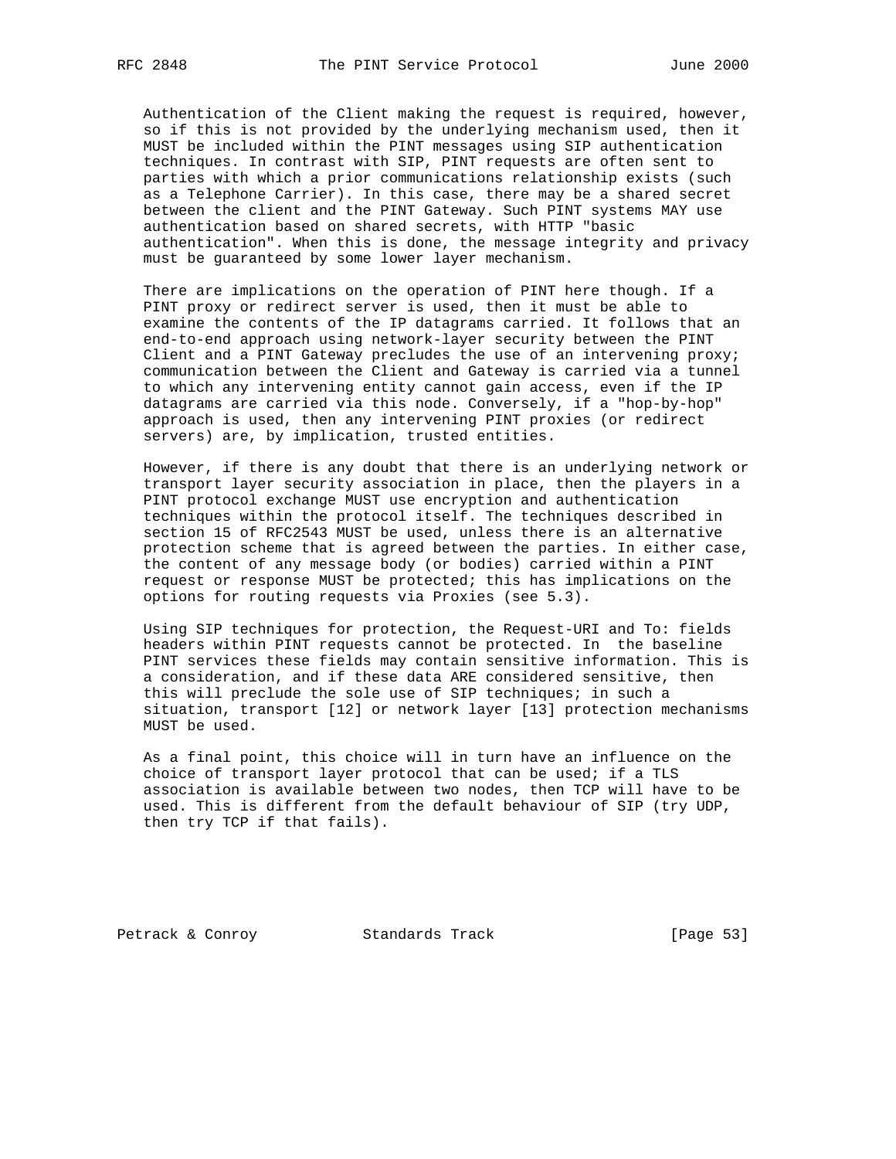Authentication of the Client making the request is required, however, so if this is not provided by the underlying mechanism used, then it MUST be included within the PINT messages using SIP authentication techniques. In contrast with SIP, PINT requests are often sent to parties with which a prior communications relationship exists (such as a Telephone Carrier). In this case, there may be a shared secret between the client and the PINT Gateway. Such PINT systems MAY use authentication based on shared secrets, with HTTP "basic authentication". When this is done, the message integrity and privacy must be guaranteed by some lower layer mechanism.

 There are implications on the operation of PINT here though. If a PINT proxy or redirect server is used, then it must be able to examine the contents of the IP datagrams carried. It follows that an end-to-end approach using network-layer security between the PINT Client and a PINT Gateway precludes the use of an intervening proxy; communication between the Client and Gateway is carried via a tunnel to which any intervening entity cannot gain access, even if the IP datagrams are carried via this node. Conversely, if a "hop-by-hop" approach is used, then any intervening PINT proxies (or redirect servers) are, by implication, trusted entities.

 However, if there is any doubt that there is an underlying network or transport layer security association in place, then the players in a PINT protocol exchange MUST use encryption and authentication techniques within the protocol itself. The techniques described in section 15 of RFC2543 MUST be used, unless there is an alternative protection scheme that is agreed between the parties. In either case, the content of any message body (or bodies) carried within a PINT request or response MUST be protected; this has implications on the options for routing requests via Proxies (see 5.3).

 Using SIP techniques for protection, the Request-URI and To: fields headers within PINT requests cannot be protected. In the baseline PINT services these fields may contain sensitive information. This is a consideration, and if these data ARE considered sensitive, then this will preclude the sole use of SIP techniques; in such a situation, transport [12] or network layer [13] protection mechanisms MUST be used.

 As a final point, this choice will in turn have an influence on the choice of transport layer protocol that can be used; if a TLS association is available between two nodes, then TCP will have to be used. This is different from the default behaviour of SIP (try UDP, then try TCP if that fails).

Petrack & Conroy Standards Track [Page 53]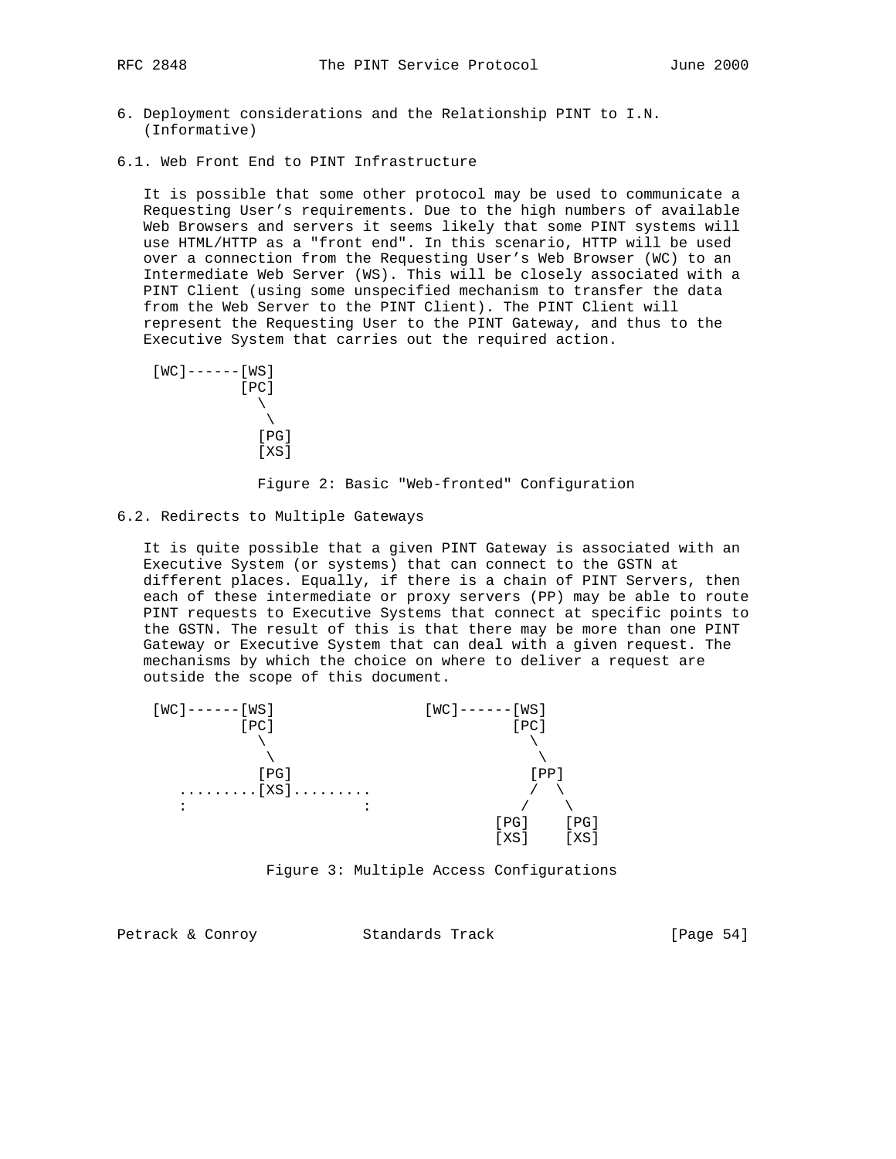- 6. Deployment considerations and the Relationship PINT to I.N. (Informative)
- 6.1. Web Front End to PINT Infrastructure

 It is possible that some other protocol may be used to communicate a Requesting User's requirements. Due to the high numbers of available Web Browsers and servers it seems likely that some PINT systems will use HTML/HTTP as a "front end". In this scenario, HTTP will be used over a connection from the Requesting User's Web Browser (WC) to an Intermediate Web Server (WS). This will be closely associated with a PINT Client (using some unspecified mechanism to transfer the data from the Web Server to the PINT Client). The PINT Client will represent the Requesting User to the PINT Gateway, and thus to the Executive System that carries out the required action.



Figure 2: Basic "Web-fronted" Configuration

#### 6.2. Redirects to Multiple Gateways

 It is quite possible that a given PINT Gateway is associated with an Executive System (or systems) that can connect to the GSTN at different places. Equally, if there is a chain of PINT Servers, then each of these intermediate or proxy servers (PP) may be able to route PINT requests to Executive Systems that connect at specific points to the GSTN. The result of this is that there may be more than one PINT Gateway or Executive System that can deal with a given request. The mechanisms by which the choice on where to deliver a request are outside the scope of this document.



Figure 3: Multiple Access Configurations

Petrack & Conroy Standards Track [Page 54]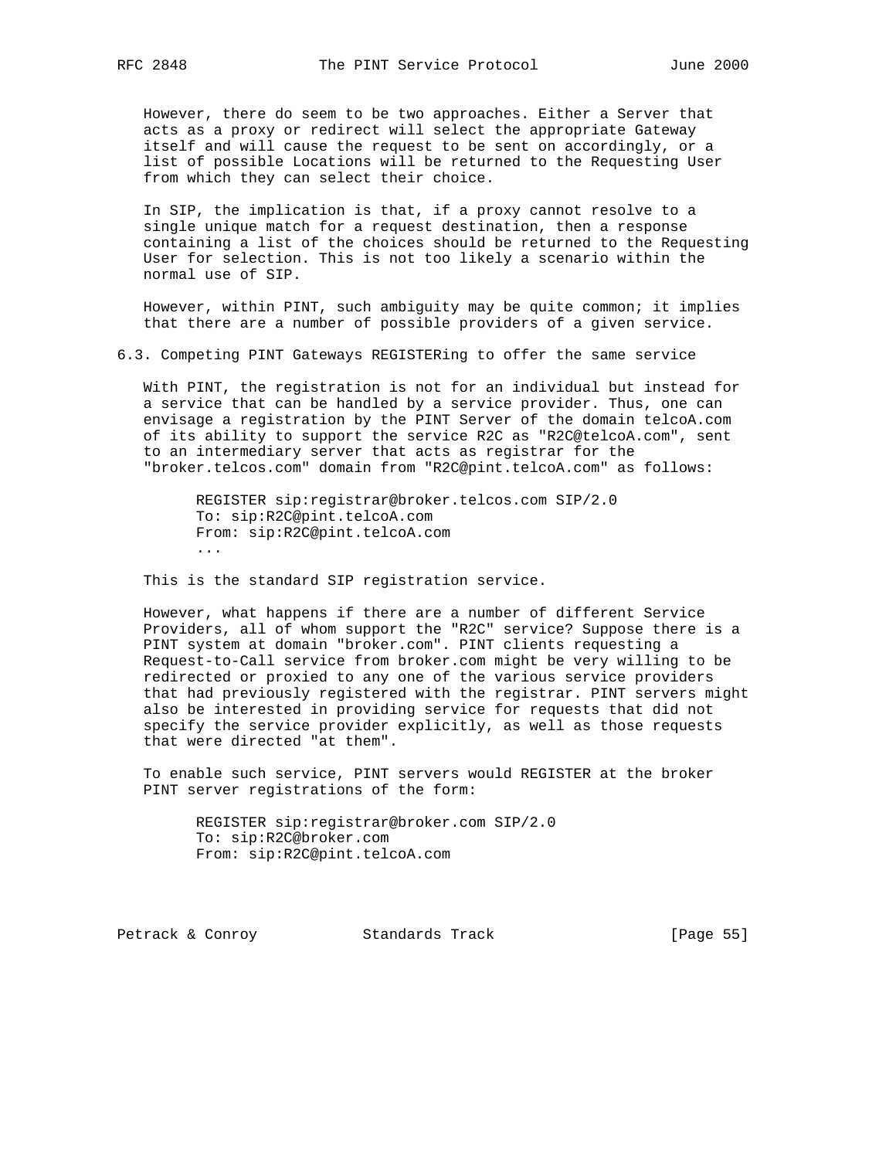However, there do seem to be two approaches. Either a Server that acts as a proxy or redirect will select the appropriate Gateway itself and will cause the request to be sent on accordingly, or a list of possible Locations will be returned to the Requesting User from which they can select their choice.

 In SIP, the implication is that, if a proxy cannot resolve to a single unique match for a request destination, then a response containing a list of the choices should be returned to the Requesting User for selection. This is not too likely a scenario within the normal use of SIP.

 However, within PINT, such ambiguity may be quite common; it implies that there are a number of possible providers of a given service.

6.3. Competing PINT Gateways REGISTERing to offer the same service

 With PINT, the registration is not for an individual but instead for a service that can be handled by a service provider. Thus, one can envisage a registration by the PINT Server of the domain telcoA.com of its ability to support the service R2C as "R2C@telcoA.com", sent to an intermediary server that acts as registrar for the "broker.telcos.com" domain from "R2C@pint.telcoA.com" as follows:

 REGISTER sip:registrar@broker.telcos.com SIP/2.0 To: sip:R2C@pint.telcoA.com From: sip:R2C@pint.telcoA.com ...

This is the standard SIP registration service.

 However, what happens if there are a number of different Service Providers, all of whom support the "R2C" service? Suppose there is a PINT system at domain "broker.com". PINT clients requesting a Request-to-Call service from broker.com might be very willing to be redirected or proxied to any one of the various service providers that had previously registered with the registrar. PINT servers might also be interested in providing service for requests that did not specify the service provider explicitly, as well as those requests that were directed "at them".

 To enable such service, PINT servers would REGISTER at the broker PINT server registrations of the form:

 REGISTER sip:registrar@broker.com SIP/2.0 To: sip:R2C@broker.com From: sip:R2C@pint.telcoA.com

Petrack & Conroy Standards Track [Page 55]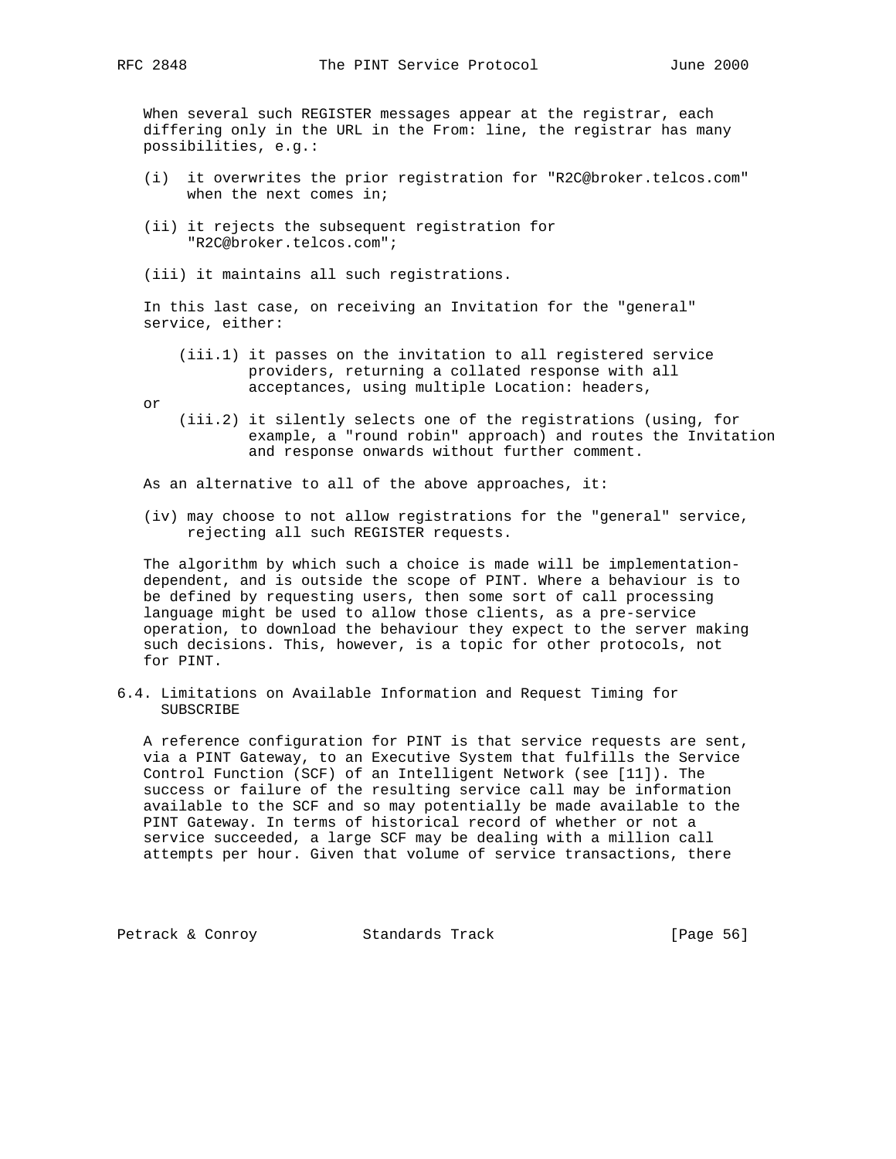When several such REGISTER messages appear at the registrar, each differing only in the URL in the From: line, the registrar has many possibilities, e.g.:

- (i) it overwrites the prior registration for "R2C@broker.telcos.com" when the next comes in;
- (ii) it rejects the subsequent registration for "R2C@broker.telcos.com";
- (iii) it maintains all such registrations.

 In this last case, on receiving an Invitation for the "general" service, either:

 (iii.1) it passes on the invitation to all registered service providers, returning a collated response with all acceptances, using multiple Location: headers,

or

 (iii.2) it silently selects one of the registrations (using, for example, a "round robin" approach) and routes the Invitation and response onwards without further comment.

As an alternative to all of the above approaches, it:

 (iv) may choose to not allow registrations for the "general" service, rejecting all such REGISTER requests.

 The algorithm by which such a choice is made will be implementation dependent, and is outside the scope of PINT. Where a behaviour is to be defined by requesting users, then some sort of call processing language might be used to allow those clients, as a pre-service operation, to download the behaviour they expect to the server making such decisions. This, however, is a topic for other protocols, not for PINT.

6.4. Limitations on Available Information and Request Timing for SUBSCRIBE

 A reference configuration for PINT is that service requests are sent, via a PINT Gateway, to an Executive System that fulfills the Service Control Function (SCF) of an Intelligent Network (see [11]). The success or failure of the resulting service call may be information available to the SCF and so may potentially be made available to the PINT Gateway. In terms of historical record of whether or not a service succeeded, a large SCF may be dealing with a million call attempts per hour. Given that volume of service transactions, there

Petrack & Conroy Standards Track [Page 56]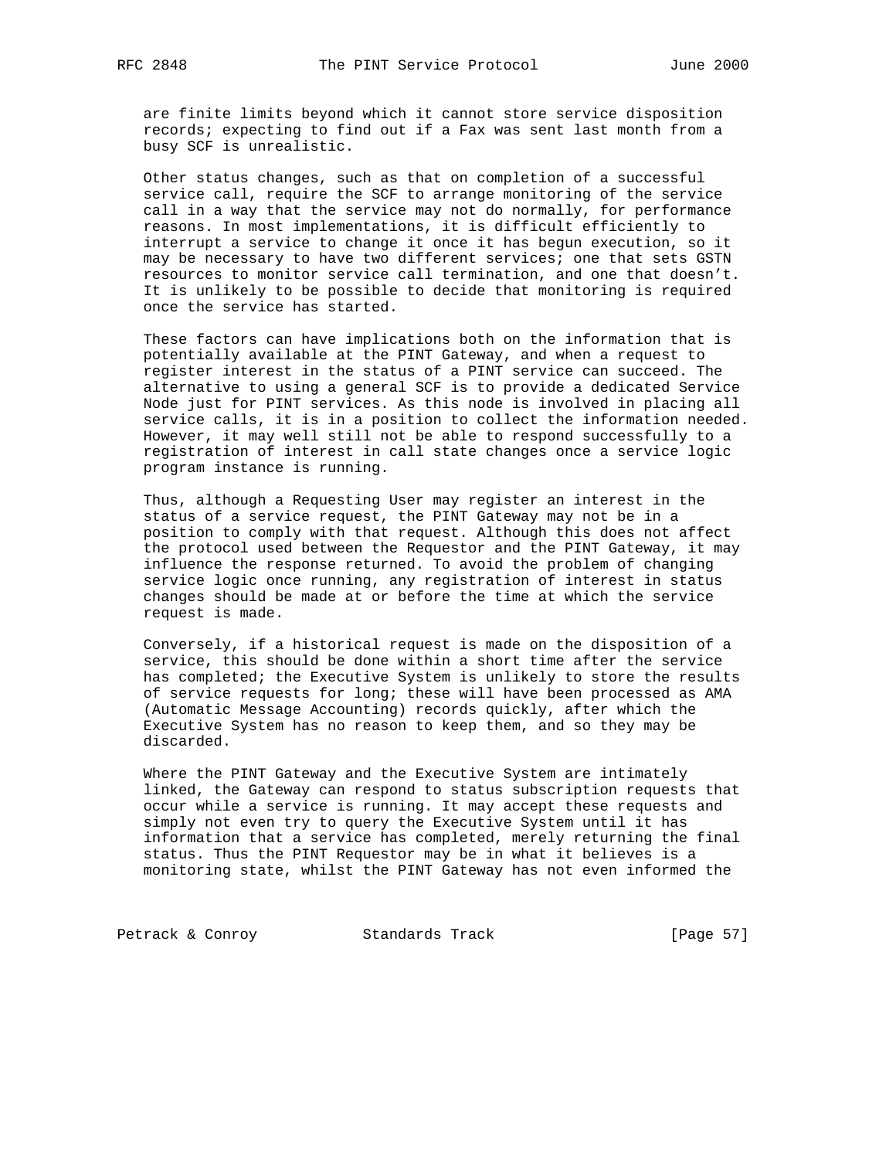are finite limits beyond which it cannot store service disposition records; expecting to find out if a Fax was sent last month from a busy SCF is unrealistic.

 Other status changes, such as that on completion of a successful service call, require the SCF to arrange monitoring of the service call in a way that the service may not do normally, for performance reasons. In most implementations, it is difficult efficiently to interrupt a service to change it once it has begun execution, so it may be necessary to have two different services; one that sets GSTN resources to monitor service call termination, and one that doesn't. It is unlikely to be possible to decide that monitoring is required once the service has started.

 These factors can have implications both on the information that is potentially available at the PINT Gateway, and when a request to register interest in the status of a PINT service can succeed. The alternative to using a general SCF is to provide a dedicated Service Node just for PINT services. As this node is involved in placing all service calls, it is in a position to collect the information needed. However, it may well still not be able to respond successfully to a registration of interest in call state changes once a service logic program instance is running.

 Thus, although a Requesting User may register an interest in the status of a service request, the PINT Gateway may not be in a position to comply with that request. Although this does not affect the protocol used between the Requestor and the PINT Gateway, it may influence the response returned. To avoid the problem of changing service logic once running, any registration of interest in status changes should be made at or before the time at which the service request is made.

 Conversely, if a historical request is made on the disposition of a service, this should be done within a short time after the service has completed; the Executive System is unlikely to store the results of service requests for long; these will have been processed as AMA (Automatic Message Accounting) records quickly, after which the Executive System has no reason to keep them, and so they may be discarded.

 Where the PINT Gateway and the Executive System are intimately linked, the Gateway can respond to status subscription requests that occur while a service is running. It may accept these requests and simply not even try to query the Executive System until it has information that a service has completed, merely returning the final status. Thus the PINT Requestor may be in what it believes is a monitoring state, whilst the PINT Gateway has not even informed the

Petrack & Conroy Standards Track [Page 57]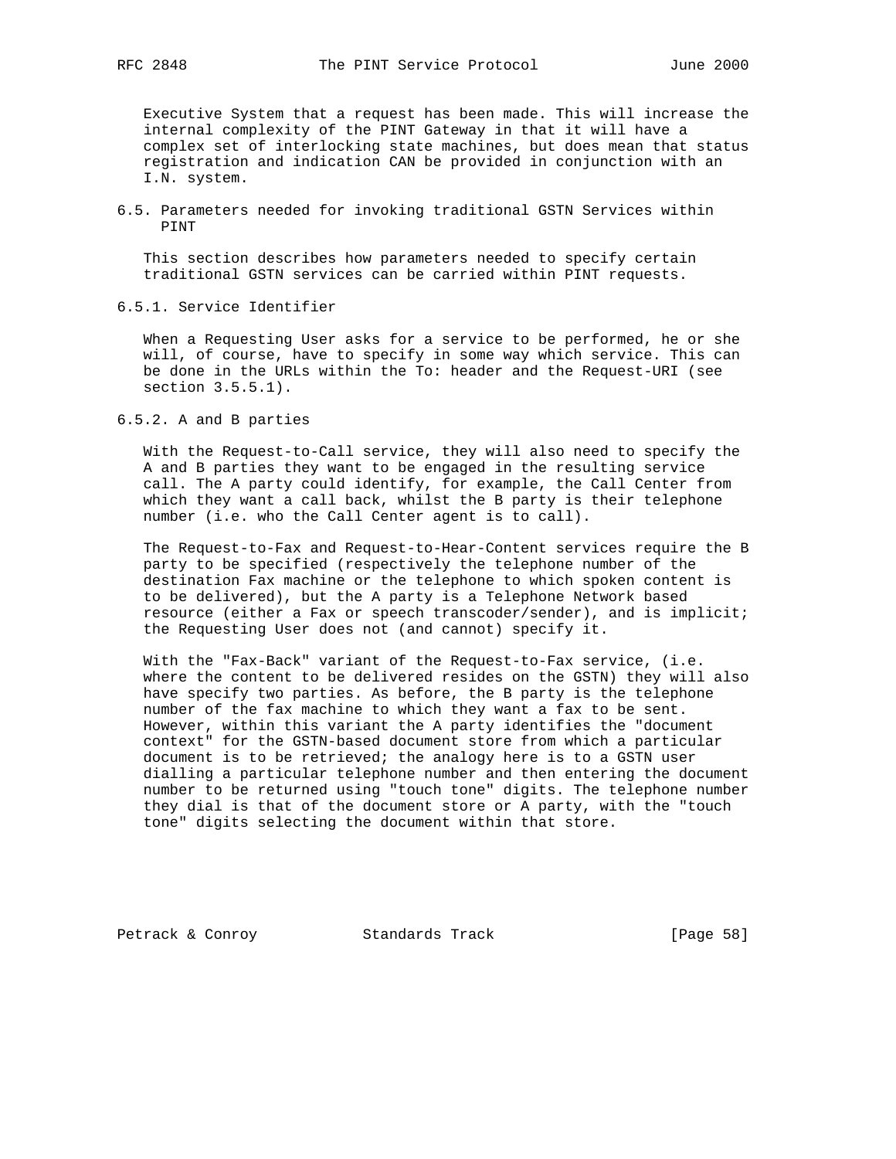Executive System that a request has been made. This will increase the internal complexity of the PINT Gateway in that it will have a complex set of interlocking state machines, but does mean that status registration and indication CAN be provided in conjunction with an I.N. system.

6.5. Parameters needed for invoking traditional GSTN Services within PINT

 This section describes how parameters needed to specify certain traditional GSTN services can be carried within PINT requests.

6.5.1. Service Identifier

 When a Requesting User asks for a service to be performed, he or she will, of course, have to specify in some way which service. This can be done in the URLs within the To: header and the Request-URI (see section 3.5.5.1).

6.5.2. A and B parties

 With the Request-to-Call service, they will also need to specify the A and B parties they want to be engaged in the resulting service call. The A party could identify, for example, the Call Center from which they want a call back, whilst the B party is their telephone number (i.e. who the Call Center agent is to call).

 The Request-to-Fax and Request-to-Hear-Content services require the B party to be specified (respectively the telephone number of the destination Fax machine or the telephone to which spoken content is to be delivered), but the A party is a Telephone Network based resource (either a Fax or speech transcoder/sender), and is implicit; the Requesting User does not (and cannot) specify it.

 With the "Fax-Back" variant of the Request-to-Fax service, (i.e. where the content to be delivered resides on the GSTN) they will also have specify two parties. As before, the B party is the telephone number of the fax machine to which they want a fax to be sent. However, within this variant the A party identifies the "document context" for the GSTN-based document store from which a particular document is to be retrieved; the analogy here is to a GSTN user dialling a particular telephone number and then entering the document number to be returned using "touch tone" digits. The telephone number they dial is that of the document store or A party, with the "touch tone" digits selecting the document within that store.

Petrack & Conroy Standards Track [Page 58]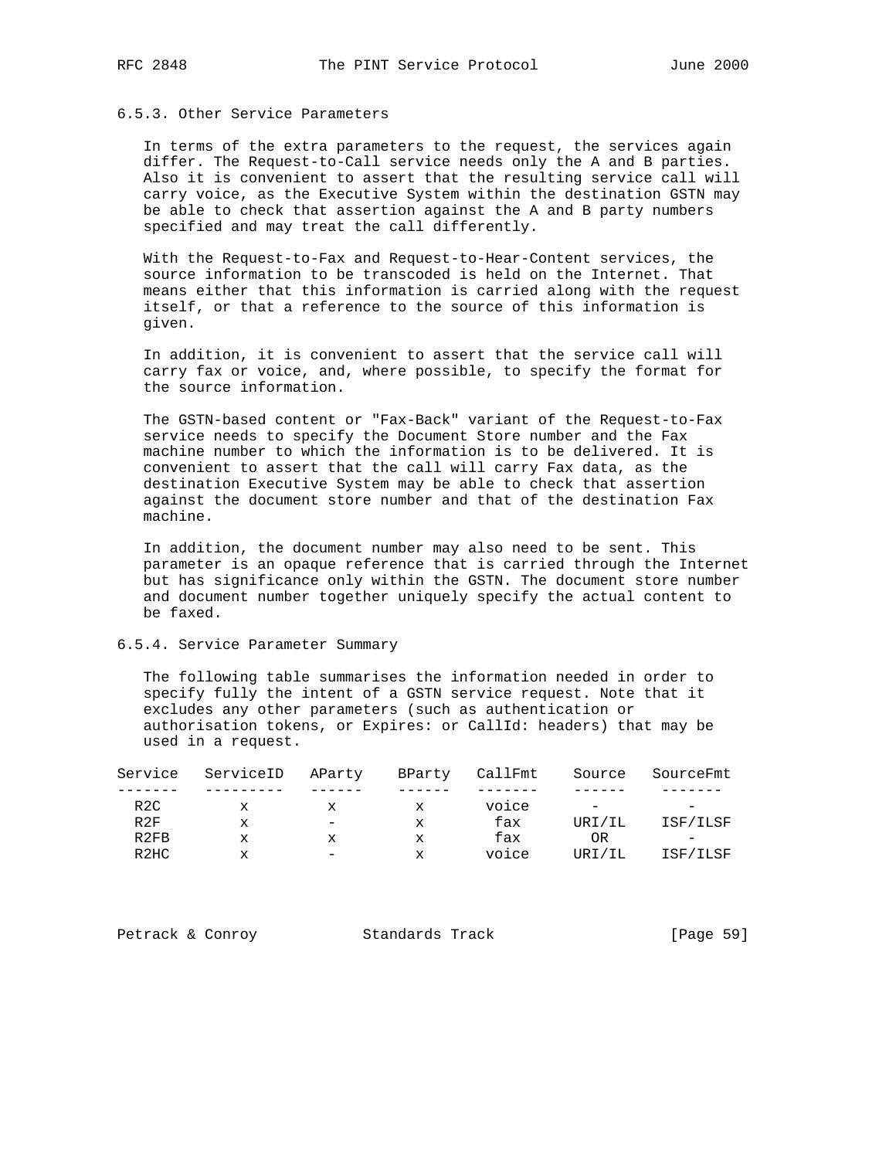# 6.5.3. Other Service Parameters

 In terms of the extra parameters to the request, the services again differ. The Request-to-Call service needs only the A and B parties. Also it is convenient to assert that the resulting service call will carry voice, as the Executive System within the destination GSTN may be able to check that assertion against the A and B party numbers specified and may treat the call differently.

 With the Request-to-Fax and Request-to-Hear-Content services, the source information to be transcoded is held on the Internet. That means either that this information is carried along with the request itself, or that a reference to the source of this information is given.

 In addition, it is convenient to assert that the service call will carry fax or voice, and, where possible, to specify the format for the source information.

 The GSTN-based content or "Fax-Back" variant of the Request-to-Fax service needs to specify the Document Store number and the Fax machine number to which the information is to be delivered. It is convenient to assert that the call will carry Fax data, as the destination Executive System may be able to check that assertion against the document store number and that of the destination Fax machine.

 In addition, the document number may also need to be sent. This parameter is an opaque reference that is carried through the Internet but has significance only within the GSTN. The document store number and document number together uniquely specify the actual content to be faxed.

# 6.5.4. Service Parameter Summary

 The following table summarises the information needed in order to specify fully the intent of a GSTN service request. Note that it excludes any other parameters (such as authentication or authorisation tokens, or Expires: or CallId: headers) that may be used in a request.

| Service         | ServiceID    | AParty                   | BParty      | CallFmt | Source    | SourceFmt                |
|-----------------|--------------|--------------------------|-------------|---------|-----------|--------------------------|
|                 |              |                          |             |         |           |                          |
| R <sub>2C</sub> | $\mathbf{x}$ | X                        | x           | voice   |           | $\overline{\phantom{a}}$ |
| R2F             | x            |                          | х           | fax     | URI/IL    | ISF/ILSF                 |
| R2FB            | x            | X                        | $\mathbf x$ | fax     | OR        | $\overline{\phantom{0}}$ |
| R2HC            | x            | $\overline{\phantom{a}}$ | х           | voice   | IIFTT/TI. | ISF/ILSF                 |

Petrack & Conroy Standards Track [Page 59]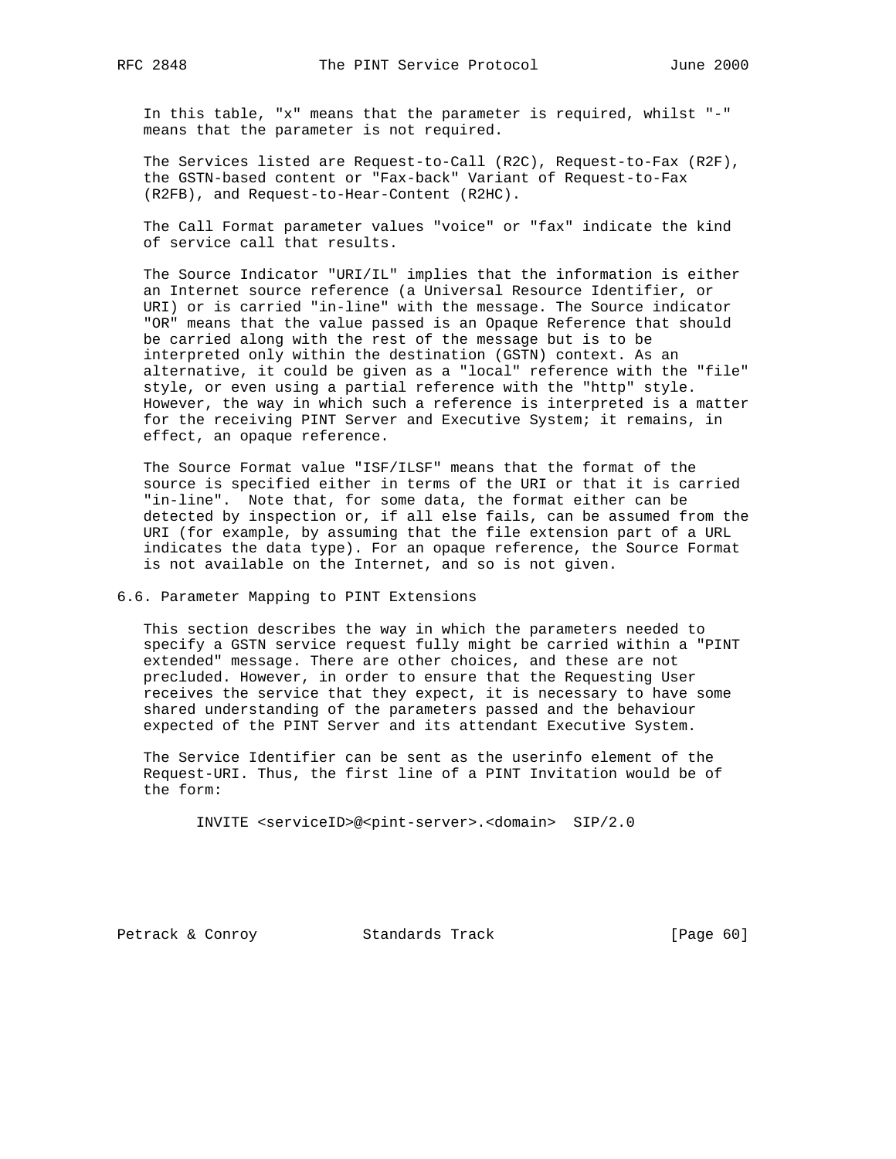In this table, "x" means that the parameter is required, whilst "-" means that the parameter is not required.

 The Services listed are Request-to-Call (R2C), Request-to-Fax (R2F), the GSTN-based content or "Fax-back" Variant of Request-to-Fax (R2FB), and Request-to-Hear-Content (R2HC).

 The Call Format parameter values "voice" or "fax" indicate the kind of service call that results.

 The Source Indicator "URI/IL" implies that the information is either an Internet source reference (a Universal Resource Identifier, or URI) or is carried "in-line" with the message. The Source indicator "OR" means that the value passed is an Opaque Reference that should be carried along with the rest of the message but is to be interpreted only within the destination (GSTN) context. As an alternative, it could be given as a "local" reference with the "file" style, or even using a partial reference with the "http" style. However, the way in which such a reference is interpreted is a matter for the receiving PINT Server and Executive System; it remains, in effect, an opaque reference.

 The Source Format value "ISF/ILSF" means that the format of the source is specified either in terms of the URI or that it is carried "in-line". Note that, for some data, the format either can be detected by inspection or, if all else fails, can be assumed from the URI (for example, by assuming that the file extension part of a URL indicates the data type). For an opaque reference, the Source Format is not available on the Internet, and so is not given.

# 6.6. Parameter Mapping to PINT Extensions

 This section describes the way in which the parameters needed to specify a GSTN service request fully might be carried within a "PINT extended" message. There are other choices, and these are not precluded. However, in order to ensure that the Requesting User receives the service that they expect, it is necessary to have some shared understanding of the parameters passed and the behaviour expected of the PINT Server and its attendant Executive System.

 The Service Identifier can be sent as the userinfo element of the Request-URI. Thus, the first line of a PINT Invitation would be of the form:

INVITE <serviceID>@<pint-server>.<domain> SIP/2.0

Petrack & Conroy Standards Track [Page 60]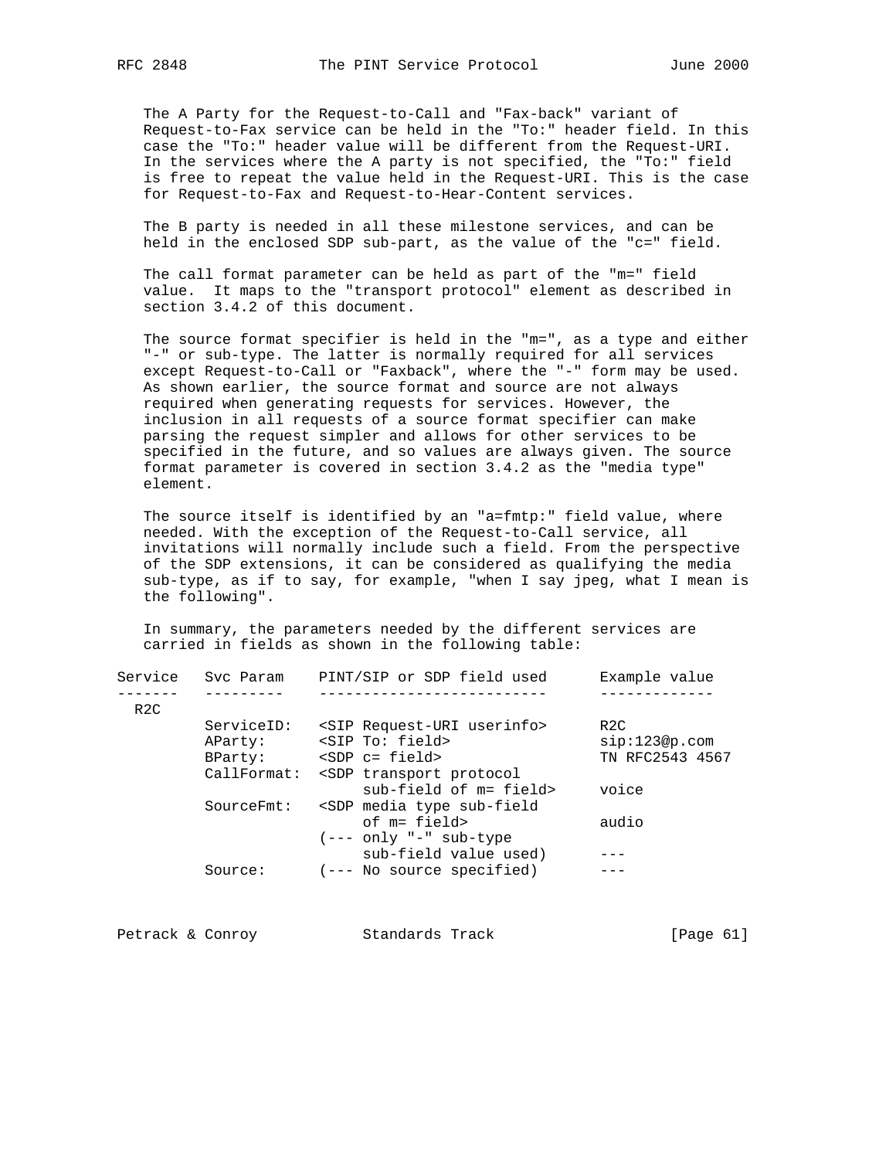The A Party for the Request-to-Call and "Fax-back" variant of Request-to-Fax service can be held in the "To:" header field. In this case the "To:" header value will be different from the Request-URI. In the services where the A party is not specified, the "To:" field is free to repeat the value held in the Request-URI. This is the case for Request-to-Fax and Request-to-Hear-Content services.

 The B party is needed in all these milestone services, and can be held in the enclosed SDP sub-part, as the value of the "c=" field.

 The call format parameter can be held as part of the "m=" field value. It maps to the "transport protocol" element as described in section 3.4.2 of this document.

The source format specifier is held in the "m=", as a type and either "-" or sub-type. The latter is normally required for all services except Request-to-Call or "Faxback", where the "-" form may be used. As shown earlier, the source format and source are not always required when generating requests for services. However, the inclusion in all requests of a source format specifier can make parsing the request simpler and allows for other services to be specified in the future, and so values are always given. The source format parameter is covered in section 3.4.2 as the "media type" element.

 The source itself is identified by an "a=fmtp:" field value, where needed. With the exception of the Request-to-Call service, all invitations will normally include such a field. From the perspective of the SDP extensions, it can be considered as qualifying the media sub-type, as if to say, for example, "when I say jpeg, what I mean is the following".

 In summary, the parameters needed by the different services are carried in fields as shown in the following table:

| Service         | Svc Param                                       | PINT/SIP or SDP field used                                                                                                                                                                                                  | Example value                           |
|-----------------|-------------------------------------------------|-----------------------------------------------------------------------------------------------------------------------------------------------------------------------------------------------------------------------------|-----------------------------------------|
| R <sub>2C</sub> |                                                 |                                                                                                                                                                                                                             |                                         |
|                 | ServiceID:<br>AParty:<br>BParty:<br>CallFormat: | <sip request-uri="" userinfo=""><br/><sip field="" to:=""><br/><math>&lt;</math>SDP <math>c=</math> field&gt;<br/><sdp protocol<="" td="" transport=""><td>R2C<br/>sip:123@p.com<br/>TN RFC2543 4567</td></sdp></sip></sip> | R2C<br>sip:123@p.com<br>TN RFC2543 4567 |
|                 | SourceFmt:                                      | sub-field of m= field><br><sdp media="" sub-field<="" td="" type=""><td>voice</td></sdp>                                                                                                                                    | voice                                   |
|                 |                                                 | of m= field><br>$(--$ only "-" sub-type                                                                                                                                                                                     | audio                                   |
|                 | Source:                                         | sub-field value used)<br>$(---$ No source specified)                                                                                                                                                                        |                                         |

| Petrack & Conroy | Standards Track | [Page 61] |
|------------------|-----------------|-----------|
|------------------|-----------------|-----------|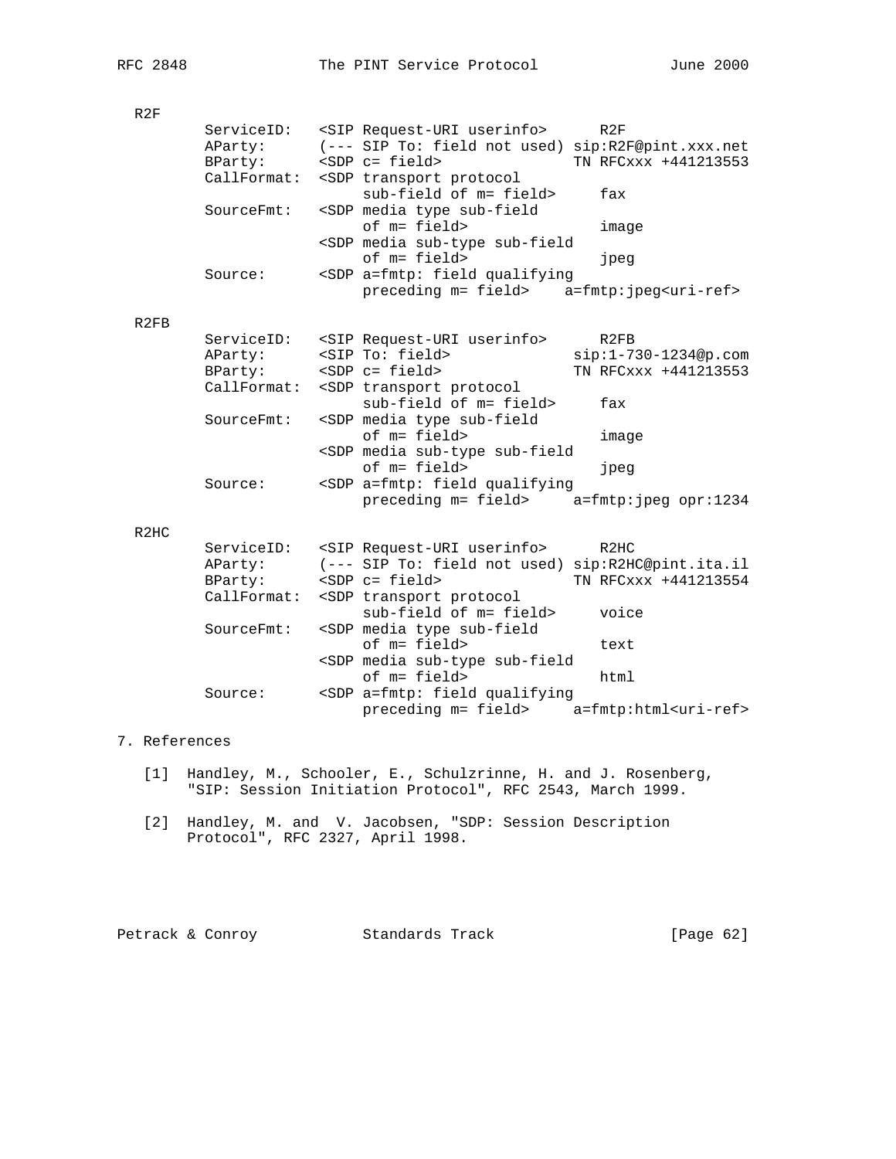| R2F  |             |                                                                                                                                          |  |
|------|-------------|------------------------------------------------------------------------------------------------------------------------------------------|--|
|      | ServiceID:  | R2F<br><sip request-uri="" userinfo=""></sip>                                                                                            |  |
|      | AParty:     | (--- SIP To: field not used)<br>sip:R2F@pint.xxx.net                                                                                     |  |
|      | BParty:     | TN RFCxxx +441213553<br><sdp c="field"></sdp>                                                                                            |  |
|      | CallFormat: | <sdp protocol<="" td="" transport=""><td></td></sdp>                                                                                     |  |
|      |             | sub-field of m= field><br>fax                                                                                                            |  |
|      | SourceFmt:  | <sdp media="" sub-field<="" td="" type=""><td></td></sdp>                                                                                |  |
|      |             | of m= field><br>image                                                                                                                    |  |
|      |             | <sdp media="" sub-field<="" sub-type="" td=""><td></td></sdp>                                                                            |  |
|      |             | of m= field><br>jpeg                                                                                                                     |  |
|      | Source:     | <sdp a="fmtp:" field="" qualifying<="" td=""><td></td></sdp>                                                                             |  |
|      |             | preceding m= field> a=fmtp:jpeg <uri-ref></uri-ref>                                                                                      |  |
|      |             |                                                                                                                                          |  |
| R2FB |             |                                                                                                                                          |  |
|      | ServiceID:  | <sip request-uri="" userinfo=""><br/>R2FB</sip>                                                                                          |  |
|      | AParty:     | <sip field="" to:=""><br/>sip:1-730-1234@p.com</sip>                                                                                     |  |
|      | BParty:     | TN RFCxxx +441213553<br><sdp c="field"></sdp>                                                                                            |  |
|      | CallFormat: | <sdp protocol<="" td="" transport=""><td></td></sdp>                                                                                     |  |
|      |             | sub-field of m= field><br>fax                                                                                                            |  |
|      | SourceFmt:  | <sdp media="" sub-field<="" td="" type=""><td></td></sdp>                                                                                |  |
|      |             | of m= field><br>image                                                                                                                    |  |
|      |             | <sdp media="" sub-field<="" sub-type="" td=""><td></td></sdp>                                                                            |  |
|      |             | of m= field><br>jpeg                                                                                                                     |  |
|      | Source:     | <sdp a="fmtp:" field="" qualifying<="" td=""><td></td></sdp>                                                                             |  |
|      |             | preceding m= field><br>$a = f m t p$ : jpeg opr: 1234                                                                                    |  |
|      |             |                                                                                                                                          |  |
| R2HC |             |                                                                                                                                          |  |
|      | ServiceID:  | <sip request-uri="" userinfo=""><br/>R2HC</sip>                                                                                          |  |
|      | AParty:     | (--- SIP To: field not used)<br>sip:R2HC@pint.ita.il                                                                                     |  |
|      | BParty:     | <sdp c="field"><br/>TN RFCxxx +441213554</sdp>                                                                                           |  |
|      | CallFormat: | <sdp protocol<="" td="" transport=""><td></td></sdp>                                                                                     |  |
|      |             | sub-field of m= field><br>voice                                                                                                          |  |
|      | SourceFmt:  | <sdp media="" sub-field<="" td="" type=""><td></td></sdp>                                                                                |  |
|      |             | of m= field><br>text                                                                                                                     |  |
|      |             | <sdp media="" sub-field<="" sub-type="" td=""><td></td></sdp>                                                                            |  |
|      |             | of m= field><br>html                                                                                                                     |  |
|      | Source:     | <sdp a="fmtp:" field="" qualifying<="" td=""><td></td></sdp>                                                                             |  |
|      |             | $C = 1$ . The $T = 1$<br>the contract of the contract of the contract of the contract of the contract of the contract of the contract of |  |

# 7. References

 [1] Handley, M., Schooler, E., Schulzrinne, H. and J. Rosenberg, "SIP: Session Initiation Protocol", RFC 2543, March 1999.

preceding m= field> a=fmtp:html<uri-ref>

 [2] Handley, M. and V. Jacobsen, "SDP: Session Description Protocol", RFC 2327, April 1998.

Petrack & Conroy Standards Track [Page 62]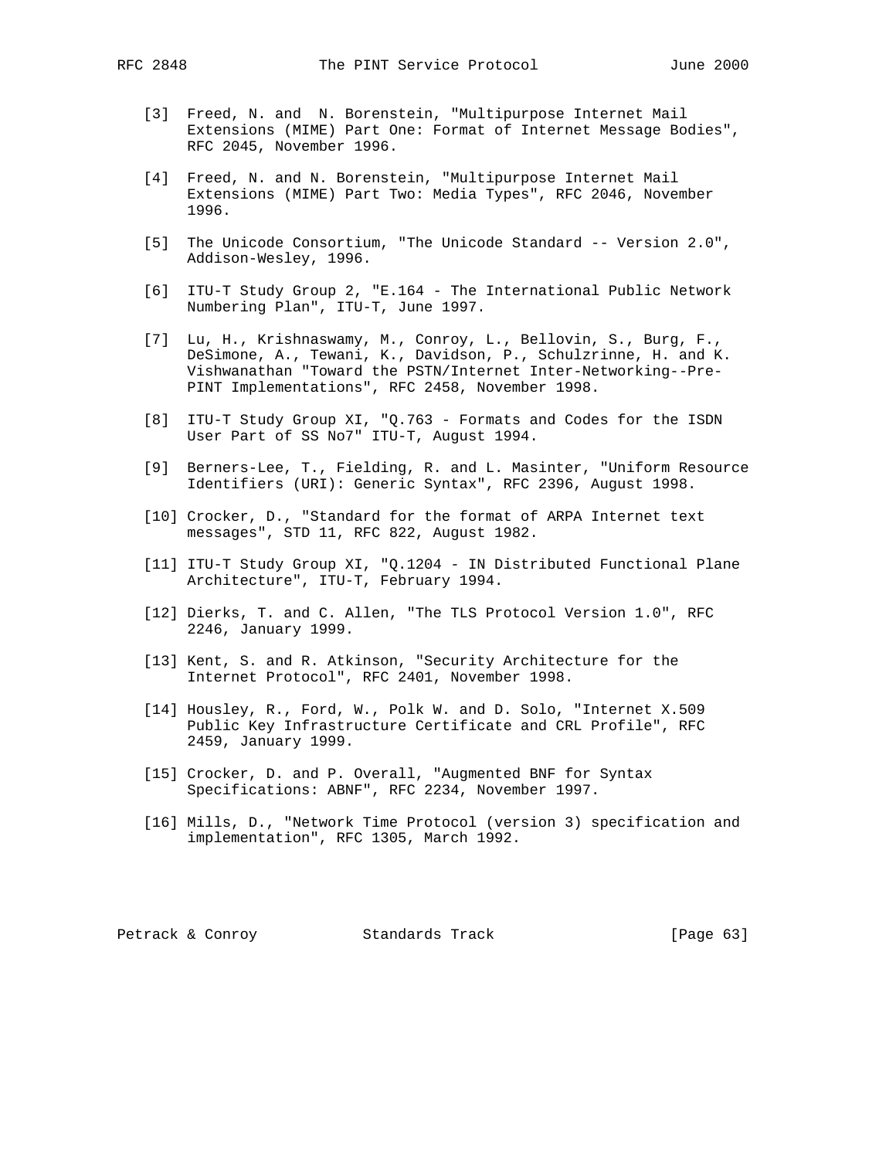- - [3] Freed, N. and N. Borenstein, "Multipurpose Internet Mail Extensions (MIME) Part One: Format of Internet Message Bodies", RFC 2045, November 1996.
	- [4] Freed, N. and N. Borenstein, "Multipurpose Internet Mail Extensions (MIME) Part Two: Media Types", RFC 2046, November 1996.
	- [5] The Unicode Consortium, "The Unicode Standard -- Version 2.0", Addison-Wesley, 1996.
	- [6] ITU-T Study Group 2, "E.164 The International Public Network Numbering Plan", ITU-T, June 1997.
	- [7] Lu, H., Krishnaswamy, M., Conroy, L., Bellovin, S., Burg, F., DeSimone, A., Tewani, K., Davidson, P., Schulzrinne, H. and K. Vishwanathan "Toward the PSTN/Internet Inter-Networking--Pre- PINT Implementations", RFC 2458, November 1998.
	- [8] ITU-T Study Group XI, "Q.763 Formats and Codes for the ISDN User Part of SS No7" ITU-T, August 1994.
	- [9] Berners-Lee, T., Fielding, R. and L. Masinter, "Uniform Resource Identifiers (URI): Generic Syntax", RFC 2396, August 1998.
	- [10] Crocker, D., "Standard for the format of ARPA Internet text messages", STD 11, RFC 822, August 1982.
	- [11] ITU-T Study Group XI, "Q.1204 IN Distributed Functional Plane Architecture", ITU-T, February 1994.
	- [12] Dierks, T. and C. Allen, "The TLS Protocol Version 1.0", RFC 2246, January 1999.
	- [13] Kent, S. and R. Atkinson, "Security Architecture for the Internet Protocol", RFC 2401, November 1998.
	- [14] Housley, R., Ford, W., Polk W. and D. Solo, "Internet X.509 Public Key Infrastructure Certificate and CRL Profile", RFC 2459, January 1999.
	- [15] Crocker, D. and P. Overall, "Augmented BNF for Syntax Specifications: ABNF", RFC 2234, November 1997.
	- [16] Mills, D., "Network Time Protocol (version 3) specification and implementation", RFC 1305, March 1992.

Petrack & Conroy Standards Track [Page 63]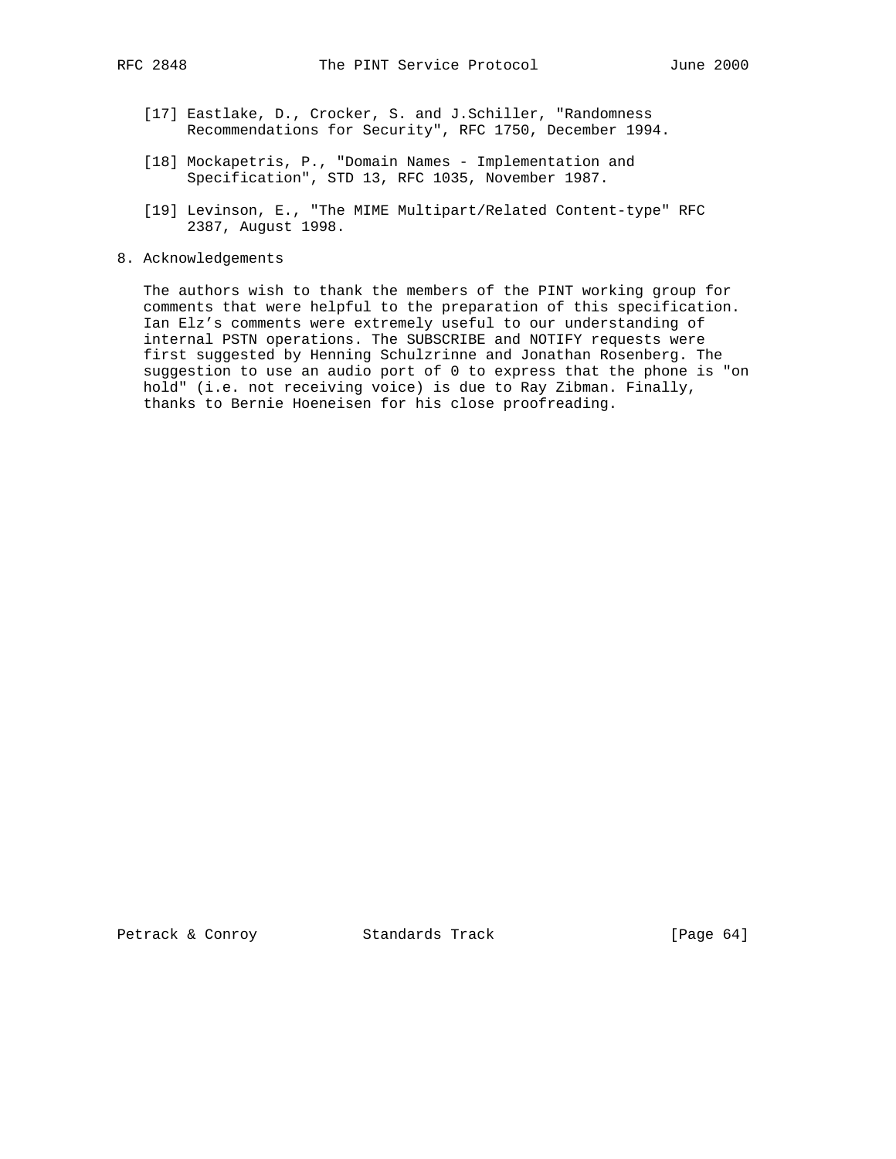- [17] Eastlake, D., Crocker, S. and J.Schiller, "Randomness Recommendations for Security", RFC 1750, December 1994.
- [18] Mockapetris, P., "Domain Names Implementation and Specification", STD 13, RFC 1035, November 1987.
- [19] Levinson, E., "The MIME Multipart/Related Content-type" RFC 2387, August 1998.
- 8. Acknowledgements

 The authors wish to thank the members of the PINT working group for comments that were helpful to the preparation of this specification. Ian Elz's comments were extremely useful to our understanding of internal PSTN operations. The SUBSCRIBE and NOTIFY requests were first suggested by Henning Schulzrinne and Jonathan Rosenberg. The suggestion to use an audio port of 0 to express that the phone is "on hold" (i.e. not receiving voice) is due to Ray Zibman. Finally, thanks to Bernie Hoeneisen for his close proofreading.

Petrack & Conroy Standards Track [Page 64]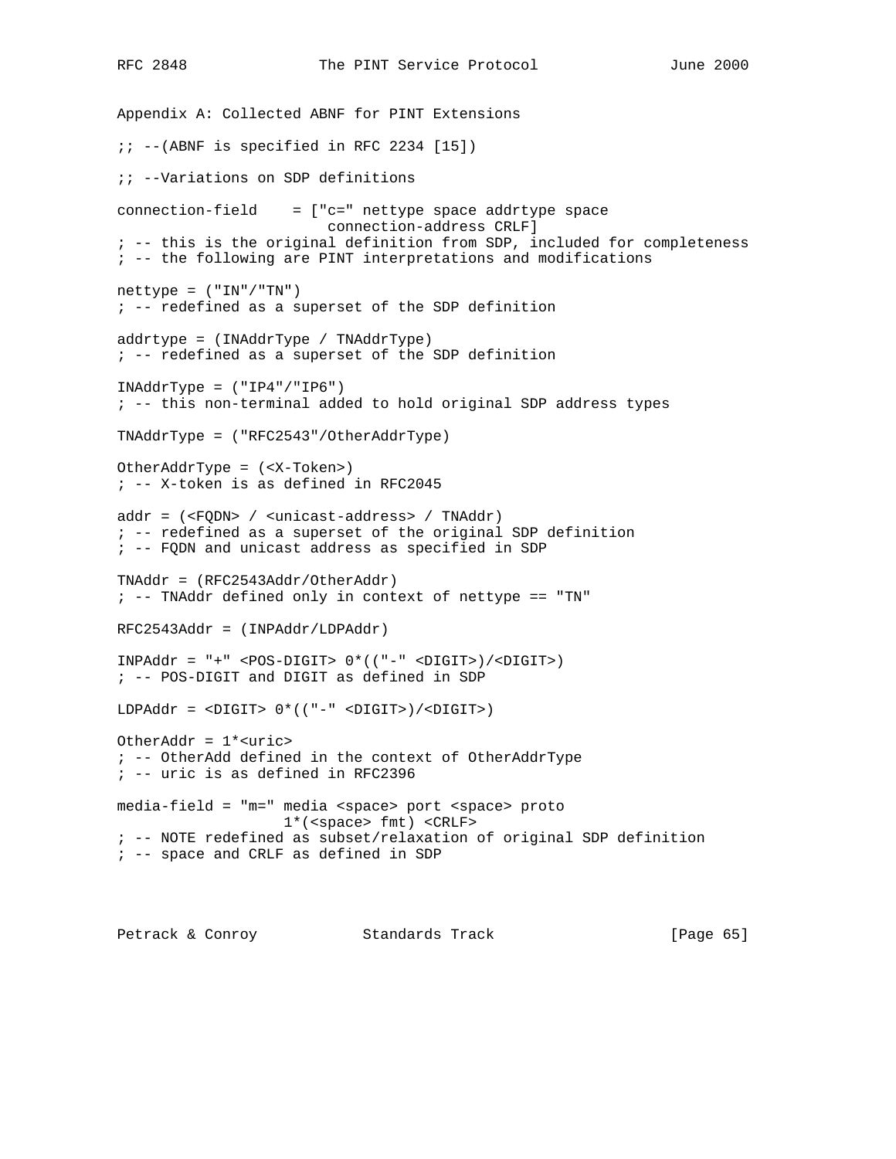Appendix A: Collected ABNF for PINT Extensions  $i:$  --(ABNF is specified in RFC 2234 [15]) ;; --Variations on SDP definitions connection-field = ["c=" nettype space addrtype space connection-address CRLF] ; -- this is the original definition from SDP, included for completeness ; -- the following are PINT interpretations and modifications  $network =$  ("IN"/"TN") ; -- redefined as a superset of the SDP definition addrtype = (INAddrType / TNAddrType) ; -- redefined as a superset of the SDP definition INAddrType = ("IP4"/"IP6") ; -- this non-terminal added to hold original SDP address types TNAddrType = ("RFC2543"/OtherAddrType) OtherAddrType = (<X-Token>) ; -- X-token is as defined in RFC2045 addr = (<FQDN> / <unicast-address> / TNAddr) ; -- redefined as a superset of the original SDP definition ; -- FQDN and unicast address as specified in SDP TNAddr = (RFC2543Addr/OtherAddr) ; -- TNAddr defined only in context of nettype == "TN" RFC2543Addr = (INPAddr/LDPAddr) INPAddr = "+" <POS-DIGIT> 0\*(("-" <DIGIT>)/<DIGIT>) ; -- POS-DIGIT and DIGIT as defined in SDP LDPAddr = <DIGIT> 0\*(("-" <DIGIT>)/<DIGIT>) OtherAddr = 1\*<uric> ; -- OtherAdd defined in the context of OtherAddrType ; -- uric is as defined in RFC2396 media-field = "m=" media <space> port <space> proto 1\*(<space> fmt) <CRLF> ; -- NOTE redefined as subset/relaxation of original SDP definition ; -- space and CRLF as defined in SDP

Petrack & Conroy Standards Track [Page 65]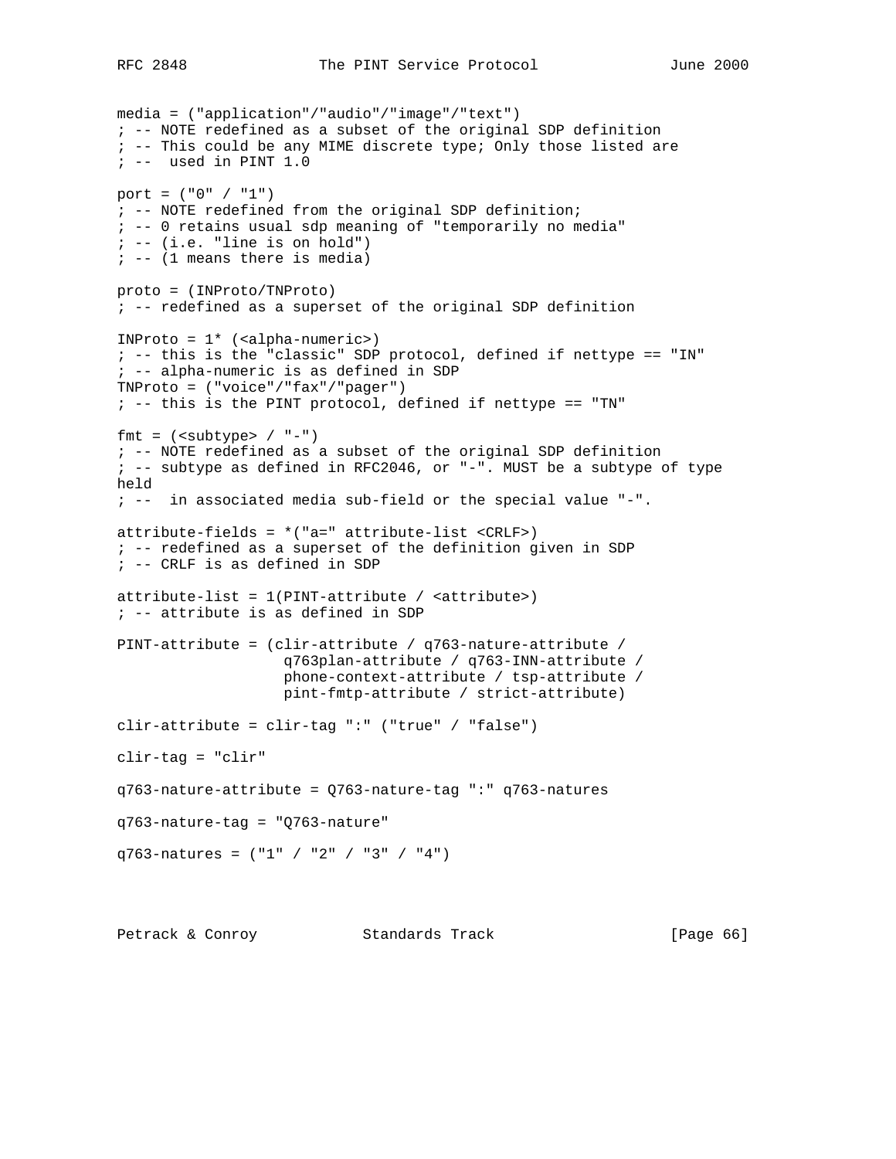```
media = ("application"/"audio"/"image"/"text")
; -- NOTE redefined as a subset of the original SDP definition
; -- This could be any MIME discrete type; Only those listed are
; -- used in PINT 1.0
port = ("0" / "1"); -- NOTE redefined from the original SDP definition;
; -- 0 retains usual sdp meaning of "temporarily no media"
; -- (i.e. "line is on hold")
; -- (1 means there is media)
proto = (INProto/TNProto)
; -- redefined as a superset of the original SDP definition
INProto = 1* (<alpha-numeric>)
; -- this is the "classic" SDP protocol, defined if nettype == "IN"
; -- alpha-numeric is as defined in SDP
TNProto = ("voice"/"fax"/"pager")
; -- this is the PINT protocol, defined if nettype == "TN"
fmt = (subtype > / " -"); -- NOTE redefined as a subset of the original SDP definition
; -- subtype as defined in RFC2046, or "-". MUST be a subtype of type
held
; -- in associated media sub-field or the special value "-".
attribute-fields = *("a=" attribute-list <CRLF>)
; -- redefined as a superset of the definition given in SDP
; -- CRLF is as defined in SDP
attribute-list = 1(PINT-attribute / <attribute>)
; -- attribute is as defined in SDP
PINT-attribute = (clir-attribute / q763-nature-attribute /
                    q763plan-attribute / q763-INN-attribute /
                    phone-context-attribute / tsp-attribute /
                    pint-fmtp-attribute / strict-attribute)
clir-attribute = clir-tag ":" ("true" / "false")
clir-tag = "clir"
q763-nature-attribute = Q763-nature-tag ":" q763-natures
q763-nature-tag = "Q763-nature"
q763-natures = ("1" / "2" / "3" / "4")
```
Petrack & Conroy Standards Track [Page 66]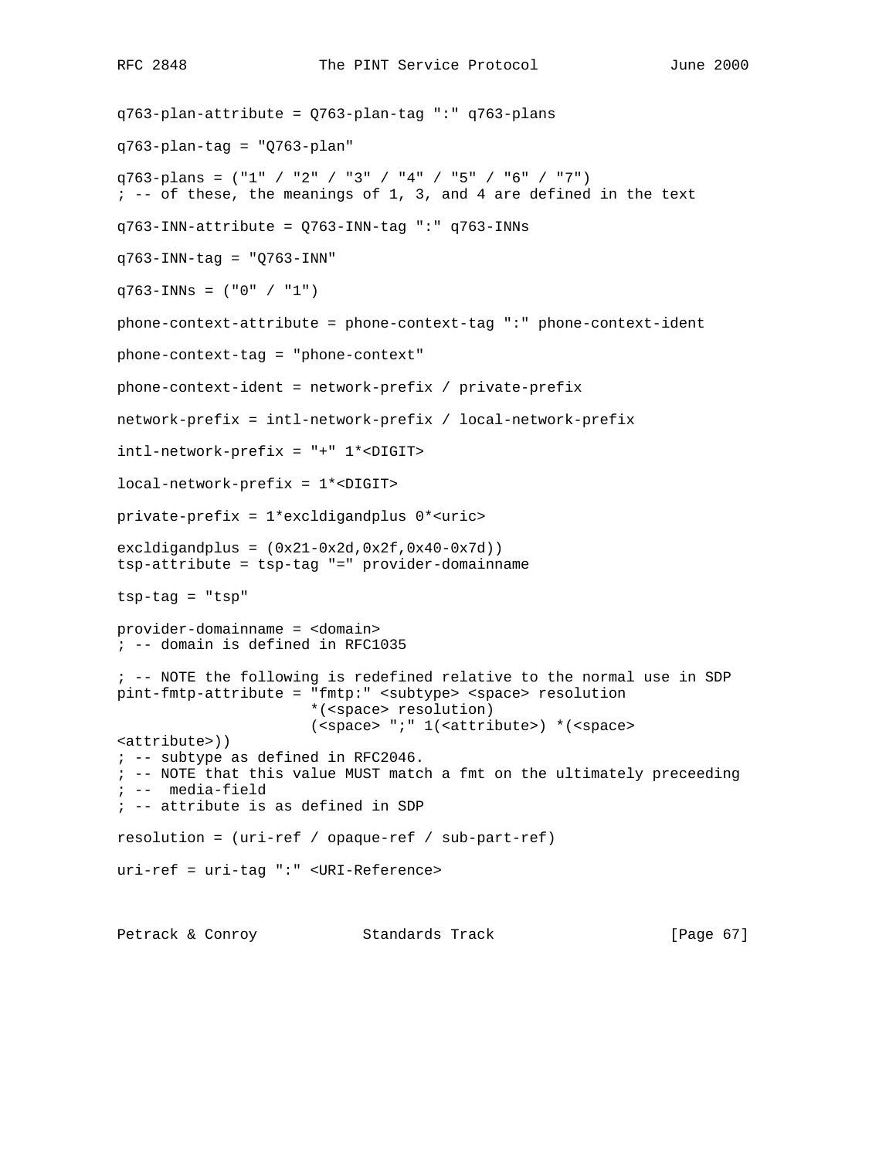q763-plan-attribute = Q763-plan-tag ":" q763-plans q763-plan-tag = "Q763-plan" q763-plans = ("1" / "2" / "3" / "4" / "5" / "6" / "7") ; -- of these, the meanings of 1, 3, and 4 are defined in the text q763-INN-attribute = Q763-INN-tag ":" q763-INNs  $q763 - INN$ -tag = " $Q763 - INN$ "  $q763$ -INNs =  $("0" / "1")$ phone-context-attribute = phone-context-tag ":" phone-context-ident phone-context-tag = "phone-context" phone-context-ident = network-prefix / private-prefix network-prefix = intl-network-prefix / local-network-prefix intl-network-prefix = "+" 1\*<DIGIT> local-network-prefix = 1\*<DIGIT> private-prefix = 1\*excldigandplus 0\*<uric>  $excldiqandplus = (0x21-0x2d,0x2f,0x40-0x7d))$ tsp-attribute = tsp-tag "=" provider-domainname tsp-tag = "tsp" provider-domainname = <domain> ; -- domain is defined in RFC1035 ; -- NOTE the following is redefined relative to the normal use in SDP pint-fmtp-attribute = "fmtp:" <subtype> <space> resolution \*(<space> resolution) (<space> ";" 1(<attribute>) \*(<space> <attribute>)) ; -- subtype as defined in RFC2046. ; -- NOTE that this value MUST match a fmt on the ultimately preceeding ; -- media-field ; -- attribute is as defined in SDP resolution = (uri-ref / opaque-ref / sub-part-ref) uri-ref = uri-tag ":" <URI-Reference>

Petrack & Conroy Standards Track [Page 67]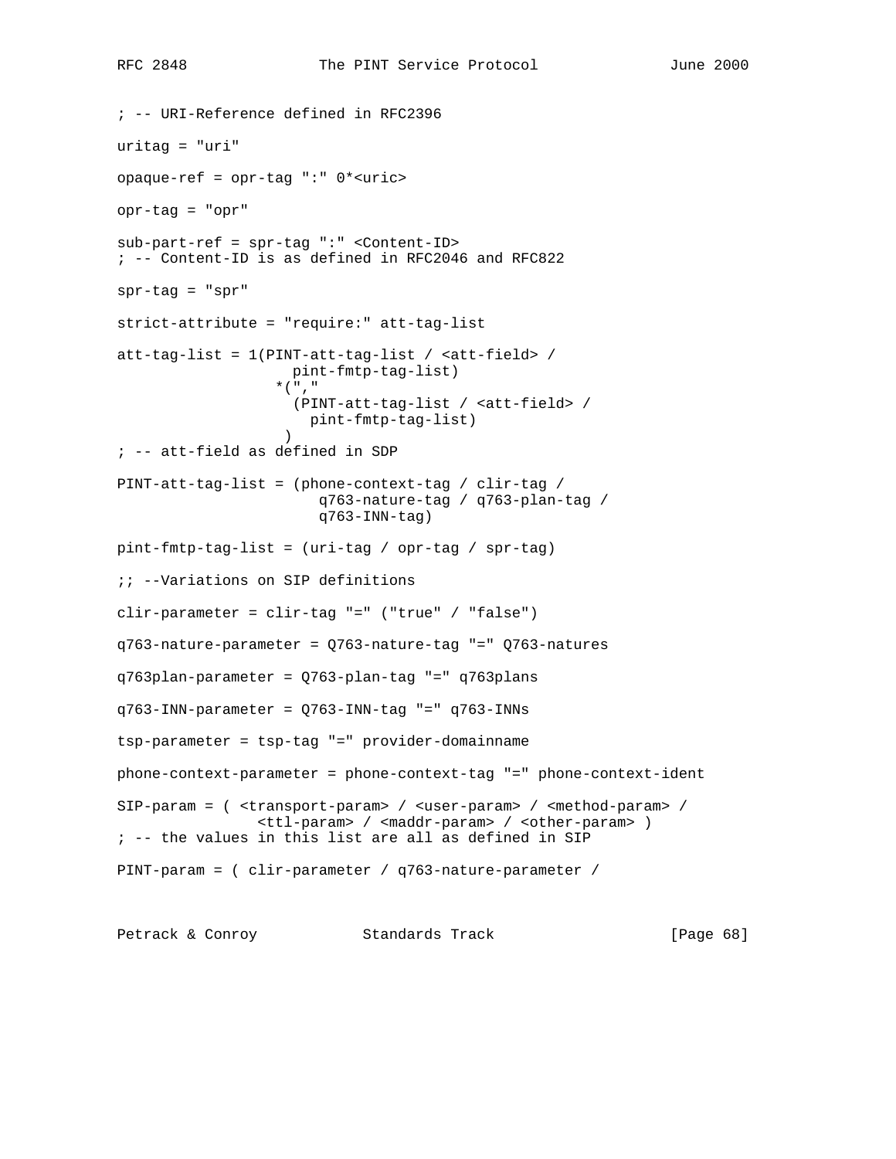```
; -- URI-Reference defined in RFC2396
uritag = "uri"
opaque-ref = opr-tag ":" 0*<uric>
opr-tag = "opr"
sub-part-ref = spr-tag ":" <Content-ID>
; -- Content-ID is as defined in RFC2046 and RFC822
spr-tag = "spr"
strict-attribute = "require:" att-tag-list
att-tag-list = 1(PINT-att-tag-list / <att-field> /
                    pint-fmtp-tag-list)
                   *(","
                    (PINT-att-tag-list / <att-field> /
                      pint-fmtp-tag-list)
 )
; -- att-field as defined in SDP
PINT-att-tag-list = (phone-context-tag / clir-tag /
                        q763-nature-tag / q763-plan-tag /
                        q763-INN-tag)
pint-fmtp-tag-list = (uri-tag / opr-tag / spr-tag)
;; --Variations on SIP definitions
clir-parameter = clir-tag "=" ("true" / "false")
q763-nature-parameter = Q763-nature-tag "=" Q763-natures
q763plan-parameter = Q763-plan-tag "=" q763plans
q763-INN-parameter = Q763-INN-tag "=" q763-INNs
tsp-parameter = tsp-tag "=" provider-domainname
phone-context-parameter = phone-context-tag "=" phone-context-ident
SIP-param = ( <transport-param> / <user-param> / <method-param> /
                 <ttl-param> / <maddr-param> / <other-param> )
; -- the values in this list are all as defined in SIP
PINT-param = ( clir-parameter / q763-nature-parameter /
```
Petrack & Conroy Standards Track [Page 68]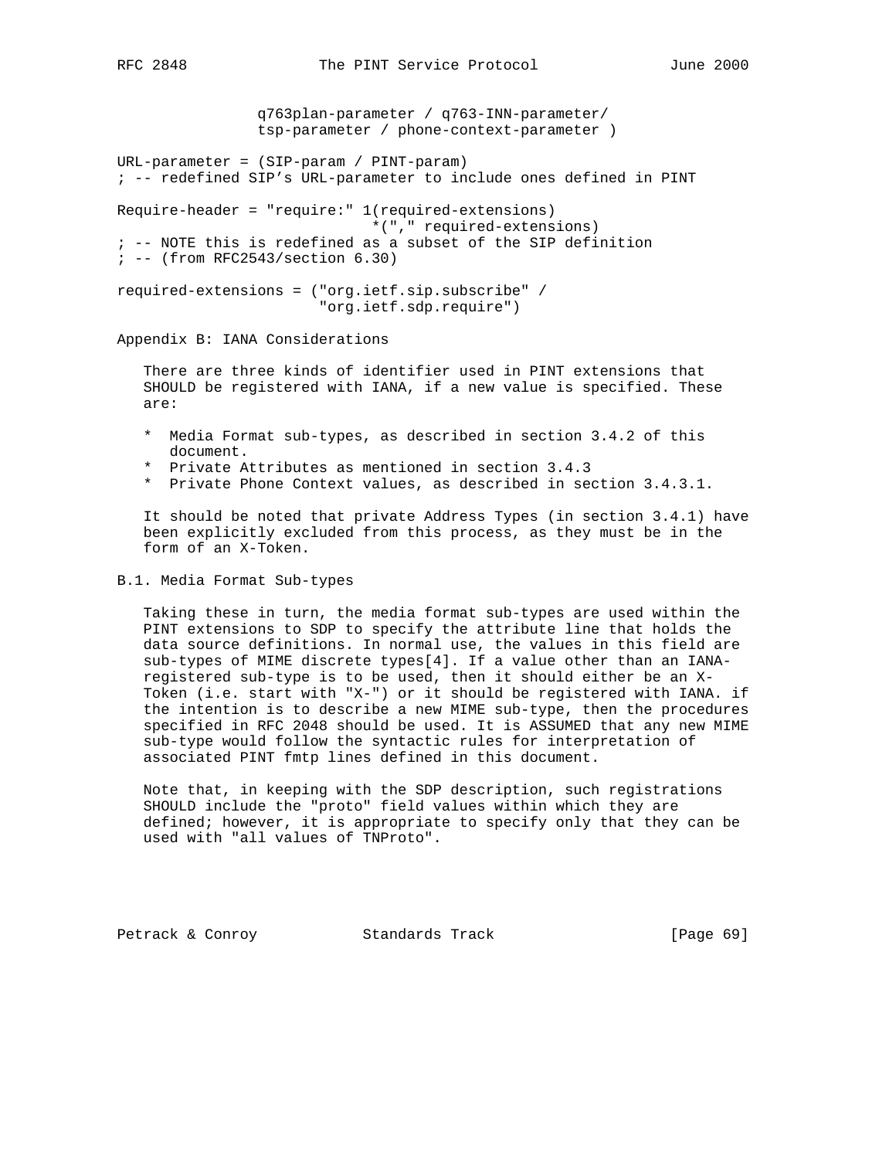q763plan-parameter / q763-INN-parameter/ tsp-parameter / phone-context-parameter )

URL-parameter = (SIP-param / PINT-param) ; -- redefined SIP's URL-parameter to include ones defined in PINT Require-header = "require:" 1(required-extensions) \*("," required-extensions) ; -- NOTE this is redefined as a subset of the SIP definition  $; -- (from RFC2543/section 6.30)$ 

required-extensions = ("org.ietf.sip.subscribe" / "org.ietf.sdp.require")

Appendix B: IANA Considerations

 There are three kinds of identifier used in PINT extensions that SHOULD be registered with IANA, if a new value is specified. These are:

- \* Media Format sub-types, as described in section 3.4.2 of this document.
- \* Private Attributes as mentioned in section 3.4.3
- \* Private Phone Context values, as described in section 3.4.3.1.

 It should be noted that private Address Types (in section 3.4.1) have been explicitly excluded from this process, as they must be in the form of an X-Token.

B.1. Media Format Sub-types

 Taking these in turn, the media format sub-types are used within the PINT extensions to SDP to specify the attribute line that holds the data source definitions. In normal use, the values in this field are sub-types of MIME discrete types[4]. If a value other than an IANA registered sub-type is to be used, then it should either be an X- Token (i.e. start with "X-") or it should be registered with IANA. if the intention is to describe a new MIME sub-type, then the procedures specified in RFC 2048 should be used. It is ASSUMED that any new MIME sub-type would follow the syntactic rules for interpretation of associated PINT fmtp lines defined in this document.

 Note that, in keeping with the SDP description, such registrations SHOULD include the "proto" field values within which they are defined; however, it is appropriate to specify only that they can be used with "all values of TNProto".

Petrack & Conroy Standards Track [Page 69]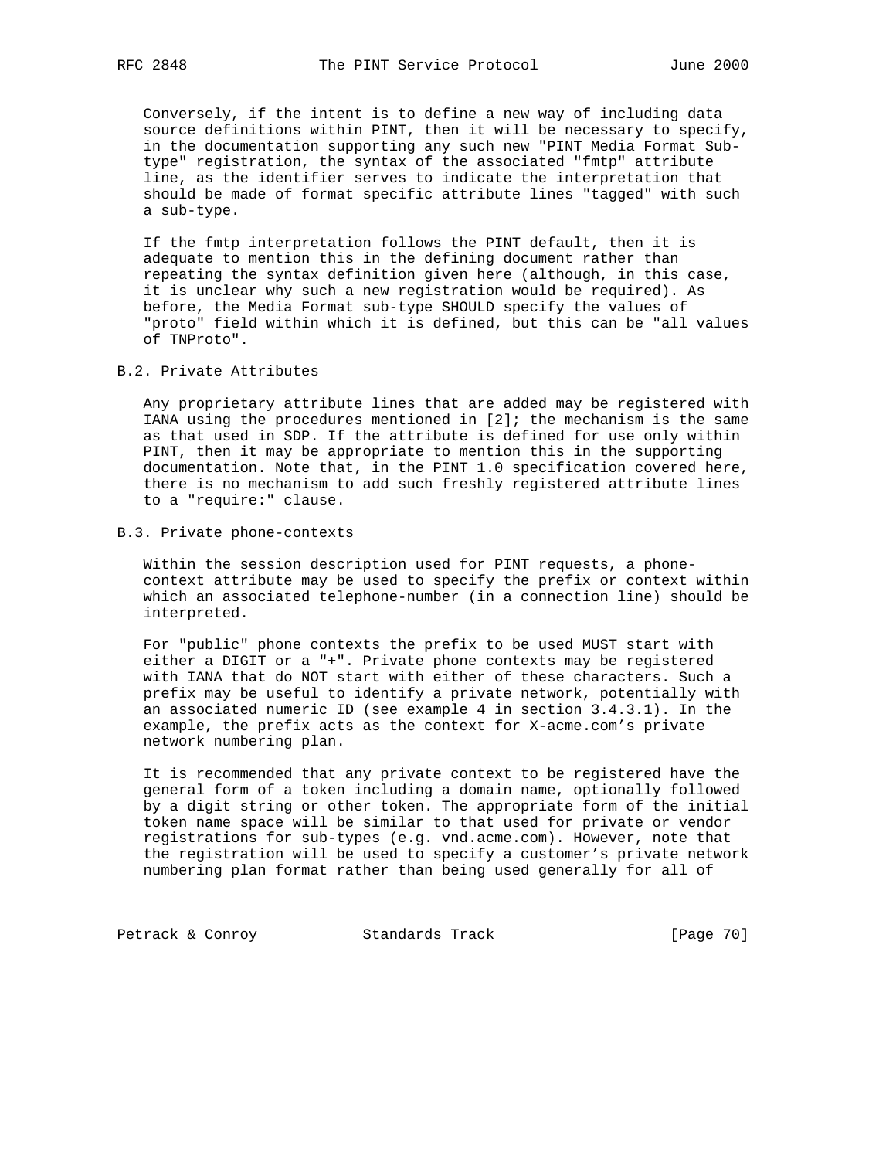Conversely, if the intent is to define a new way of including data source definitions within PINT, then it will be necessary to specify, in the documentation supporting any such new "PINT Media Format Sub type" registration, the syntax of the associated "fmtp" attribute line, as the identifier serves to indicate the interpretation that should be made of format specific attribute lines "tagged" with such a sub-type.

 If the fmtp interpretation follows the PINT default, then it is adequate to mention this in the defining document rather than repeating the syntax definition given here (although, in this case, it is unclear why such a new registration would be required). As before, the Media Format sub-type SHOULD specify the values of "proto" field within which it is defined, but this can be "all values of TNProto".

#### B.2. Private Attributes

 Any proprietary attribute lines that are added may be registered with IANA using the procedures mentioned in  $[2]$ ; the mechanism is the same as that used in SDP. If the attribute is defined for use only within PINT, then it may be appropriate to mention this in the supporting documentation. Note that, in the PINT 1.0 specification covered here, there is no mechanism to add such freshly registered attribute lines to a "require:" clause.

B.3. Private phone-contexts

 Within the session description used for PINT requests, a phone context attribute may be used to specify the prefix or context within which an associated telephone-number (in a connection line) should be interpreted.

 For "public" phone contexts the prefix to be used MUST start with either a DIGIT or a "+". Private phone contexts may be registered with IANA that do NOT start with either of these characters. Such a prefix may be useful to identify a private network, potentially with an associated numeric ID (see example 4 in section 3.4.3.1). In the example, the prefix acts as the context for X-acme.com's private network numbering plan.

 It is recommended that any private context to be registered have the general form of a token including a domain name, optionally followed by a digit string or other token. The appropriate form of the initial token name space will be similar to that used for private or vendor registrations for sub-types (e.g. vnd.acme.com). However, note that the registration will be used to specify a customer's private network numbering plan format rather than being used generally for all of

Petrack & Conroy Standards Track [Page 70]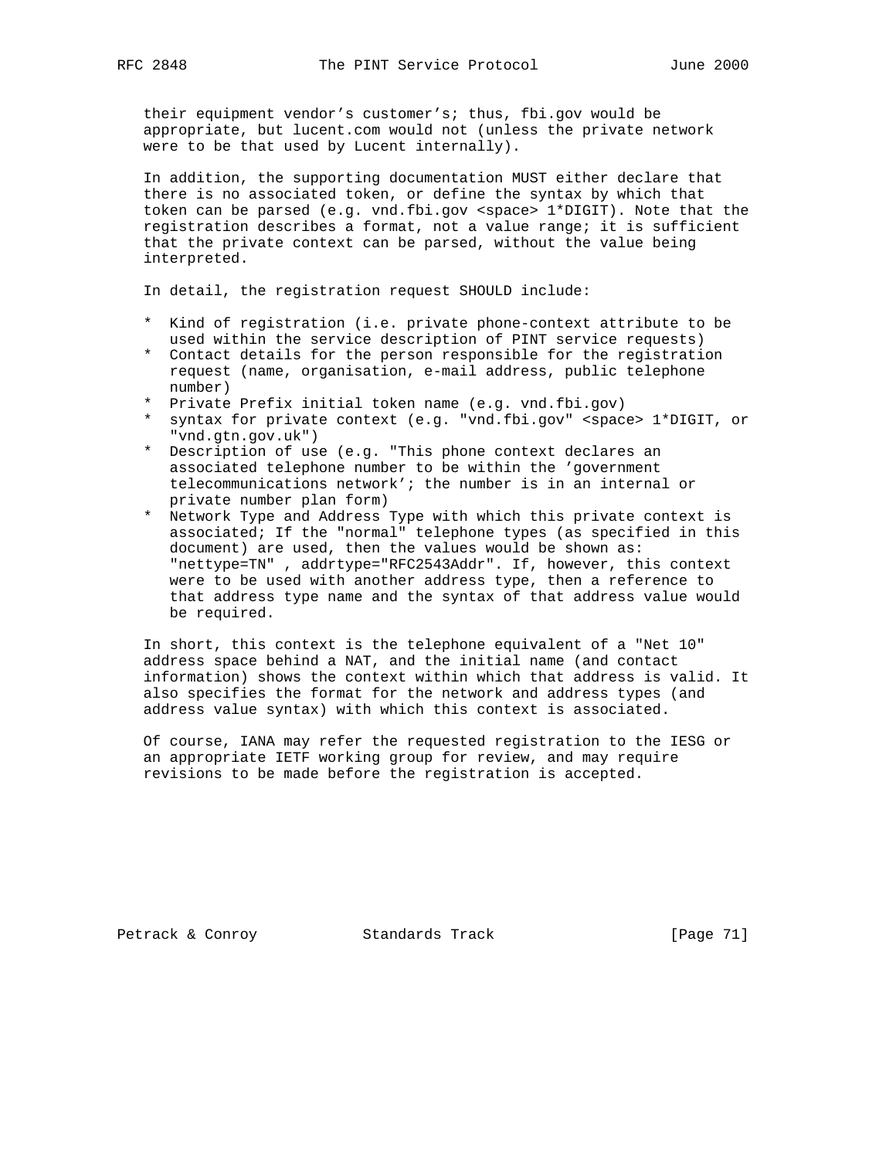their equipment vendor's customer's; thus, fbi.gov would be appropriate, but lucent.com would not (unless the private network were to be that used by Lucent internally).

 In addition, the supporting documentation MUST either declare that there is no associated token, or define the syntax by which that token can be parsed (e.g. vnd.fbi.gov <space> 1\*DIGIT). Note that the registration describes a format, not a value range; it is sufficient that the private context can be parsed, without the value being interpreted.

In detail, the registration request SHOULD include:

- \* Kind of registration (i.e. private phone-context attribute to be used within the service description of PINT service requests)
- \* Contact details for the person responsible for the registration request (name, organisation, e-mail address, public telephone number)
- \* Private Prefix initial token name (e.g. vnd.fbi.gov)
- \* syntax for private context (e.g. "vnd.fbi.gov" <space> 1\*DIGIT, or "vnd.gtn.gov.uk")
- \* Description of use (e.g. "This phone context declares an associated telephone number to be within the 'government telecommunications network'; the number is in an internal or private number plan form)
- \* Network Type and Address Type with which this private context is associated; If the "normal" telephone types (as specified in this document) are used, then the values would be shown as: "nettype=TN" , addrtype="RFC2543Addr". If, however, this context were to be used with another address type, then a reference to that address type name and the syntax of that address value would be required.

 In short, this context is the telephone equivalent of a "Net 10" address space behind a NAT, and the initial name (and contact information) shows the context within which that address is valid. It also specifies the format for the network and address types (and address value syntax) with which this context is associated.

 Of course, IANA may refer the requested registration to the IESG or an appropriate IETF working group for review, and may require revisions to be made before the registration is accepted.

Petrack & Conroy Standards Track [Page 71]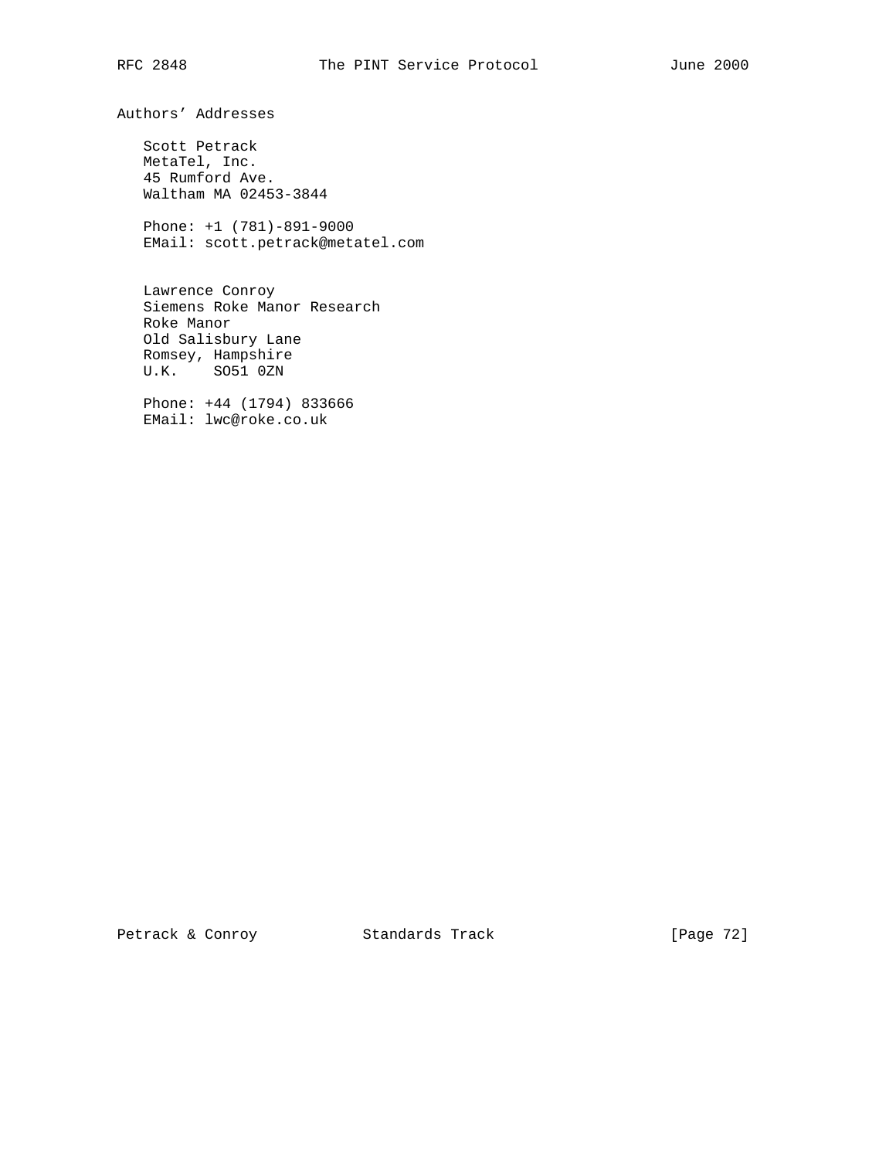Authors' Addresses

 Scott Petrack MetaTel, Inc. 45 Rumford Ave. Waltham MA 02453-3844

 Phone: +1 (781)-891-9000 EMail: scott.petrack@metatel.com

 Lawrence Conroy Siemens Roke Manor Research Roke Manor Old Salisbury Lane Romsey, Hampshire U.K. SO51 0ZN

 Phone: +44 (1794) 833666 EMail: lwc@roke.co.uk

Petrack & Conroy Standards Track [Page 72]